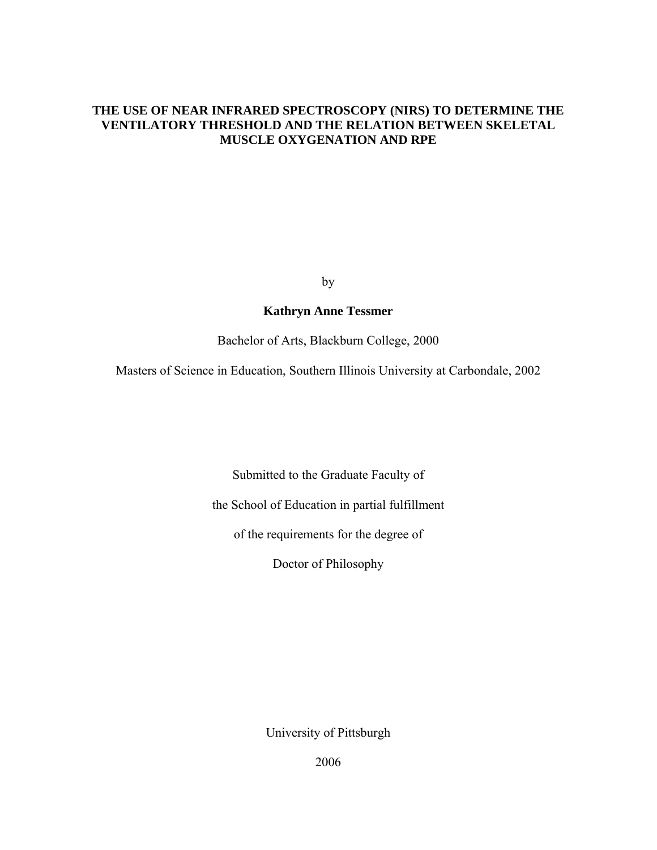# **THE USE OF NEAR INFRARED SPECTROSCOPY (NIRS) TO DETERMINE THE VENTILATORY THRESHOLD AND THE RELATION BETWEEN SKELETAL MUSCLE OXYGENATION AND RPE**

by

# **Kathryn Anne Tessmer**

Bachelor of Arts, Blackburn College, 2000

Masters of Science in Education, Southern Illinois University at Carbondale, 2002

Submitted to the Graduate Faculty of

the School of Education in partial fulfillment

of the requirements for the degree of

Doctor of Philosophy

University of Pittsburgh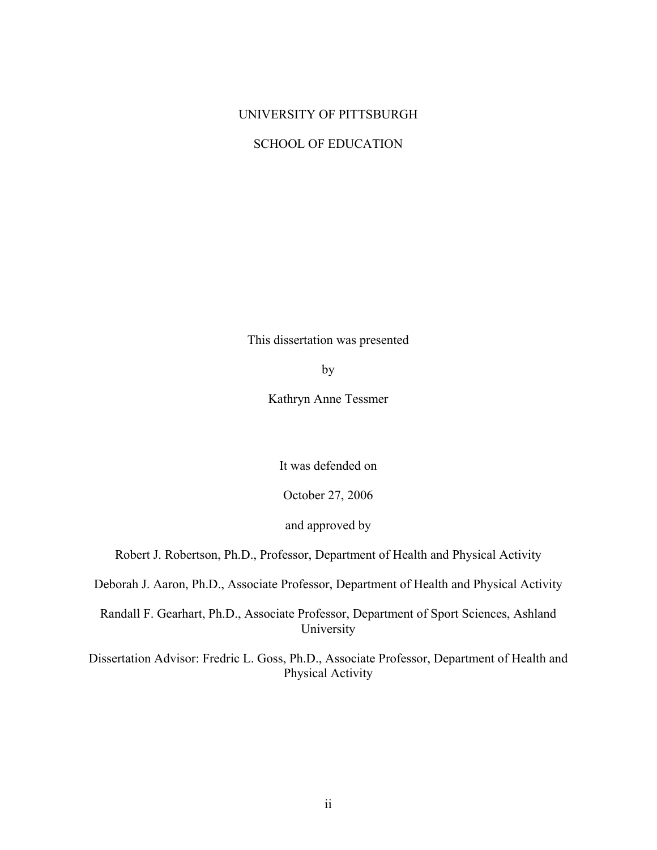# UNIVERSITY OF PITTSBURGH

## SCHOOL OF EDUCATION

This dissertation was presented

by

Kathryn Anne Tessmer

It was defended on

October 27, 2006

and approved by

Robert J. Robertson, Ph.D., Professor, Department of Health and Physical Activity

Deborah J. Aaron, Ph.D., Associate Professor, Department of Health and Physical Activity

Randall F. Gearhart, Ph.D., Associate Professor, Department of Sport Sciences, Ashland University

Dissertation Advisor: Fredric L. Goss, Ph.D., Associate Professor, Department of Health and Physical Activity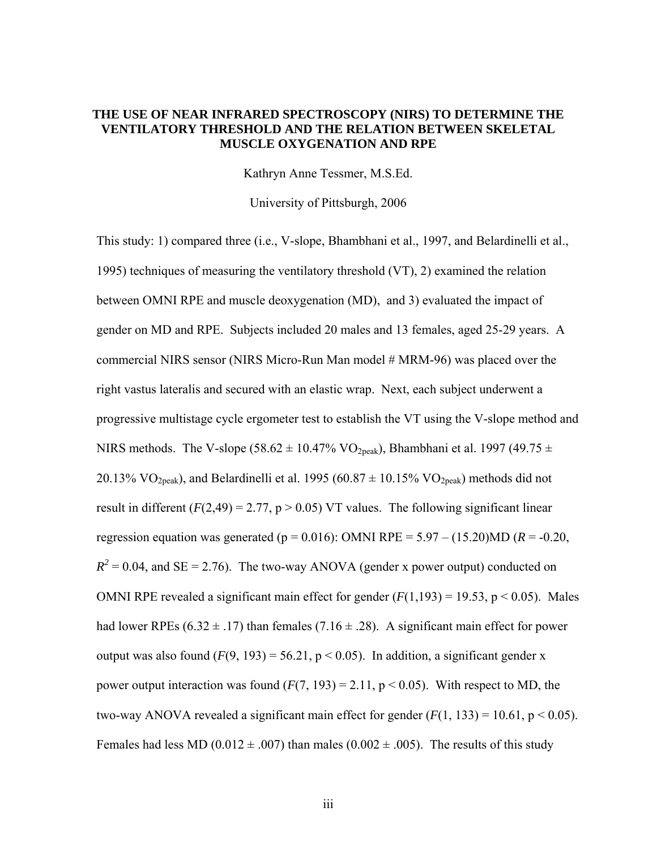# **THE USE OF NEAR INFRARED SPECTROSCOPY (NIRS) TO DETERMINE THE VENTILATORY THRESHOLD AND THE RELATION BETWEEN SKELETAL MUSCLE OXYGENATION AND RPE**

Kathryn Anne Tessmer, M.S.Ed.

University of Pittsburgh, 2006

This study: 1) compared three (i.e., V-slope, Bhambhani et al., 1997, and Belardinelli et al., 1995) techniques of measuring the ventilatory threshold (VT), 2) examined the relation between OMNI RPE and muscle deoxygenation (MD), and 3) evaluated the impact of gender on MD and RPE. Subjects included 20 males and 13 females, aged 25-29 years. A commercial NIRS sensor (NIRS Micro-Run Man model # MRM-96) was placed over the right vastus lateralis and secured with an elastic wrap. Next, each subject underwent a progressive multistage cycle ergometer test to establish the VT using the V-slope method and NIRS methods. The V-slope (58.62  $\pm$  10.47% VO<sub>2peak</sub>), Bhambhani et al. 1997 (49.75  $\pm$ 20.13% VO<sub>2peak</sub>), and Belardinelli et al. 1995 (60.87  $\pm$  10.15% VO<sub>2peak</sub>) methods did not result in different  $(F(2, 49) = 2.77, p > 0.05)$  VT values. The following significant linear regression equation was generated ( $p = 0.016$ ): OMNI RPE = 5.97 – (15.20)MD ( $R = -0.20$ ,  $R^2$  = 0.04, and SE = 2.76). The two-way ANOVA (gender x power output) conducted on OMNI RPE revealed a significant main effect for gender  $(F(1,193) = 19.53, p \le 0.05)$ . Males had lower RPEs (6.32  $\pm$  .17) than females (7.16  $\pm$  .28). A significant main effect for power output was also found  $(F(9, 193) = 56.21, p < 0.05)$ . In addition, a significant gender x power output interaction was found  $(F(7, 193) = 2.11, p < 0.05)$ . With respect to MD, the two-way ANOVA revealed a significant main effect for gender  $(F(1, 133) = 10.61, p < 0.05)$ . Females had less MD (0.012  $\pm$  .007) than males (0.002  $\pm$  .005). The results of this study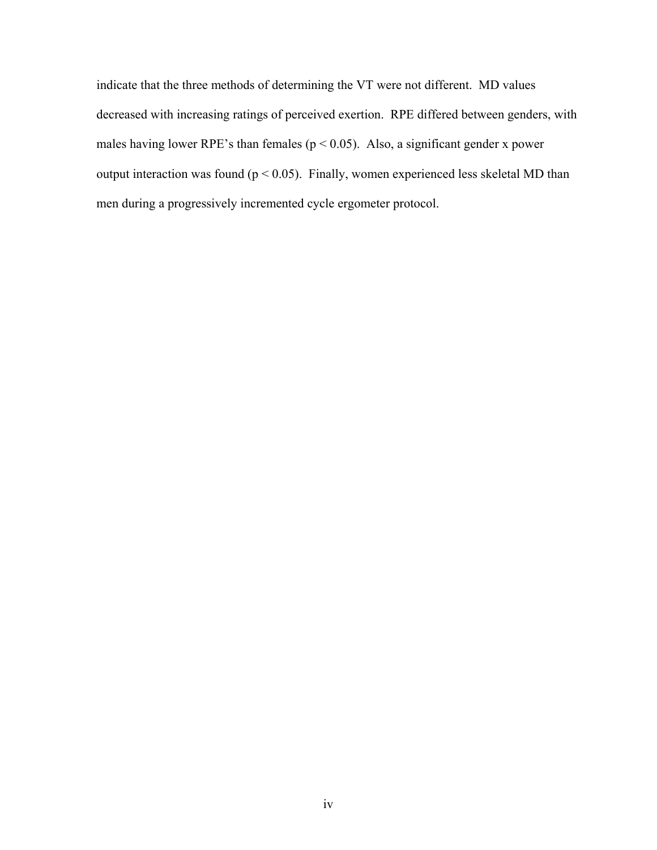indicate that the three methods of determining the VT were not different. MD values decreased with increasing ratings of perceived exertion. RPE differed between genders, with males having lower RPE's than females ( $p < 0.05$ ). Also, a significant gender x power output interaction was found ( $p < 0.05$ ). Finally, women experienced less skeletal MD than men during a progressively incremented cycle ergometer protocol.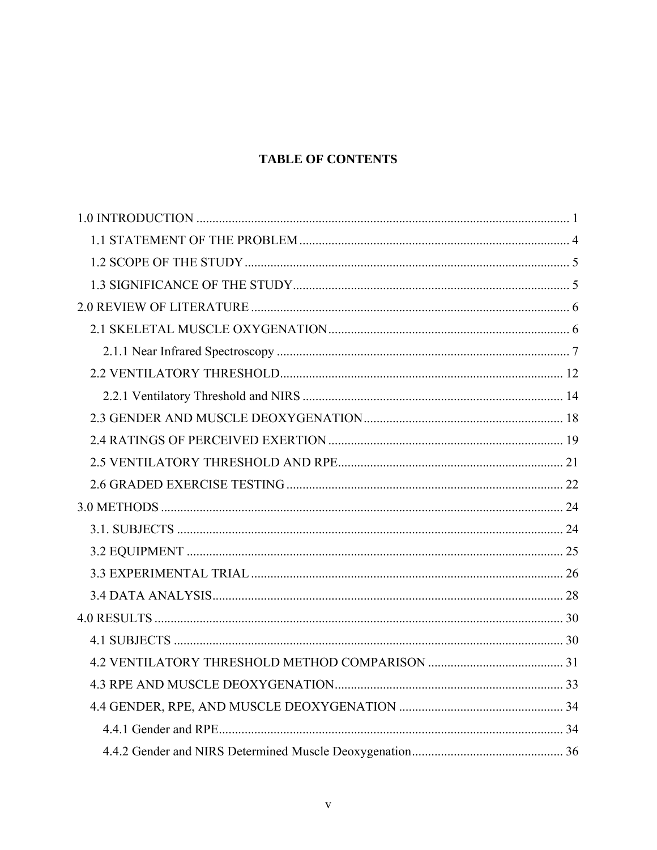# **TABLE OF CONTENTS**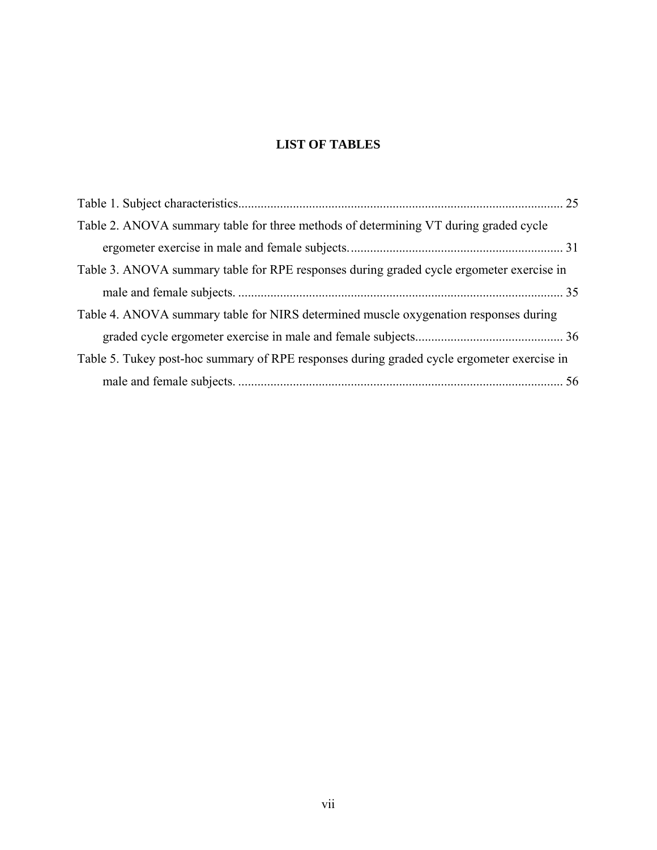# **LIST OF TABLES**

| Table 2. ANOVA summary table for three methods of determining VT during graded cycle       |  |
|--------------------------------------------------------------------------------------------|--|
|                                                                                            |  |
| Table 3. ANOVA summary table for RPE responses during graded cycle ergometer exercise in   |  |
|                                                                                            |  |
| Table 4. ANOVA summary table for NIRS determined muscle oxygenation responses during       |  |
|                                                                                            |  |
| Table 5. Tukey post-hoc summary of RPE responses during graded cycle ergometer exercise in |  |
|                                                                                            |  |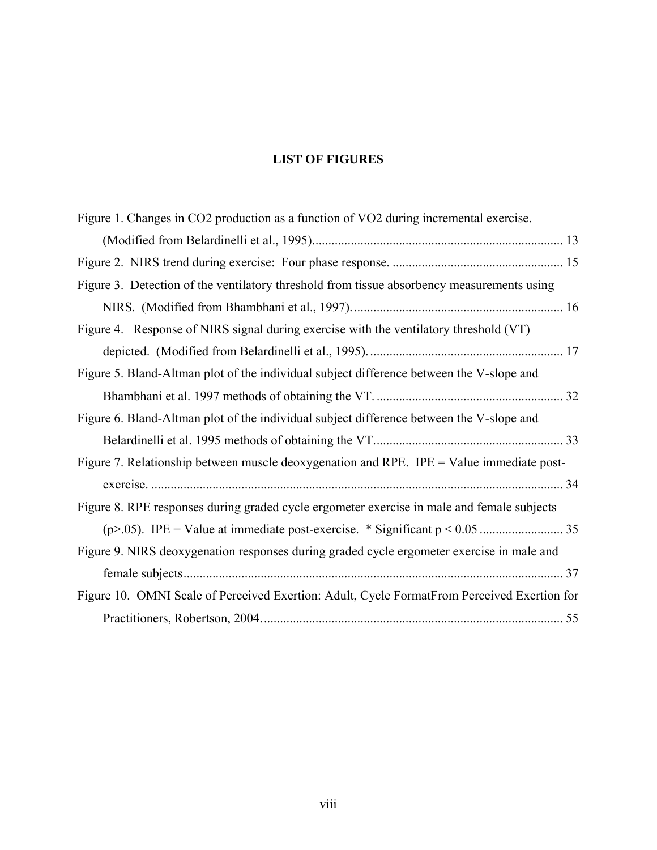# **LIST OF FIGURES**

| Figure 1. Changes in CO2 production as a function of VO2 during incremental exercise.       |  |
|---------------------------------------------------------------------------------------------|--|
|                                                                                             |  |
|                                                                                             |  |
| Figure 3. Detection of the ventilatory threshold from tissue absorbency measurements using  |  |
|                                                                                             |  |
| Figure 4. Response of NIRS signal during exercise with the ventilatory threshold (VT)       |  |
|                                                                                             |  |
| Figure 5. Bland-Altman plot of the individual subject difference between the V-slope and    |  |
|                                                                                             |  |
| Figure 6. Bland-Altman plot of the individual subject difference between the V-slope and    |  |
|                                                                                             |  |
| Figure 7. Relationship between muscle deoxygenation and RPE. IPE = Value immediate post-    |  |
|                                                                                             |  |
| Figure 8. RPE responses during graded cycle ergometer exercise in male and female subjects  |  |
|                                                                                             |  |
| Figure 9. NIRS deoxygenation responses during graded cycle ergometer exercise in male and   |  |
|                                                                                             |  |
| Figure 10. OMNI Scale of Perceived Exertion: Adult, Cycle FormatFrom Perceived Exertion for |  |
|                                                                                             |  |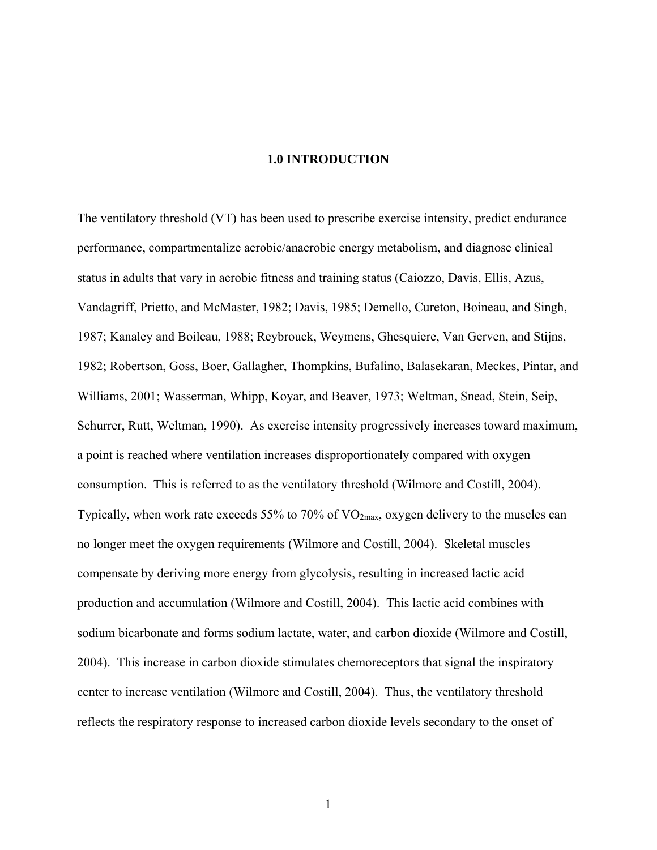## **1.0 INTRODUCTION**

<span id="page-8-0"></span>The ventilatory threshold (VT) has been used to prescribe exercise intensity, predict endurance performance, compartmentalize aerobic/anaerobic energy metabolism, and diagnose clinical status in adults that vary in aerobic fitness and training status (Caiozzo, Davis, Ellis, Azus, Vandagriff, Prietto, and McMaster, 1982; Davis, 1985; Demello, Cureton, Boineau, and Singh, 1987; Kanaley and Boileau, 1988; Reybrouck, Weymens, Ghesquiere, Van Gerven, and Stijns, 1982; Robertson, Goss, Boer, Gallagher, Thompkins, Bufalino, Balasekaran, Meckes, Pintar, and Williams, 2001; Wasserman, Whipp, Koyar, and Beaver, 1973; Weltman, Snead, Stein, Seip, Schurrer, Rutt, Weltman, 1990). As exercise intensity progressively increases toward maximum, a point is reached where ventilation increases disproportionately compared with oxygen consumption. This is referred to as the ventilatory threshold (Wilmore and Costill, 2004). Typically, when work rate exceeds 55% to 70% of  $VO_{2max}$ , oxygen delivery to the muscles can no longer meet the oxygen requirements (Wilmore and Costill, 2004). Skeletal muscles compensate by deriving more energy from glycolysis, resulting in increased lactic acid production and accumulation (Wilmore and Costill, 2004). This lactic acid combines with sodium bicarbonate and forms sodium lactate, water, and carbon dioxide (Wilmore and Costill, 2004). This increase in carbon dioxide stimulates chemoreceptors that signal the inspiratory center to increase ventilation (Wilmore and Costill, 2004). Thus, the ventilatory threshold reflects the respiratory response to increased carbon dioxide levels secondary to the onset of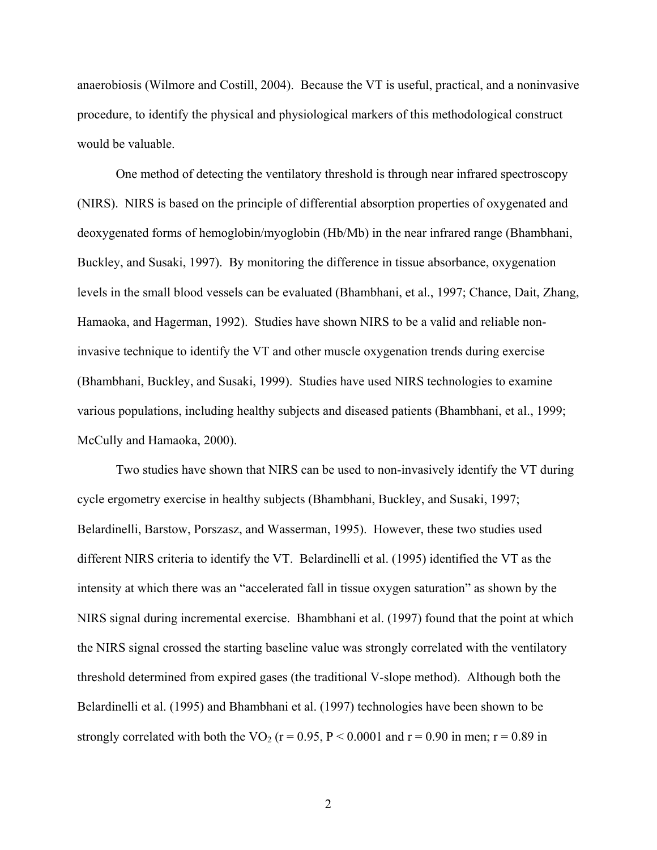anaerobiosis (Wilmore and Costill, 2004). Because the VT is useful, practical, and a noninvasive procedure, to identify the physical and physiological markers of this methodological construct would be valuable.

One method of detecting the ventilatory threshold is through near infrared spectroscopy (NIRS). NIRS is based on the principle of differential absorption properties of oxygenated and deoxygenated forms of hemoglobin/myoglobin (Hb/Mb) in the near infrared range (Bhambhani, Buckley, and Susaki, 1997). By monitoring the difference in tissue absorbance, oxygenation levels in the small blood vessels can be evaluated (Bhambhani, et al., 1997; Chance, Dait, Zhang, Hamaoka, and Hagerman, 1992). Studies have shown NIRS to be a valid and reliable noninvasive technique to identify the VT and other muscle oxygenation trends during exercise (Bhambhani, Buckley, and Susaki, 1999). Studies have used NIRS technologies to examine various populations, including healthy subjects and diseased patients (Bhambhani, et al., 1999; McCully and Hamaoka, 2000).

Two studies have shown that NIRS can be used to non-invasively identify the VT during cycle ergometry exercise in healthy subjects (Bhambhani, Buckley, and Susaki, 1997; Belardinelli, Barstow, Porszasz, and Wasserman, 1995). However, these two studies used different NIRS criteria to identify the VT. Belardinelli et al. (1995) identified the VT as the intensity at which there was an "accelerated fall in tissue oxygen saturation" as shown by the NIRS signal during incremental exercise. Bhambhani et al. (1997) found that the point at which the NIRS signal crossed the starting baseline value was strongly correlated with the ventilatory threshold determined from expired gases (the traditional V-slope method). Although both the Belardinelli et al. (1995) and Bhambhani et al. (1997) technologies have been shown to be strongly correlated with both the VO<sub>2</sub> ( $r = 0.95$ ,  $P < 0.0001$  and  $r = 0.90$  in men;  $r = 0.89$  in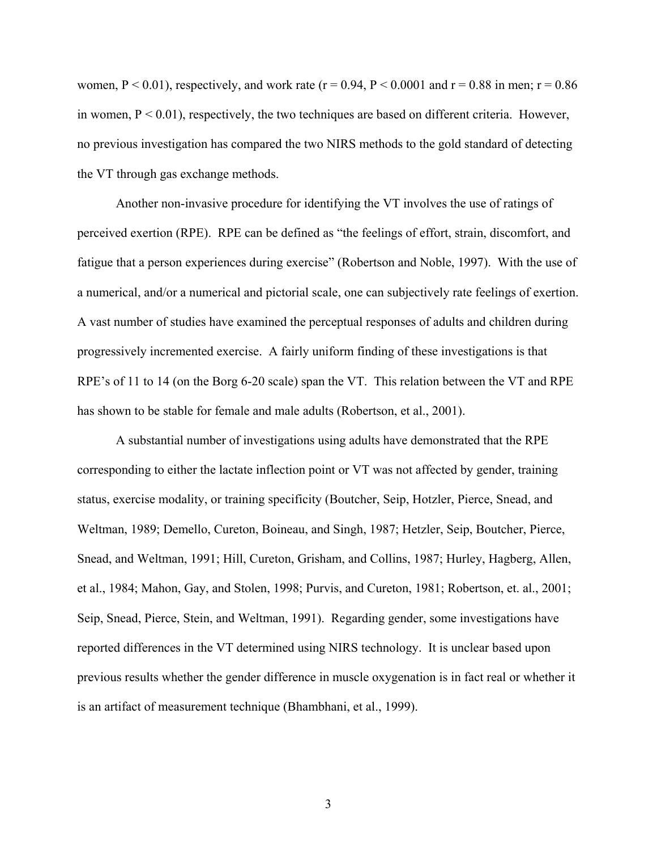women,  $P < 0.01$ ), respectively, and work rate (r = 0.94, P  $< 0.0001$  and r = 0.88 in men; r = 0.86 in women,  $P \le 0.01$ ), respectively, the two techniques are based on different criteria. However, no previous investigation has compared the two NIRS methods to the gold standard of detecting the VT through gas exchange methods.

Another non-invasive procedure for identifying the VT involves the use of ratings of perceived exertion (RPE). RPE can be defined as "the feelings of effort, strain, discomfort, and fatigue that a person experiences during exercise" (Robertson and Noble, 1997). With the use of a numerical, and/or a numerical and pictorial scale, one can subjectively rate feelings of exertion. A vast number of studies have examined the perceptual responses of adults and children during progressively incremented exercise. A fairly uniform finding of these investigations is that RPE's of 11 to 14 (on the Borg 6-20 scale) span the VT. This relation between the VT and RPE has shown to be stable for female and male adults (Robertson, et al., 2001).

A substantial number of investigations using adults have demonstrated that the RPE corresponding to either the lactate inflection point or VT was not affected by gender, training status, exercise modality, or training specificity (Boutcher, Seip, Hotzler, Pierce, Snead, and Weltman, 1989; Demello, Cureton, Boineau, and Singh, 1987; Hetzler, Seip, Boutcher, Pierce, Snead, and Weltman, 1991; Hill, Cureton, Grisham, and Collins, 1987; Hurley, Hagberg, Allen, et al., 1984; Mahon, Gay, and Stolen, 1998; Purvis, and Cureton, 1981; Robertson, et. al., 2001; Seip, Snead, Pierce, Stein, and Weltman, 1991). Regarding gender, some investigations have reported differences in the VT determined using NIRS technology. It is unclear based upon previous results whether the gender difference in muscle oxygenation is in fact real or whether it is an artifact of measurement technique (Bhambhani, et al., 1999).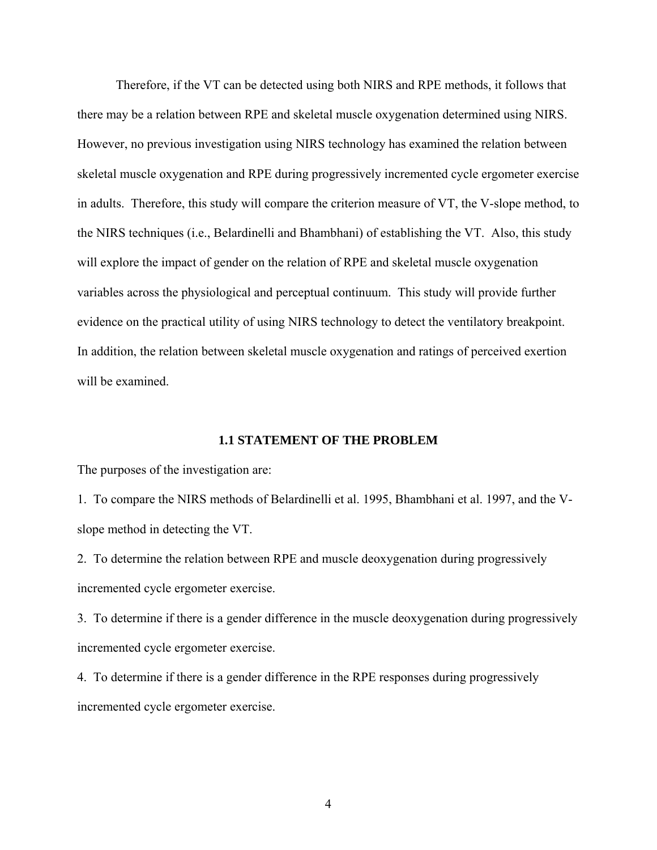<span id="page-11-0"></span>Therefore, if the VT can be detected using both NIRS and RPE methods, it follows that there may be a relation between RPE and skeletal muscle oxygenation determined using NIRS. However, no previous investigation using NIRS technology has examined the relation between skeletal muscle oxygenation and RPE during progressively incremented cycle ergometer exercise in adults. Therefore, this study will compare the criterion measure of VT, the V-slope method, to the NIRS techniques (i.e., Belardinelli and Bhambhani) of establishing the VT. Also, this study will explore the impact of gender on the relation of RPE and skeletal muscle oxygenation variables across the physiological and perceptual continuum. This study will provide further evidence on the practical utility of using NIRS technology to detect the ventilatory breakpoint. In addition, the relation between skeletal muscle oxygenation and ratings of perceived exertion will be examined.

### **1.1 STATEMENT OF THE PROBLEM**

The purposes of the investigation are:

1. To compare the NIRS methods of Belardinelli et al. 1995, Bhambhani et al. 1997, and the Vslope method in detecting the VT.

2. To determine the relation between RPE and muscle deoxygenation during progressively incremented cycle ergometer exercise.

3. To determine if there is a gender difference in the muscle deoxygenation during progressively incremented cycle ergometer exercise.

4. To determine if there is a gender difference in the RPE responses during progressively incremented cycle ergometer exercise.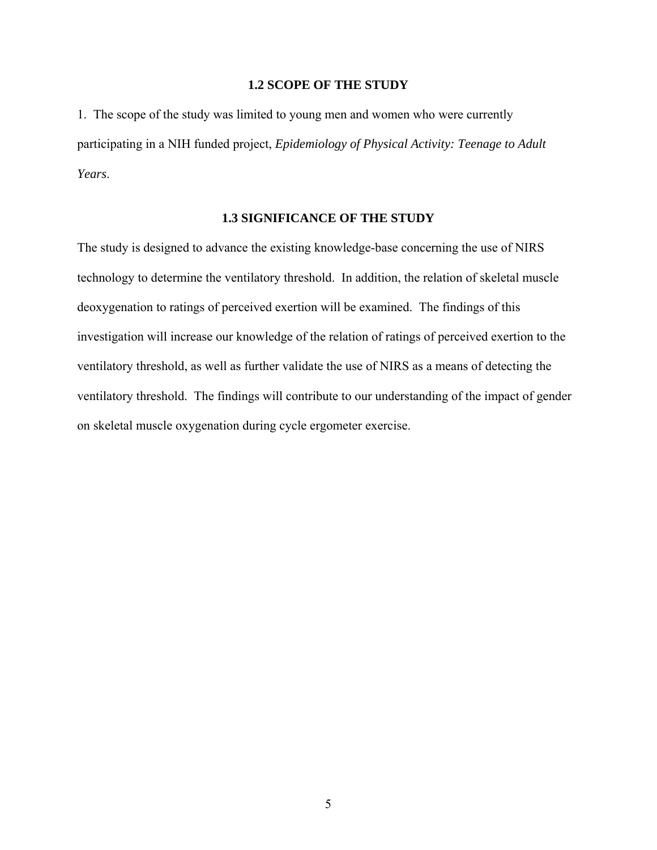## **1.2 SCOPE OF THE STUDY**

<span id="page-12-0"></span>1. The scope of the study was limited to young men and women who were currently participating in a NIH funded project, *Epidemiology of Physical Activity: Teenage to Adult Years*.

### **1.3 SIGNIFICANCE OF THE STUDY**

The study is designed to advance the existing knowledge-base concerning the use of NIRS technology to determine the ventilatory threshold. In addition, the relation of skeletal muscle deoxygenation to ratings of perceived exertion will be examined. The findings of this investigation will increase our knowledge of the relation of ratings of perceived exertion to the ventilatory threshold, as well as further validate the use of NIRS as a means of detecting the ventilatory threshold. The findings will contribute to our understanding of the impact of gender on skeletal muscle oxygenation during cycle ergometer exercise.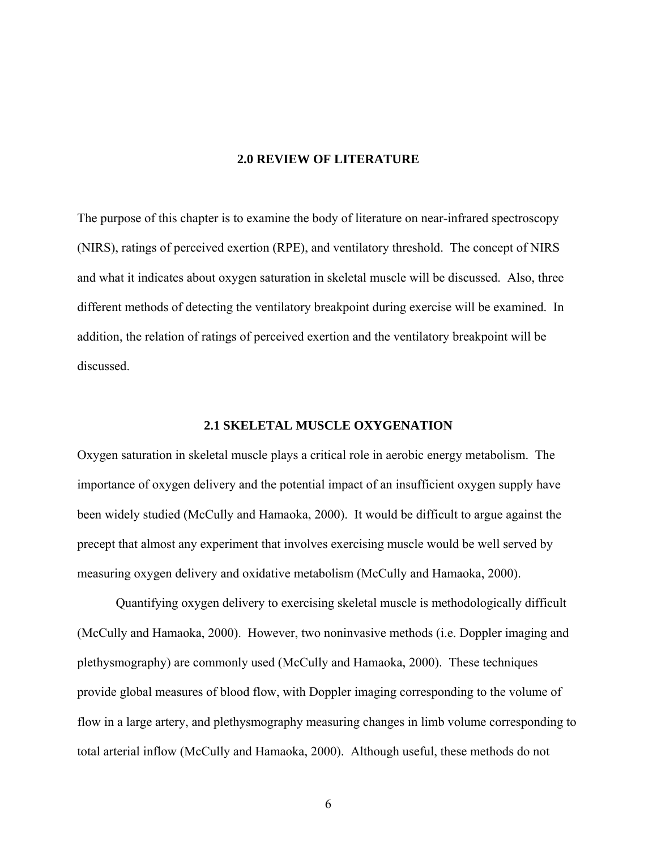# **2.0 REVIEW OF LITERATURE**

<span id="page-13-0"></span>The purpose of this chapter is to examine the body of literature on near-infrared spectroscopy (NIRS), ratings of perceived exertion (RPE), and ventilatory threshold. The concept of NIRS and what it indicates about oxygen saturation in skeletal muscle will be discussed. Also, three different methods of detecting the ventilatory breakpoint during exercise will be examined. In addition, the relation of ratings of perceived exertion and the ventilatory breakpoint will be discussed.

# **2.1 SKELETAL MUSCLE OXYGENATION**

Oxygen saturation in skeletal muscle plays a critical role in aerobic energy metabolism. The importance of oxygen delivery and the potential impact of an insufficient oxygen supply have been widely studied (McCully and Hamaoka, 2000). It would be difficult to argue against the precept that almost any experiment that involves exercising muscle would be well served by measuring oxygen delivery and oxidative metabolism (McCully and Hamaoka, 2000).

Quantifying oxygen delivery to exercising skeletal muscle is methodologically difficult (McCully and Hamaoka, 2000). However, two noninvasive methods (i.e. Doppler imaging and plethysmography) are commonly used (McCully and Hamaoka, 2000). These techniques provide global measures of blood flow, with Doppler imaging corresponding to the volume of flow in a large artery, and plethysmography measuring changes in limb volume corresponding to total arterial inflow (McCully and Hamaoka, 2000). Although useful, these methods do not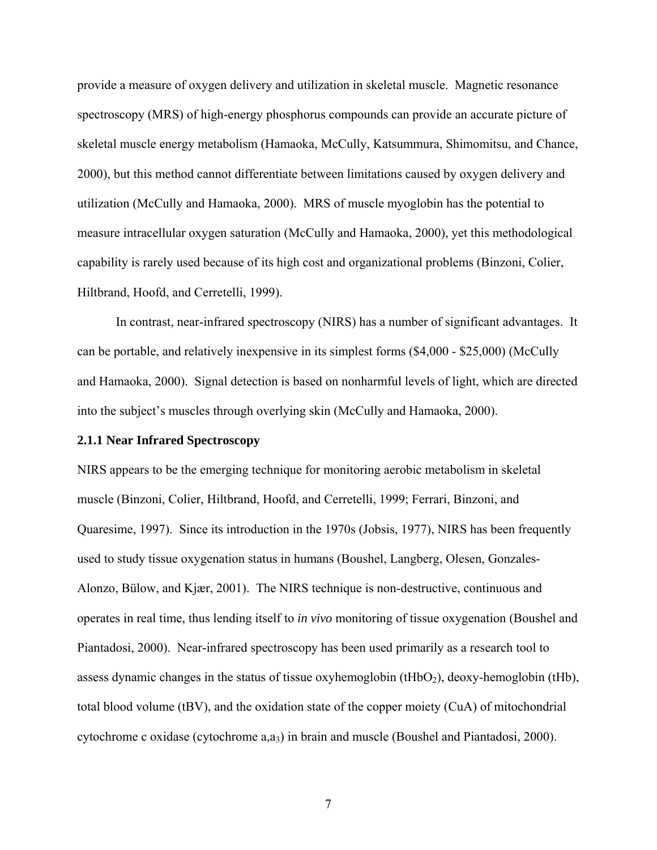<span id="page-14-0"></span>provide a measure of oxygen delivery and utilization in skeletal muscle. Magnetic resonance spectroscopy (MRS) of high-energy phosphorus compounds can provide an accurate picture of skeletal muscle energy metabolism (Hamaoka, McCully, Katsummura, Shimomitsu, and Chance, 2000), but this method cannot differentiate between limitations caused by oxygen delivery and utilization (McCully and Hamaoka, 2000). MRS of muscle myoglobin has the potential to measure intracellular oxygen saturation (McCully and Hamaoka, 2000), yet this methodological capability is rarely used because of its high cost and organizational problems (Binzoni, Colier, Hiltbrand, Hoofd, and Cerretelli, 1999).

In contrast, near-infrared spectroscopy (NIRS) has a number of significant advantages. It can be portable, and relatively inexpensive in its simplest forms (\$4,000 - \$25,000) (McCully and Hamaoka, 2000). Signal detection is based on nonharmful levels of light, which are directed into the subject's muscles through overlying skin (McCully and Hamaoka, 2000).

### **2.1.1 Near Infrared Spectroscopy**

NIRS appears to be the emerging technique for monitoring aerobic metabolism in skeletal muscle (Binzoni, Colier, Hiltbrand, Hoofd, and Cerretelli, 1999; Ferrari, Binzoni, and Quaresime, 1997). Since its introduction in the 1970s (Jobsis, 1977), NIRS has been frequently used to study tissue oxygenation status in humans (Boushel, Langberg, Olesen, Gonzales-Alonzo, Bülow, and Kjær, 2001). The NIRS technique is non-destructive, continuous and operates in real time, thus lending itself to *in vivo* monitoring of tissue oxygenation (Boushel and Piantadosi, 2000). Near-infrared spectroscopy has been used primarily as a research tool to assess dynamic changes in the status of tissue oxyhemoglobin (tHbO<sub>2</sub>), deoxy-hemoglobin (tHb), total blood volume (tBV), and the oxidation state of the copper moiety (CuA) of mitochondrial cytochrome c oxidase (cytochrome a,a3) in brain and muscle (Boushel and Piantadosi, 2000).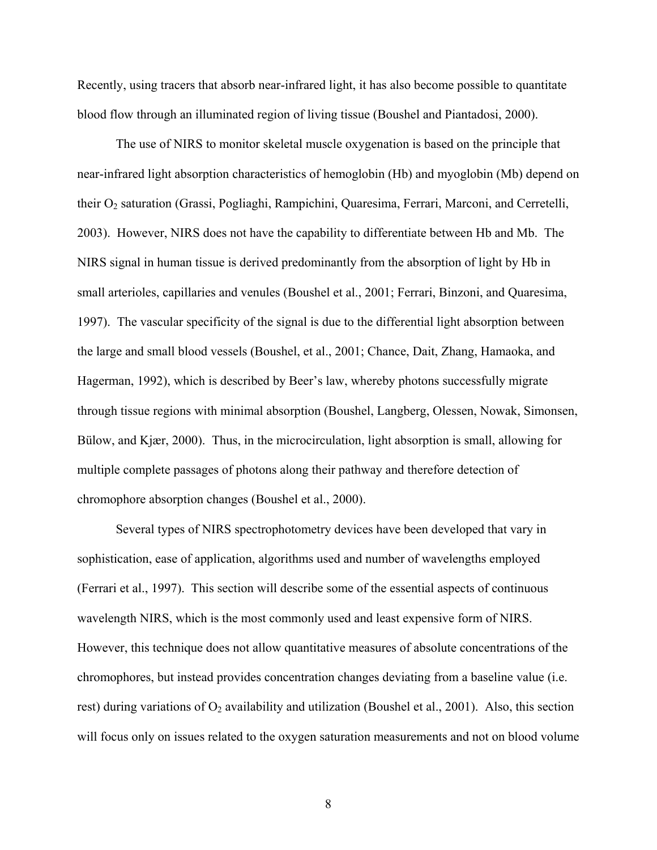Recently, using tracers that absorb near-infrared light, it has also become possible to quantitate blood flow through an illuminated region of living tissue (Boushel and Piantadosi, 2000).

 The use of NIRS to monitor skeletal muscle oxygenation is based on the principle that near-infrared light absorption characteristics of hemoglobin (Hb) and myoglobin (Mb) depend on their O<sub>2</sub> saturation (Grassi, Pogliaghi, Rampichini, Quaresima, Ferrari, Marconi, and Cerretelli, 2003). However, NIRS does not have the capability to differentiate between Hb and Mb. The NIRS signal in human tissue is derived predominantly from the absorption of light by Hb in small arterioles, capillaries and venules (Boushel et al., 2001; Ferrari, Binzoni, and Quaresima, 1997). The vascular specificity of the signal is due to the differential light absorption between the large and small blood vessels (Boushel, et al., 2001; Chance, Dait, Zhang, Hamaoka, and Hagerman, 1992), which is described by Beer's law, whereby photons successfully migrate through tissue regions with minimal absorption (Boushel, Langberg, Olessen, Nowak, Simonsen, Bülow, and Kjær, 2000). Thus, in the microcirculation, light absorption is small, allowing for multiple complete passages of photons along their pathway and therefore detection of chromophore absorption changes (Boushel et al., 2000).

Several types of NIRS spectrophotometry devices have been developed that vary in sophistication, ease of application, algorithms used and number of wavelengths employed (Ferrari et al., 1997). This section will describe some of the essential aspects of continuous wavelength NIRS, which is the most commonly used and least expensive form of NIRS. However, this technique does not allow quantitative measures of absolute concentrations of the chromophores, but instead provides concentration changes deviating from a baseline value (i.e. rest) during variations of  $O_2$  availability and utilization (Boushel et al., 2001). Also, this section will focus only on issues related to the oxygen saturation measurements and not on blood volume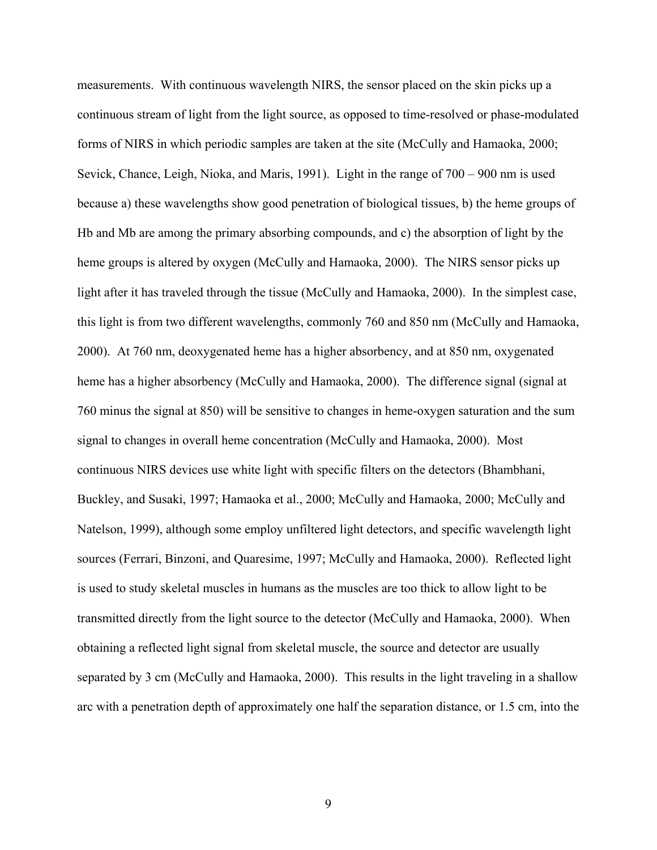measurements. With continuous wavelength NIRS, the sensor placed on the skin picks up a continuous stream of light from the light source, as opposed to time-resolved or phase-modulated forms of NIRS in which periodic samples are taken at the site (McCully and Hamaoka, 2000; Sevick, Chance, Leigh, Nioka, and Maris, 1991). Light in the range of 700 – 900 nm is used because a) these wavelengths show good penetration of biological tissues, b) the heme groups of Hb and Mb are among the primary absorbing compounds, and c) the absorption of light by the heme groups is altered by oxygen (McCully and Hamaoka, 2000). The NIRS sensor picks up light after it has traveled through the tissue (McCully and Hamaoka, 2000). In the simplest case, this light is from two different wavelengths, commonly 760 and 850 nm (McCully and Hamaoka, 2000). At 760 nm, deoxygenated heme has a higher absorbency, and at 850 nm, oxygenated heme has a higher absorbency (McCully and Hamaoka, 2000). The difference signal (signal at 760 minus the signal at 850) will be sensitive to changes in heme-oxygen saturation and the sum signal to changes in overall heme concentration (McCully and Hamaoka, 2000). Most continuous NIRS devices use white light with specific filters on the detectors (Bhambhani, Buckley, and Susaki, 1997; Hamaoka et al., 2000; McCully and Hamaoka, 2000; McCully and Natelson, 1999), although some employ unfiltered light detectors, and specific wavelength light sources (Ferrari, Binzoni, and Quaresime, 1997; McCully and Hamaoka, 2000). Reflected light is used to study skeletal muscles in humans as the muscles are too thick to allow light to be transmitted directly from the light source to the detector (McCully and Hamaoka, 2000). When obtaining a reflected light signal from skeletal muscle, the source and detector are usually separated by 3 cm (McCully and Hamaoka, 2000). This results in the light traveling in a shallow arc with a penetration depth of approximately one half the separation distance, or 1.5 cm, into the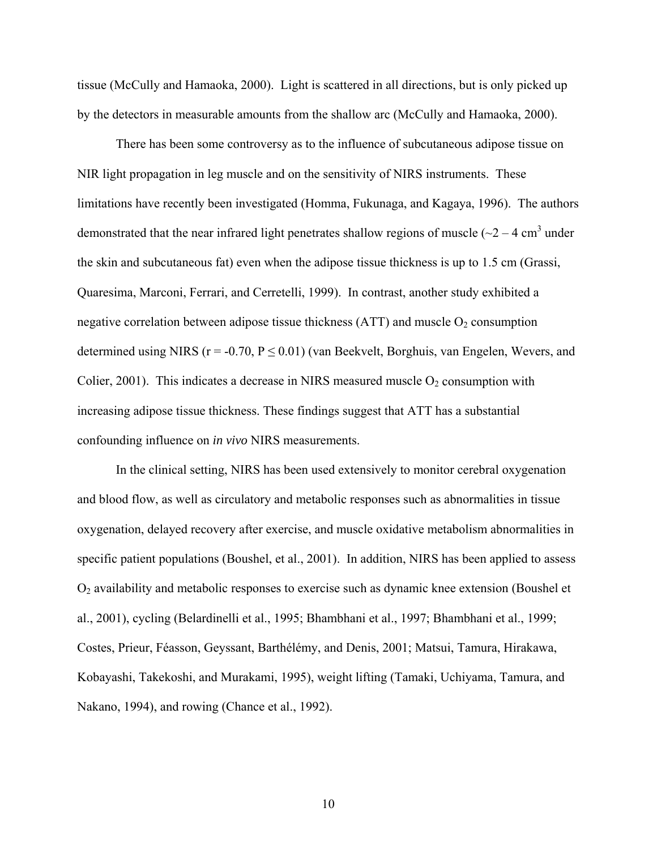tissue (McCully and Hamaoka, 2000). Light is scattered in all directions, but is only picked up by the detectors in measurable amounts from the shallow arc (McCully and Hamaoka, 2000).

There has been some controversy as to the influence of subcutaneous adipose tissue on NIR light propagation in leg muscle and on the sensitivity of NIRS instruments. These limitations have recently been investigated (Homma, Fukunaga, and Kagaya, 1996). The authors demonstrated that the near infrared light penetrates shallow regions of muscle ( $\sim$ 2 – 4 cm<sup>3</sup> under the skin and subcutaneous fat) even when the adipose tissue thickness is up to 1.5 cm (Grassi, Quaresima, Marconi, Ferrari, and Cerretelli, 1999). In contrast, another study exhibited a negative correlation between adipose tissue thickness  $(ATT)$  and muscle  $O<sub>2</sub>$  consumption determined using NIRS ( $r = -0.70$ ,  $P \le 0.01$ ) (van Beekvelt, Borghuis, van Engelen, Wevers, and Colier, 2001). This indicates a decrease in NIRS measured muscle  $O_2$  consumption with increasing adipose tissue thickness. These findings suggest that ATT has a substantial confounding influence on *in vivo* NIRS measurements.

In the clinical setting, NIRS has been used extensively to monitor cerebral oxygenation and blood flow, as well as circulatory and metabolic responses such as abnormalities in tissue oxygenation, delayed recovery after exercise, and muscle oxidative metabolism abnormalities in specific patient populations (Boushel, et al., 2001). In addition, NIRS has been applied to assess O2 availability and metabolic responses to exercise such as dynamic knee extension (Boushel et al., 2001), cycling (Belardinelli et al., 1995; Bhambhani et al., 1997; Bhambhani et al., 1999; Costes, Prieur, Féasson, Geyssant, Barthélémy, and Denis, 2001; Matsui, Tamura, Hirakawa, Kobayashi, Takekoshi, and Murakami, 1995), weight lifting (Tamaki, Uchiyama, Tamura, and Nakano, 1994), and rowing (Chance et al., 1992).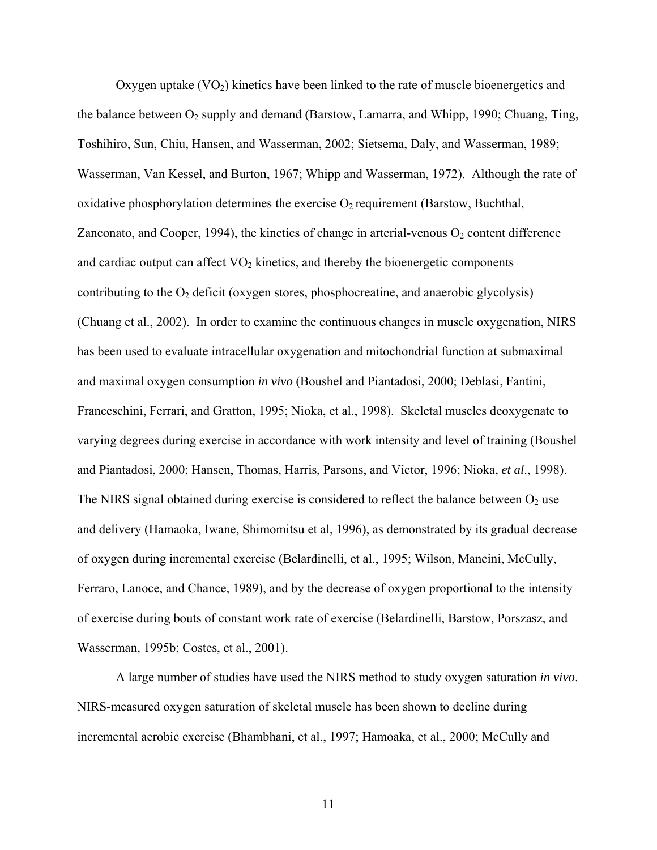Oxygen uptake  $(VO<sub>2</sub>)$  kinetics have been linked to the rate of muscle bioenergetics and the balance between O<sub>2</sub> supply and demand (Barstow, Lamarra, and Whipp, 1990; Chuang, Ting, Toshihiro, Sun, Chiu, Hansen, and Wasserman, 2002; Sietsema, Daly, and Wasserman, 1989; Wasserman, Van Kessel, and Burton, 1967; Whipp and Wasserman, 1972). Although the rate of oxidative phosphorylation determines the exercise  $O_2$  requirement (Barstow, Buchthal, Zanconato, and Cooper, 1994), the kinetics of change in arterial-venous  $O_2$  content difference and cardiac output can affect  $VO<sub>2</sub>$  kinetics, and thereby the bioenergetic components contributing to the  $O_2$  deficit (oxygen stores, phosphocreatine, and anaerobic glycolysis) (Chuang et al., 2002). In order to examine the continuous changes in muscle oxygenation, NIRS has been used to evaluate intracellular oxygenation and mitochondrial function at submaximal and maximal oxygen consumption *in vivo* (Boushel and Piantadosi, 2000; Deblasi, Fantini, Franceschini, Ferrari, and Gratton, 1995; Nioka, et al., 1998). Skeletal muscles deoxygenate to varying degrees during exercise in accordance with work intensity and level of training (Boushel and Piantadosi, 2000; Hansen, Thomas, Harris, Parsons, and Victor, 1996; Nioka, *et al*., 1998). The NIRS signal obtained during exercise is considered to reflect the balance between  $O_2$  use and delivery (Hamaoka, Iwane, Shimomitsu et al, 1996), as demonstrated by its gradual decrease of oxygen during incremental exercise (Belardinelli, et al., 1995; Wilson, Mancini, McCully, Ferraro, Lanoce, and Chance, 1989), and by the decrease of oxygen proportional to the intensity of exercise during bouts of constant work rate of exercise (Belardinelli, Barstow, Porszasz, and Wasserman, 1995b; Costes, et al., 2001).

A large number of studies have used the NIRS method to study oxygen saturation *in vivo*. NIRS-measured oxygen saturation of skeletal muscle has been shown to decline during incremental aerobic exercise (Bhambhani, et al., 1997; Hamoaka, et al., 2000; McCully and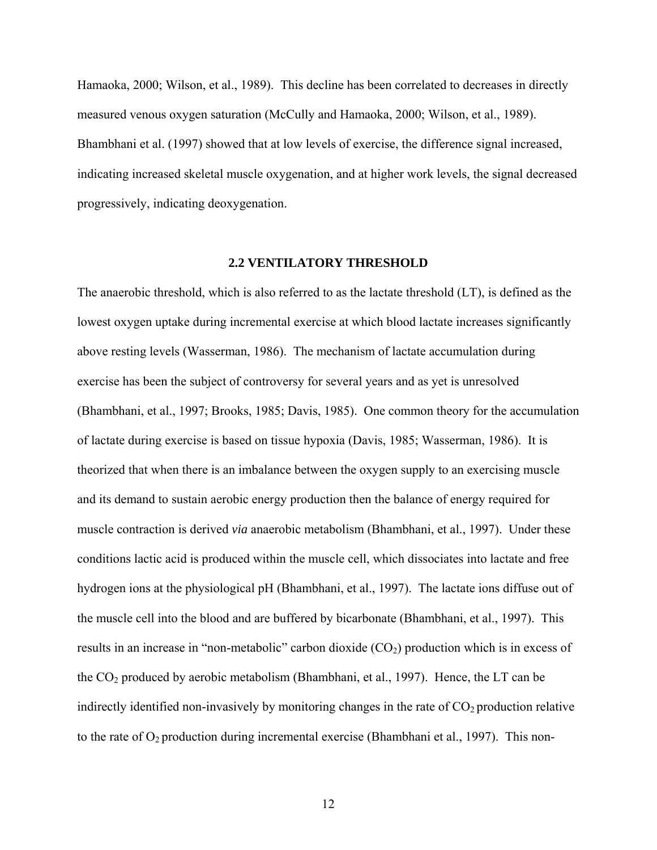<span id="page-19-0"></span>Hamaoka, 2000; Wilson, et al., 1989). This decline has been correlated to decreases in directly measured venous oxygen saturation (McCully and Hamaoka, 2000; Wilson, et al., 1989). Bhambhani et al. (1997) showed that at low levels of exercise, the difference signal increased, indicating increased skeletal muscle oxygenation, and at higher work levels, the signal decreased progressively, indicating deoxygenation.

## **2.2 VENTILATORY THRESHOLD**

The anaerobic threshold, which is also referred to as the lactate threshold (LT), is defined as the lowest oxygen uptake during incremental exercise at which blood lactate increases significantly above resting levels (Wasserman, 1986). The mechanism of lactate accumulation during exercise has been the subject of controversy for several years and as yet is unresolved (Bhambhani, et al., 1997; Brooks, 1985; Davis, 1985). One common theory for the accumulation of lactate during exercise is based on tissue hypoxia (Davis, 1985; Wasserman, 1986). It is theorized that when there is an imbalance between the oxygen supply to an exercising muscle and its demand to sustain aerobic energy production then the balance of energy required for muscle contraction is derived *via* anaerobic metabolism (Bhambhani, et al., 1997). Under these conditions lactic acid is produced within the muscle cell, which dissociates into lactate and free hydrogen ions at the physiological pH (Bhambhani, et al., 1997). The lactate ions diffuse out of the muscle cell into the blood and are buffered by bicarbonate (Bhambhani, et al., 1997). This results in an increase in "non-metabolic" carbon dioxide  $(CO<sub>2</sub>)$  production which is in excess of the  $CO<sub>2</sub>$  produced by aerobic metabolism (Bhambhani, et al., 1997). Hence, the LT can be indirectly identified non-invasively by monitoring changes in the rate of  $CO<sub>2</sub>$  production relative to the rate of  $O_2$  production during incremental exercise (Bhambhani et al., 1997). This non-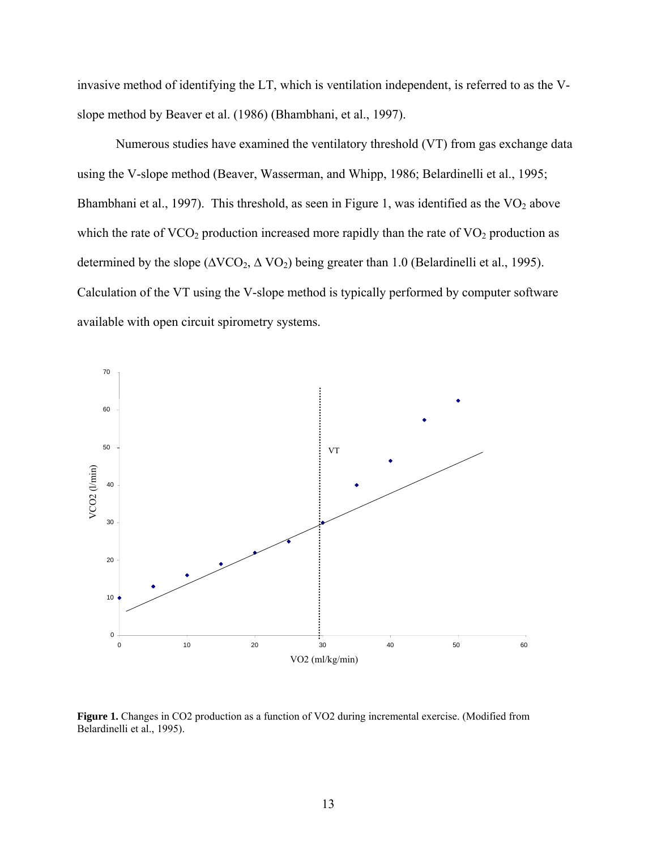<span id="page-20-0"></span>invasive method of identifying the LT, which is ventilation independent, is referred to as the Vslope method by Beaver et al. (1986) (Bhambhani, et al., 1997).

 Numerous studies have examined the ventilatory threshold (VT) from gas exchange data using the V-slope method (Beaver, Wasserman, and Whipp, 1986; Belardinelli et al., 1995; Bhambhani et al., 1997). This threshold, as seen in Figure 1, was identified as the  $VO<sub>2</sub>$  above which the rate of  $VCO<sub>2</sub>$  production increased more rapidly than the rate of  $VO<sub>2</sub>$  production as determined by the slope ( $\Delta VCO_2$ ,  $\Delta VO_2$ ) being greater than 1.0 (Belardinelli et al., 1995). Calculation of the VT using the V-slope method is typically performed by computer software available with open circuit spirometry systems.



**Figure 1.** Changes in CO2 production as a function of VO2 during incremental exercise. (Modified from Belardinelli et al., 1995).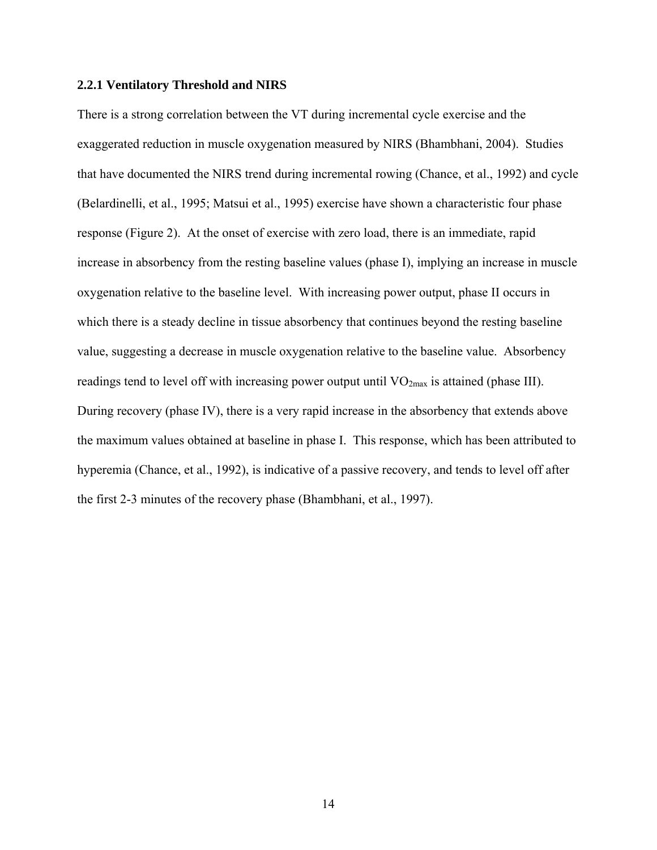#### <span id="page-21-0"></span>**2.2.1 Ventilatory Threshold and NIRS**

There is a strong correlation between the VT during incremental cycle exercise and the exaggerated reduction in muscle oxygenation measured by NIRS (Bhambhani, 2004). Studies that have documented the NIRS trend during incremental rowing (Chance, et al., 1992) and cycle (Belardinelli, et al., 1995; Matsui et al., 1995) exercise have shown a characteristic four phase response (Figure 2). At the onset of exercise with zero load, there is an immediate, rapid increase in absorbency from the resting baseline values (phase I), implying an increase in muscle oxygenation relative to the baseline level. With increasing power output, phase II occurs in which there is a steady decline in tissue absorbency that continues beyond the resting baseline value, suggesting a decrease in muscle oxygenation relative to the baseline value. Absorbency readings tend to level off with increasing power output until  $VO<sub>2max</sub>$  is attained (phase III). During recovery (phase IV), there is a very rapid increase in the absorbency that extends above the maximum values obtained at baseline in phase I. This response, which has been attributed to hyperemia (Chance, et al., 1992), is indicative of a passive recovery, and tends to level off after the first 2-3 minutes of the recovery phase (Bhambhani, et al., 1997).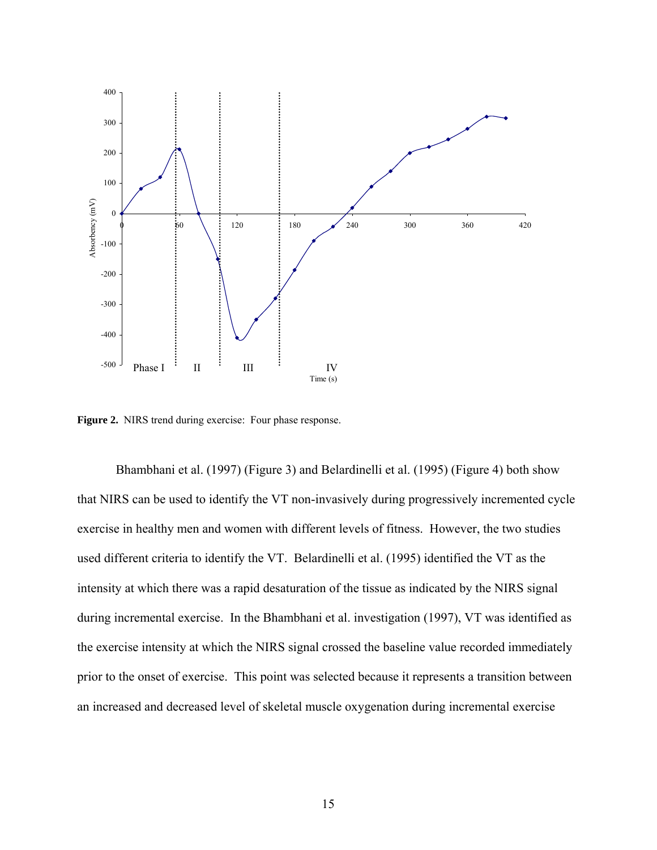<span id="page-22-0"></span>

**Figure 2.** NIRS trend during exercise: Four phase response.

 Bhambhani et al. (1997) (Figure 3) and Belardinelli et al. (1995) (Figure 4) both show that NIRS can be used to identify the VT non-invasively during progressively incremented cycle exercise in healthy men and women with different levels of fitness. However, the two studies used different criteria to identify the VT. Belardinelli et al. (1995) identified the VT as the intensity at which there was a rapid desaturation of the tissue as indicated by the NIRS signal during incremental exercise. In the Bhambhani et al. investigation (1997), VT was identified as the exercise intensity at which the NIRS signal crossed the baseline value recorded immediately prior to the onset of exercise. This point was selected because it represents a transition between an increased and decreased level of skeletal muscle oxygenation during incremental exercise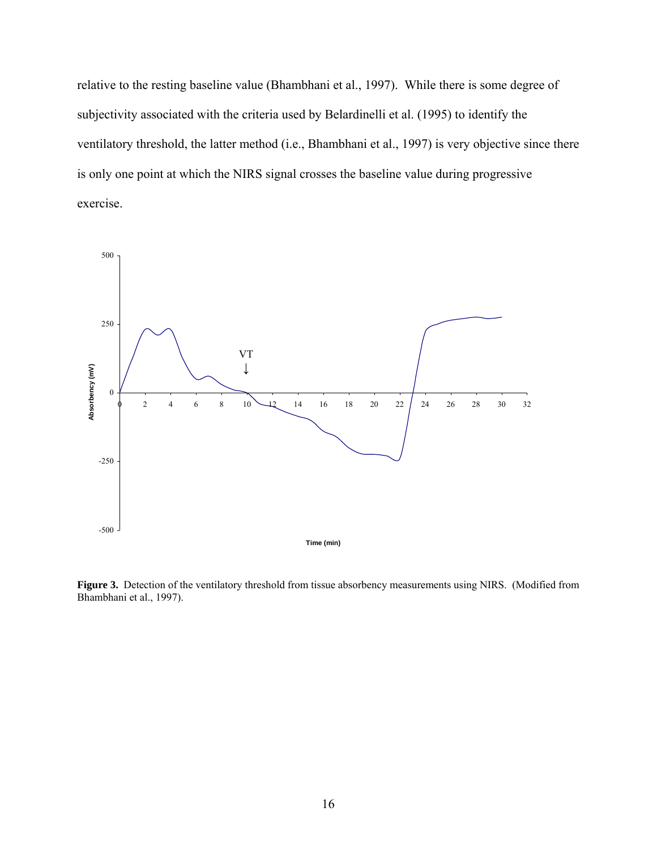<span id="page-23-0"></span>relative to the resting baseline value (Bhambhani et al., 1997). While there is some degree of subjectivity associated with the criteria used by Belardinelli et al. (1995) to identify the ventilatory threshold, the latter method (i.e., Bhambhani et al., 1997) is very objective since there is only one point at which the NIRS signal crosses the baseline value during progressive exercise.



**Figure 3.** Detection of the ventilatory threshold from tissue absorbency measurements using NIRS. (Modified from Bhambhani et al., 1997).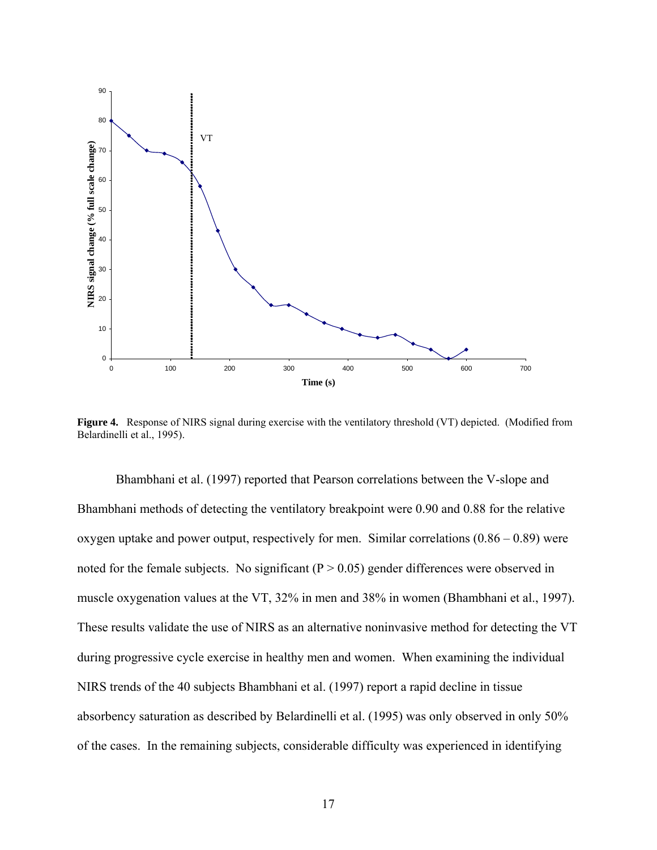<span id="page-24-0"></span>

**Figure 4.** Response of NIRS signal during exercise with the ventilatory threshold (VT) depicted. (Modified from Belardinelli et al., 1995).

 Bhambhani et al. (1997) reported that Pearson correlations between the V-slope and Bhambhani methods of detecting the ventilatory breakpoint were 0.90 and 0.88 for the relative oxygen uptake and power output, respectively for men. Similar correlations  $(0.86 - 0.89)$  were noted for the female subjects. No significant ( $P > 0.05$ ) gender differences were observed in muscle oxygenation values at the VT, 32% in men and 38% in women (Bhambhani et al., 1997). These results validate the use of NIRS as an alternative noninvasive method for detecting the VT during progressive cycle exercise in healthy men and women. When examining the individual NIRS trends of the 40 subjects Bhambhani et al. (1997) report a rapid decline in tissue absorbency saturation as described by Belardinelli et al. (1995) was only observed in only 50% of the cases. In the remaining subjects, considerable difficulty was experienced in identifying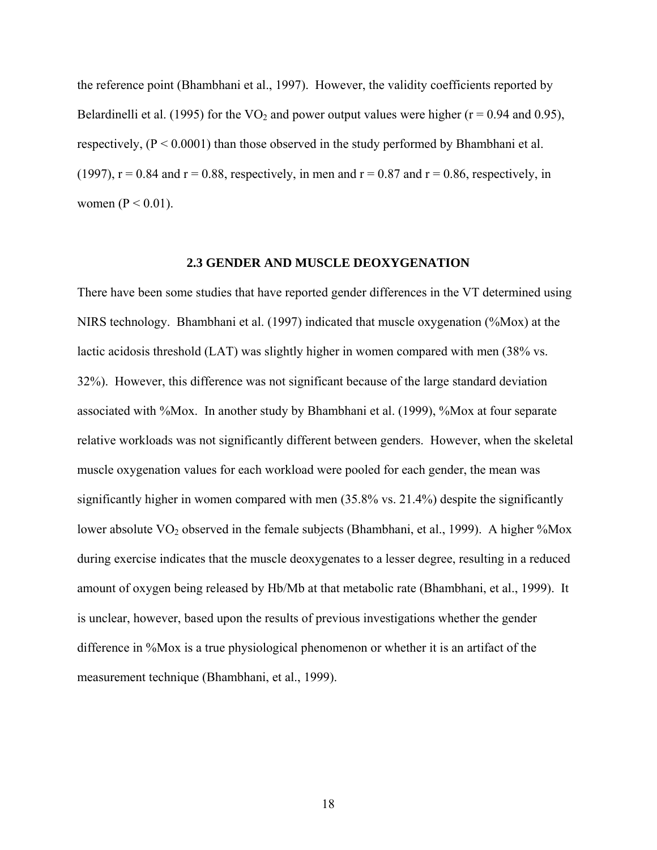<span id="page-25-0"></span>the reference point (Bhambhani et al., 1997). However, the validity coefficients reported by Belardinelli et al. (1995) for the  $VO_2$  and power output values were higher ( $r = 0.94$  and 0.95), respectively,  $(P < 0.0001)$  than those observed in the study performed by Bhambhani et al. (1997),  $r = 0.84$  and  $r = 0.88$ , respectively, in men and  $r = 0.87$  and  $r = 0.86$ , respectively, in women ( $P < 0.01$ ).

### **2.3 GENDER AND MUSCLE DEOXYGENATION**

There have been some studies that have reported gender differences in the VT determined using NIRS technology. Bhambhani et al. (1997) indicated that muscle oxygenation (%Mox) at the lactic acidosis threshold (LAT) was slightly higher in women compared with men (38% vs. 32%). However, this difference was not significant because of the large standard deviation associated with %Mox. In another study by Bhambhani et al. (1999), %Mox at four separate relative workloads was not significantly different between genders. However, when the skeletal muscle oxygenation values for each workload were pooled for each gender, the mean was significantly higher in women compared with men (35.8% vs. 21.4%) despite the significantly lower absolute VO<sub>2</sub> observed in the female subjects (Bhambhani, et al., 1999). A higher %Mox during exercise indicates that the muscle deoxygenates to a lesser degree, resulting in a reduced amount of oxygen being released by Hb/Mb at that metabolic rate (Bhambhani, et al., 1999). It is unclear, however, based upon the results of previous investigations whether the gender difference in %Mox is a true physiological phenomenon or whether it is an artifact of the measurement technique (Bhambhani, et al., 1999).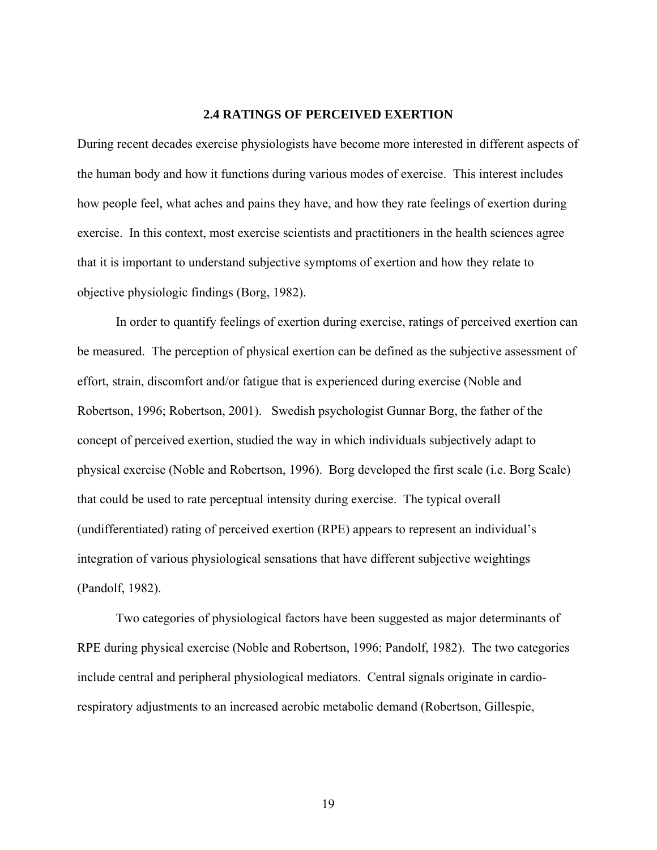## **2.4 RATINGS OF PERCEIVED EXERTION**

<span id="page-26-0"></span>During recent decades exercise physiologists have become more interested in different aspects of the human body and how it functions during various modes of exercise. This interest includes how people feel, what aches and pains they have, and how they rate feelings of exertion during exercise. In this context, most exercise scientists and practitioners in the health sciences agree that it is important to understand subjective symptoms of exertion and how they relate to objective physiologic findings (Borg, 1982).

 In order to quantify feelings of exertion during exercise, ratings of perceived exertion can be measured. The perception of physical exertion can be defined as the subjective assessment of effort, strain, discomfort and/or fatigue that is experienced during exercise (Noble and Robertson, 1996; Robertson, 2001). Swedish psychologist Gunnar Borg, the father of the concept of perceived exertion, studied the way in which individuals subjectively adapt to physical exercise (Noble and Robertson, 1996). Borg developed the first scale (i.e. Borg Scale) that could be used to rate perceptual intensity during exercise. The typical overall (undifferentiated) rating of perceived exertion (RPE) appears to represent an individual's integration of various physiological sensations that have different subjective weightings (Pandolf, 1982).

 Two categories of physiological factors have been suggested as major determinants of RPE during physical exercise (Noble and Robertson, 1996; Pandolf, 1982). The two categories include central and peripheral physiological mediators. Central signals originate in cardiorespiratory adjustments to an increased aerobic metabolic demand (Robertson, Gillespie,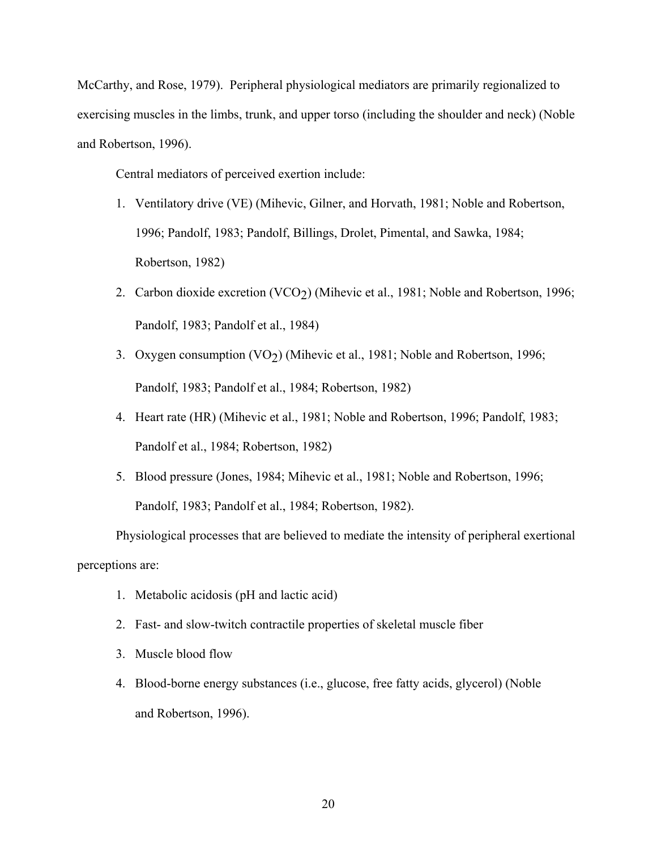McCarthy, and Rose, 1979). Peripheral physiological mediators are primarily regionalized to exercising muscles in the limbs, trunk, and upper torso (including the shoulder and neck) (Noble and Robertson, 1996).

Central mediators of perceived exertion include:

- 1. Ventilatory drive (VE) (Mihevic, Gilner, and Horvath, 1981; Noble and Robertson, 1996; Pandolf, 1983; Pandolf, Billings, Drolet, Pimental, and Sawka, 1984; Robertson, 1982)
- 2. Carbon dioxide excretion (VCO<sub>2</sub>) (Mihevic et al., 1981; Noble and Robertson, 1996; Pandolf, 1983; Pandolf et al., 1984)
- 3. Oxygen consumption (VO<sub>2</sub>) (Mihevic et al., 1981; Noble and Robertson, 1996; Pandolf, 1983; Pandolf et al., 1984; Robertson, 1982)
- 4. Heart rate (HR) (Mihevic et al., 1981; Noble and Robertson, 1996; Pandolf, 1983; Pandolf et al., 1984; Robertson, 1982)
- 5. Blood pressure (Jones, 1984; Mihevic et al., 1981; Noble and Robertson, 1996; Pandolf, 1983; Pandolf et al., 1984; Robertson, 1982).

 Physiological processes that are believed to mediate the intensity of peripheral exertional perceptions are:

- 1. Metabolic acidosis (pH and lactic acid)
- 2. Fast- and slow-twitch contractile properties of skeletal muscle fiber
- 3. Muscle blood flow
- 4. Blood-borne energy substances (i.e., glucose, free fatty acids, glycerol) (Noble and Robertson, 1996).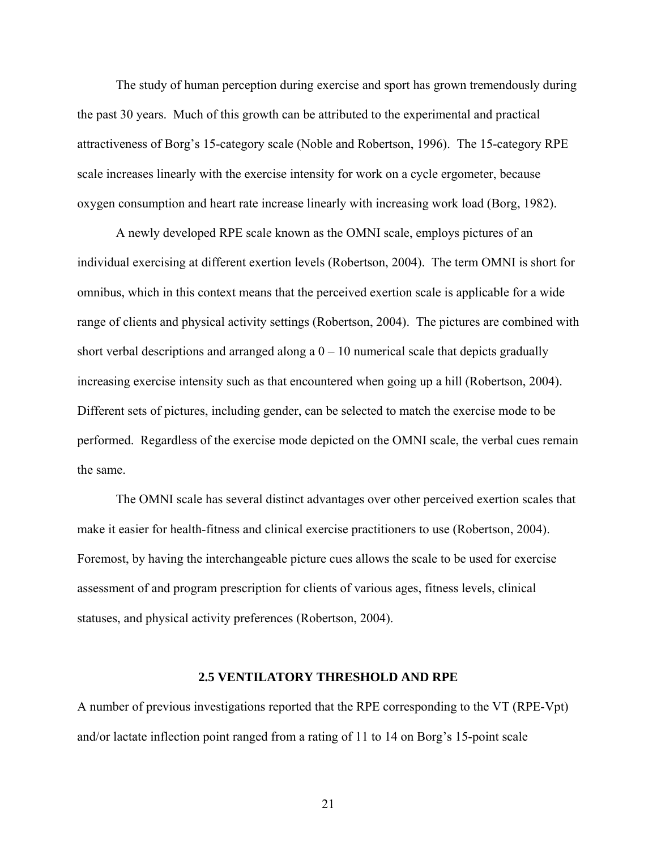<span id="page-28-0"></span> The study of human perception during exercise and sport has grown tremendously during the past 30 years. Much of this growth can be attributed to the experimental and practical attractiveness of Borg's 15-category scale (Noble and Robertson, 1996). The 15-category RPE scale increases linearly with the exercise intensity for work on a cycle ergometer, because oxygen consumption and heart rate increase linearly with increasing work load (Borg, 1982).

 A newly developed RPE scale known as the OMNI scale, employs pictures of an individual exercising at different exertion levels (Robertson, 2004). The term OMNI is short for omnibus, which in this context means that the perceived exertion scale is applicable for a wide range of clients and physical activity settings (Robertson, 2004). The pictures are combined with short verbal descriptions and arranged along a  $0 - 10$  numerical scale that depicts gradually increasing exercise intensity such as that encountered when going up a hill (Robertson, 2004). Different sets of pictures, including gender, can be selected to match the exercise mode to be performed. Regardless of the exercise mode depicted on the OMNI scale, the verbal cues remain the same.

The OMNI scale has several distinct advantages over other perceived exertion scales that make it easier for health-fitness and clinical exercise practitioners to use (Robertson, 2004). Foremost, by having the interchangeable picture cues allows the scale to be used for exercise assessment of and program prescription for clients of various ages, fitness levels, clinical statuses, and physical activity preferences (Robertson, 2004).

#### **2.5 VENTILATORY THRESHOLD AND RPE**

A number of previous investigations reported that the RPE corresponding to the VT (RPE-Vpt) and/or lactate inflection point ranged from a rating of 11 to 14 on Borg's 15-point scale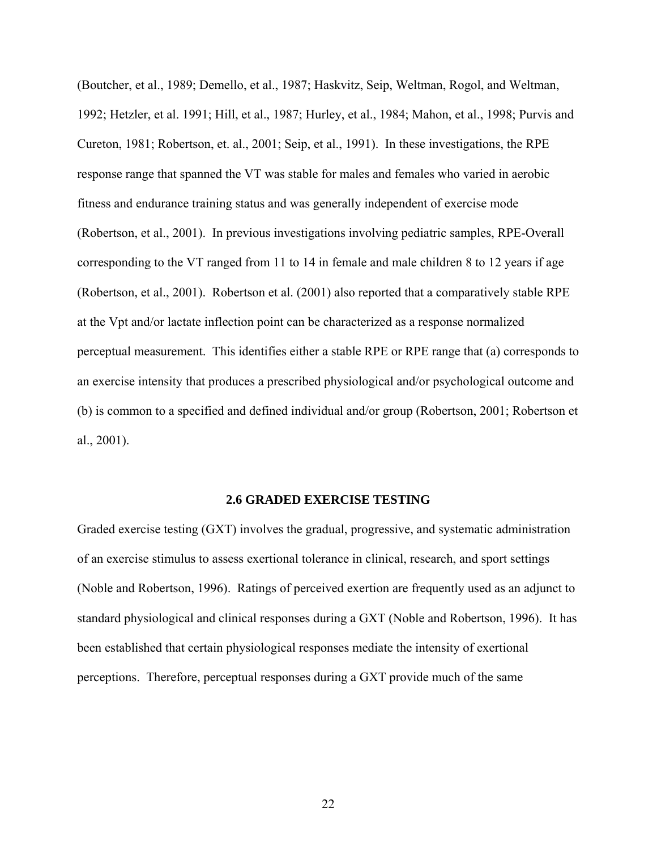<span id="page-29-0"></span>(Boutcher, et al., 1989; Demello, et al., 1987; Haskvitz, Seip, Weltman, Rogol, and Weltman, 1992; Hetzler, et al. 1991; Hill, et al., 1987; Hurley, et al., 1984; Mahon, et al., 1998; Purvis and Cureton, 1981; Robertson, et. al., 2001; Seip, et al., 1991). In these investigations, the RPE response range that spanned the VT was stable for males and females who varied in aerobic fitness and endurance training status and was generally independent of exercise mode (Robertson, et al., 2001). In previous investigations involving pediatric samples, RPE-Overall corresponding to the VT ranged from 11 to 14 in female and male children 8 to 12 years if age (Robertson, et al., 2001). Robertson et al. (2001) also reported that a comparatively stable RPE at the Vpt and/or lactate inflection point can be characterized as a response normalized perceptual measurement. This identifies either a stable RPE or RPE range that (a) corresponds to an exercise intensity that produces a prescribed physiological and/or psychological outcome and (b) is common to a specified and defined individual and/or group (Robertson, 2001; Robertson et al., 2001).

#### **2.6 GRADED EXERCISE TESTING**

Graded exercise testing (GXT) involves the gradual, progressive, and systematic administration of an exercise stimulus to assess exertional tolerance in clinical, research, and sport settings (Noble and Robertson, 1996). Ratings of perceived exertion are frequently used as an adjunct to standard physiological and clinical responses during a GXT (Noble and Robertson, 1996). It has been established that certain physiological responses mediate the intensity of exertional perceptions. Therefore, perceptual responses during a GXT provide much of the same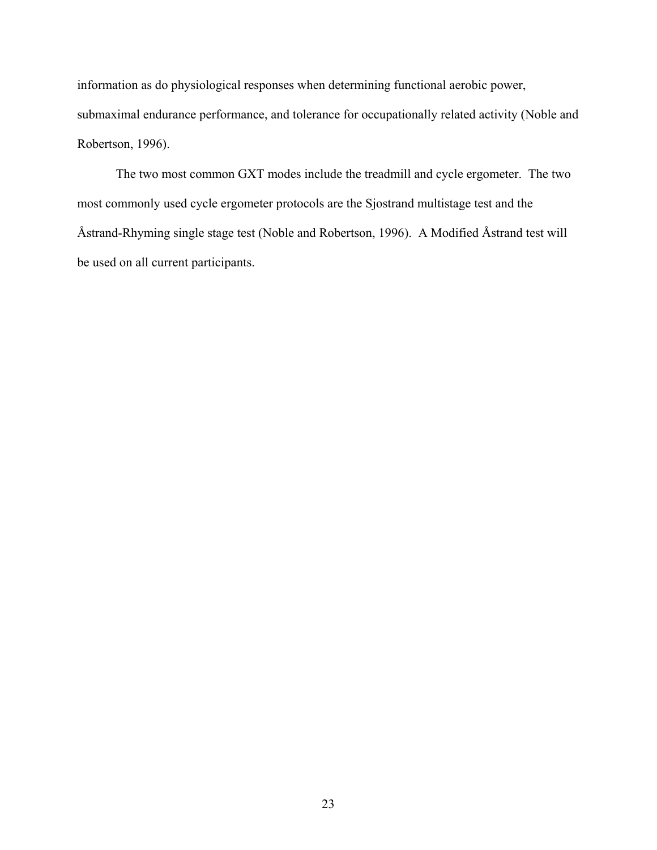information as do physiological responses when determining functional aerobic power, submaximal endurance performance, and tolerance for occupationally related activity (Noble and Robertson, 1996).

 The two most common GXT modes include the treadmill and cycle ergometer. The two most commonly used cycle ergometer protocols are the Sjostrand multistage test and the Åstrand-Rhyming single stage test (Noble and Robertson, 1996). A Modified Åstrand test will be used on all current participants.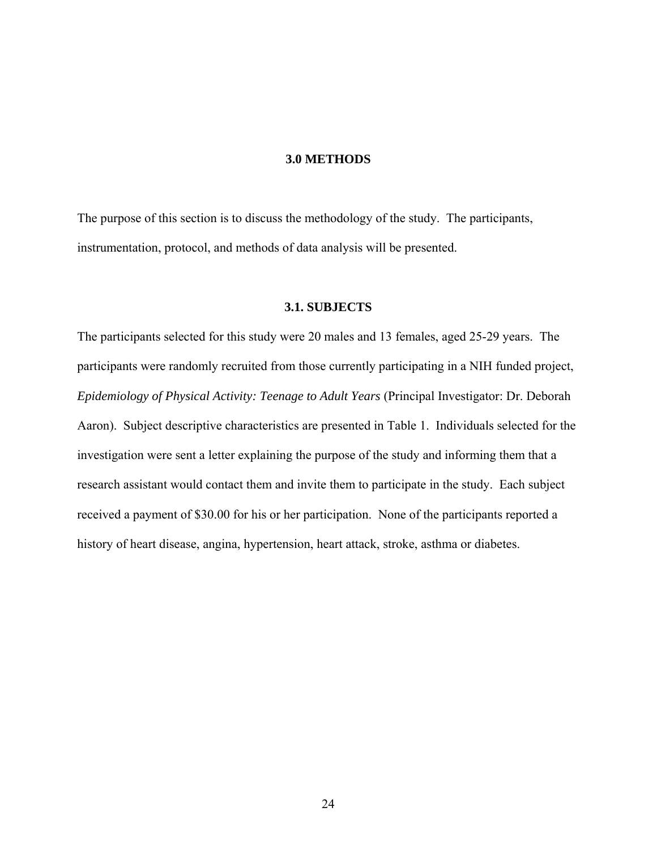## **3.0 METHODS**

<span id="page-31-0"></span>The purpose of this section is to discuss the methodology of the study. The participants, instrumentation, protocol, and methods of data analysis will be presented.

# **3.1. SUBJECTS**

The participants selected for this study were 20 males and 13 females, aged 25-29 years. The participants were randomly recruited from those currently participating in a NIH funded project, *Epidemiology of Physical Activity: Teenage to Adult Years* (Principal Investigator: Dr. Deborah Aaron). Subject descriptive characteristics are presented in Table 1. Individuals selected for the investigation were sent a letter explaining the purpose of the study and informing them that a research assistant would contact them and invite them to participate in the study. Each subject received a payment of \$30.00 for his or her participation. None of the participants reported a history of heart disease, angina, hypertension, heart attack, stroke, asthma or diabetes.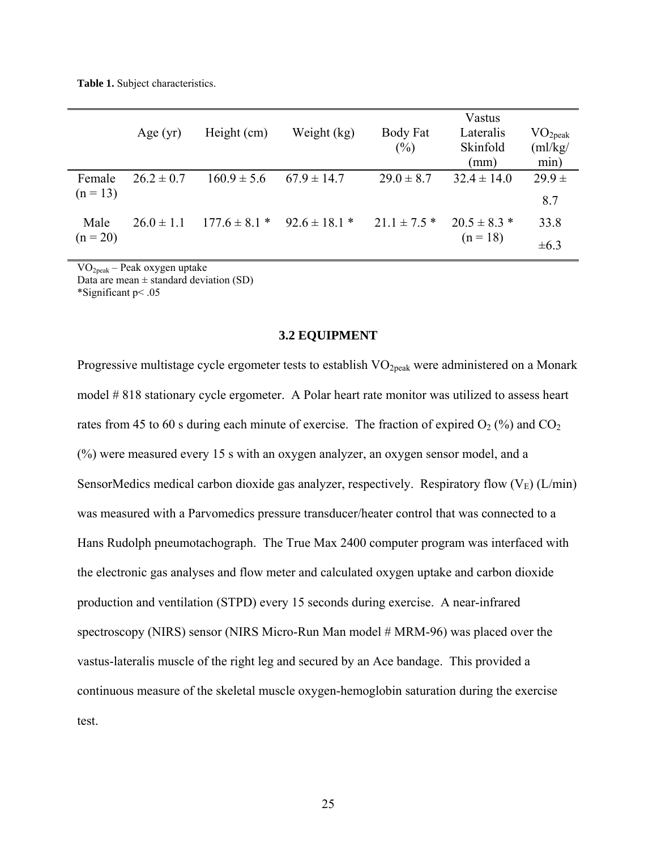<span id="page-32-0"></span>**Table 1.** Subject characteristics.

|                      | Age $(yr)$     | Height (cm)                         | Weight (kg)     | Body Fat<br>(%)  | Vastus<br>Lateralis<br>Skinfold<br>(mm) | $\rm VO_{2peak}$<br>$\text{m}$ /kg/<br>min) |
|----------------------|----------------|-------------------------------------|-----------------|------------------|-----------------------------------------|---------------------------------------------|
| Female<br>$(n = 13)$ | $26.2 \pm 0.7$ | $160.9 \pm 5.6$                     | $67.9 \pm 14.7$ | $29.0 \pm 8.7$   | $32.4 \pm 14.0$                         | $29.9 \pm$                                  |
|                      |                |                                     |                 |                  |                                         | 8.7                                         |
| Male                 | $26.0 \pm 1.1$ | $177.6 \pm 8.1$ * $92.6 \pm 18.1$ * |                 | $21.1 \pm 7.5$ * | $20.5 \pm 8.3$ *                        | 33.8                                        |
| $(n = 20)$           |                |                                     |                 |                  | $(n = 18)$                              | $\pm 6.3$                                   |

VO2peak – Peak oxygen uptake

Data are mean  $\pm$  standard deviation (SD)

\*Significant p< .05

#### **3.2 EQUIPMENT**

Progressive multistage cycle ergometer tests to establish VO<sub>2peak</sub> were administered on a Monark model # 818 stationary cycle ergometer. A Polar heart rate monitor was utilized to assess heart rates from 45 to 60 s during each minute of exercise. The fraction of expired  $O_2$  (%) and  $CO_2$ (%) were measured every 15 s with an oxygen analyzer, an oxygen sensor model, and a SensorMedics medical carbon dioxide gas analyzer, respectively. Respiratory flow  $(V_E)$  (L/min) was measured with a Parvomedics pressure transducer/heater control that was connected to a Hans Rudolph pneumotachograph. The True Max 2400 computer program was interfaced with the electronic gas analyses and flow meter and calculated oxygen uptake and carbon dioxide production and ventilation (STPD) every 15 seconds during exercise. A near-infrared spectroscopy (NIRS) sensor (NIRS Micro-Run Man model # MRM-96) was placed over the vastus-lateralis muscle of the right leg and secured by an Ace bandage. This provided a continuous measure of the skeletal muscle oxygen-hemoglobin saturation during the exercise test.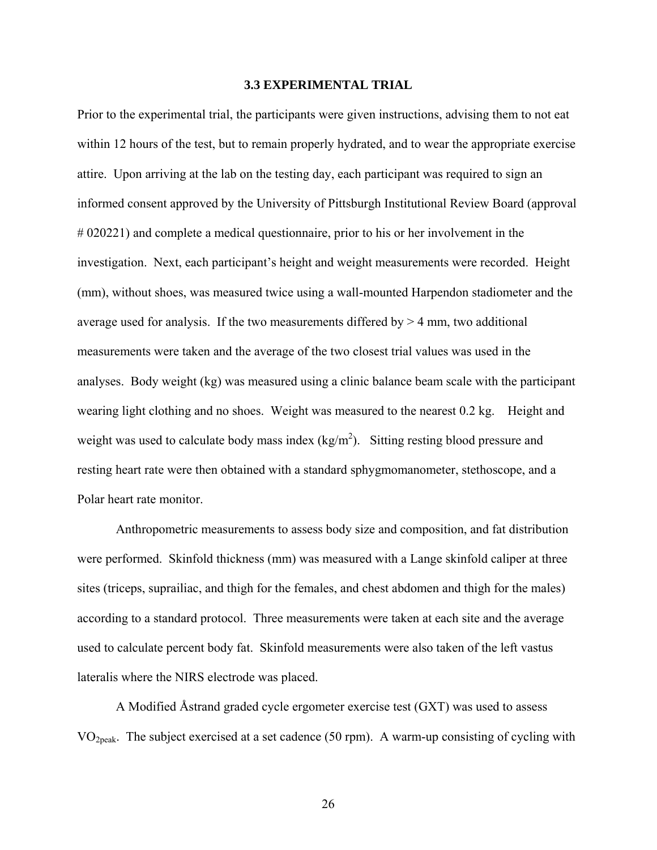#### **3.3 EXPERIMENTAL TRIAL**

<span id="page-33-0"></span>Prior to the experimental trial, the participants were given instructions, advising them to not eat within 12 hours of the test, but to remain properly hydrated, and to wear the appropriate exercise attire. Upon arriving at the lab on the testing day, each participant was required to sign an informed consent approved by the University of Pittsburgh Institutional Review Board (approval # 020221) and complete a medical questionnaire, prior to his or her involvement in the investigation. Next, each participant's height and weight measurements were recorded. Height (mm), without shoes, was measured twice using a wall-mounted Harpendon stadiometer and the average used for analysis. If the two measurements differed by  $>$  4 mm, two additional measurements were taken and the average of the two closest trial values was used in the analyses. Body weight (kg) was measured using a clinic balance beam scale with the participant wearing light clothing and no shoes. Weight was measured to the nearest 0.2 kg. Height and weight was used to calculate body mass index  $(kg/m^2)$ . Sitting resting blood pressure and resting heart rate were then obtained with a standard sphygmomanometer, stethoscope, and a Polar heart rate monitor.

Anthropometric measurements to assess body size and composition, and fat distribution were performed. Skinfold thickness (mm) was measured with a Lange skinfold caliper at three sites (triceps, suprailiac, and thigh for the females, and chest abdomen and thigh for the males) according to a standard protocol. Three measurements were taken at each site and the average used to calculate percent body fat. Skinfold measurements were also taken of the left vastus lateralis where the NIRS electrode was placed.

A Modified Åstrand graded cycle ergometer exercise test (GXT) was used to assess VO2peak. The subject exercised at a set cadence (50 rpm). A warm-up consisting of cycling with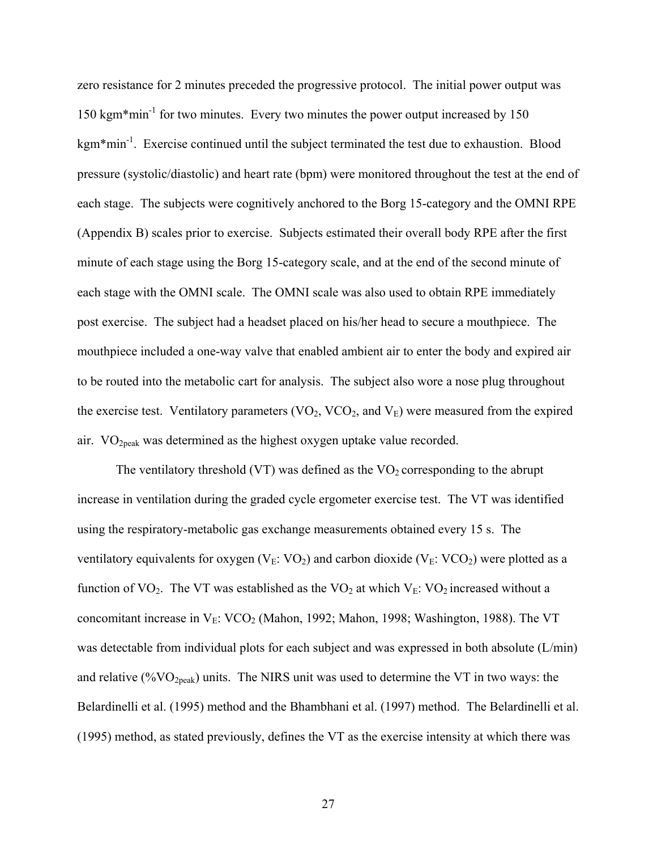zero resistance for 2 minutes preceded the progressive protocol. The initial power output was 150 kgm<sup>\*</sup>min<sup>-1</sup> for two minutes. Every two minutes the power output increased by 150 kgm\*min-1. Exercise continued until the subject terminated the test due to exhaustion. Blood pressure (systolic/diastolic) and heart rate (bpm) were monitored throughout the test at the end of each stage. The subjects were cognitively anchored to the Borg 15-category and the OMNI RPE (Appendix B) scales prior to exercise. Subjects estimated their overall body RPE after the first minute of each stage using the Borg 15-category scale, and at the end of the second minute of each stage with the OMNI scale. The OMNI scale was also used to obtain RPE immediately post exercise. The subject had a headset placed on his/her head to secure a mouthpiece. The mouthpiece included a one-way valve that enabled ambient air to enter the body and expired air to be routed into the metabolic cart for analysis. The subject also wore a nose plug throughout the exercise test. Ventilatory parameters  $(VO_2, VCO_2, and V_E)$  were measured from the expired air. VO2peak was determined as the highest oxygen uptake value recorded.

The ventilatory threshold (VT) was defined as the  $VO<sub>2</sub>$  corresponding to the abrupt increase in ventilation during the graded cycle ergometer exercise test. The VT was identified using the respiratory-metabolic gas exchange measurements obtained every 15 s. The ventilatory equivalents for oxygen ( $V_E$ : VO<sub>2</sub>) and carbon dioxide ( $V_E$ : VCO<sub>2</sub>) were plotted as a function of VO<sub>2</sub>. The VT was established as the VO<sub>2</sub> at which V<sub>E</sub>: VO<sub>2</sub> increased without a concomitant increase in  $V_E$ : VCO<sub>2</sub> (Mahon, 1992; Mahon, 1998; Washington, 1988). The VT was detectable from individual plots for each subject and was expressed in both absolute (L/min) and relative (% $VO<sub>2peak</sub>$ ) units. The NIRS unit was used to determine the VT in two ways: the Belardinelli et al. (1995) method and the Bhambhani et al. (1997) method. The Belardinelli et al. (1995) method, as stated previously, defines the VT as the exercise intensity at which there was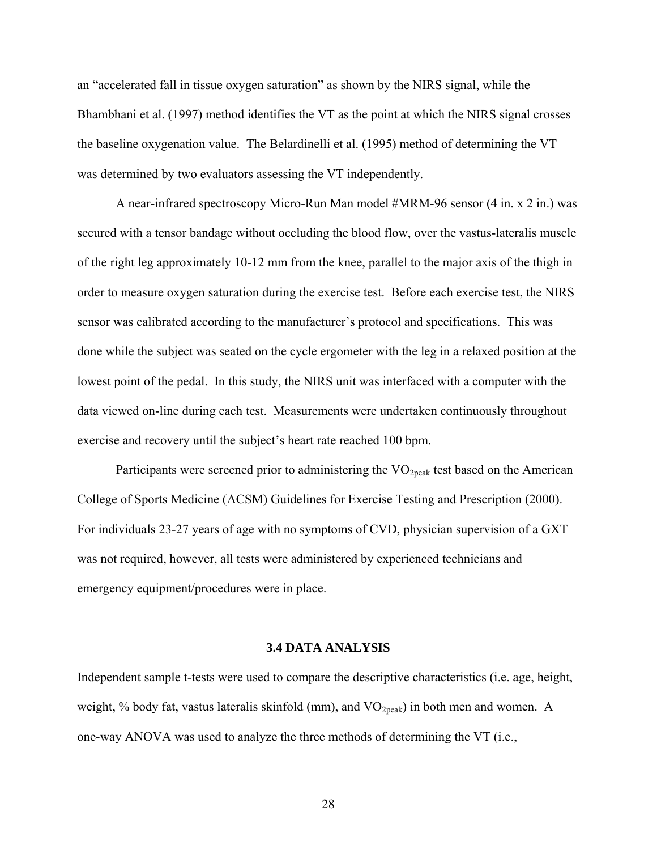<span id="page-35-0"></span>an "accelerated fall in tissue oxygen saturation" as shown by the NIRS signal, while the Bhambhani et al. (1997) method identifies the VT as the point at which the NIRS signal crosses the baseline oxygenation value. The Belardinelli et al. (1995) method of determining the VT was determined by two evaluators assessing the VT independently.

A near-infrared spectroscopy Micro-Run Man model #MRM-96 sensor (4 in. x 2 in.) was secured with a tensor bandage without occluding the blood flow, over the vastus-lateralis muscle of the right leg approximately 10-12 mm from the knee, parallel to the major axis of the thigh in order to measure oxygen saturation during the exercise test. Before each exercise test, the NIRS sensor was calibrated according to the manufacturer's protocol and specifications. This was done while the subject was seated on the cycle ergometer with the leg in a relaxed position at the lowest point of the pedal. In this study, the NIRS unit was interfaced with a computer with the data viewed on-line during each test. Measurements were undertaken continuously throughout exercise and recovery until the subject's heart rate reached 100 bpm.

Participants were screened prior to administering the  $VO<sub>2peak</sub>$  test based on the American College of Sports Medicine (ACSM) Guidelines for Exercise Testing and Prescription (2000). For individuals 23-27 years of age with no symptoms of CVD, physician supervision of a GXT was not required, however, all tests were administered by experienced technicians and emergency equipment/procedures were in place.

#### **3.4 DATA ANALYSIS**

Independent sample t-tests were used to compare the descriptive characteristics (i.e. age, height, weight, % body fat, vastus lateralis skinfold (mm), and  $VO<sub>2peak</sub>$ ) in both men and women. A one-way ANOVA was used to analyze the three methods of determining the VT (i.e.,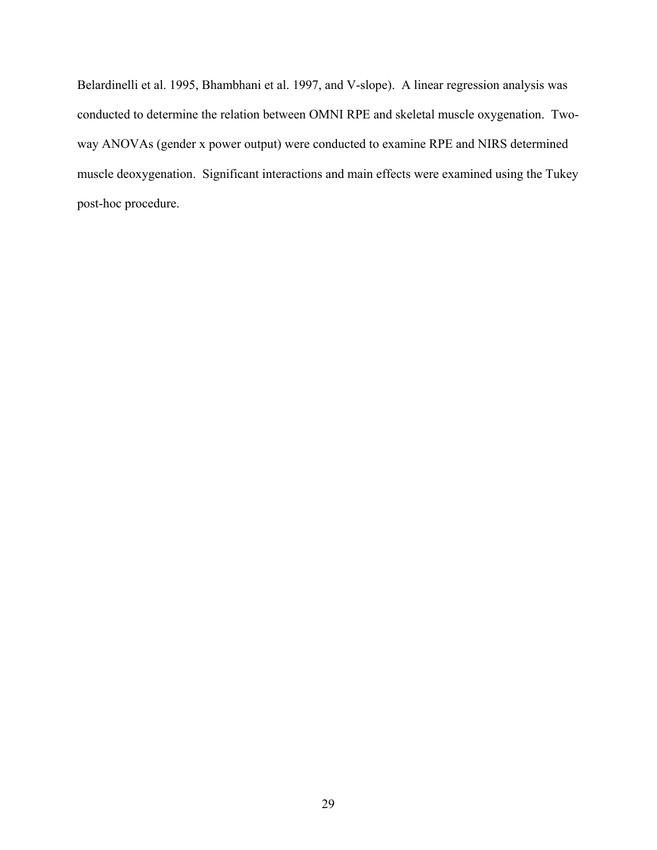Belardinelli et al. 1995, Bhambhani et al. 1997, and V-slope). A linear regression analysis was conducted to determine the relation between OMNI RPE and skeletal muscle oxygenation. Twoway ANOVAs (gender x power output) were conducted to examine RPE and NIRS determined muscle deoxygenation. Significant interactions and main effects were examined using the Tukey post-hoc procedure.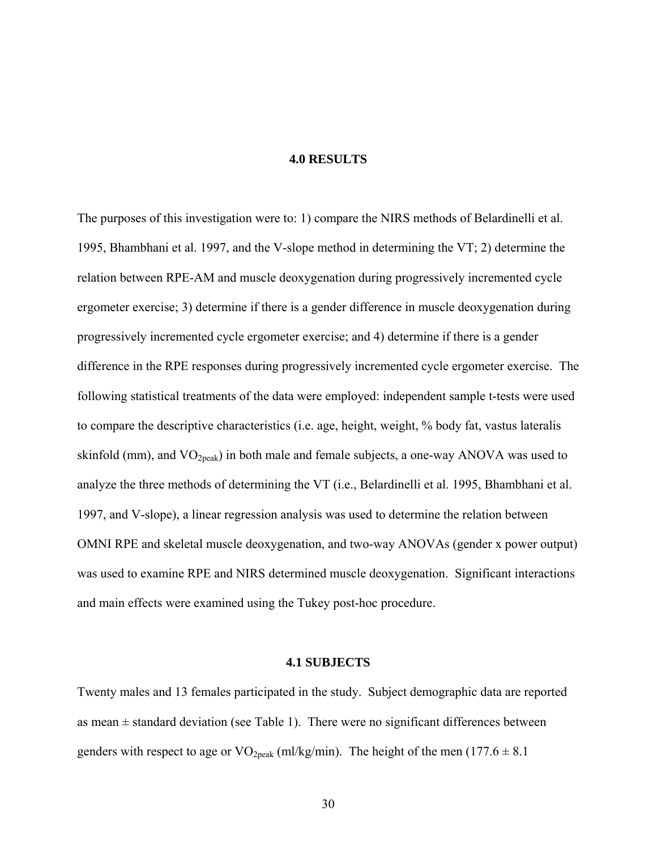## **4.0 RESULTS**

The purposes of this investigation were to: 1) compare the NIRS methods of Belardinelli et al. 1995, Bhambhani et al. 1997, and the V-slope method in determining the VT; 2) determine the relation between RPE-AM and muscle deoxygenation during progressively incremented cycle ergometer exercise; 3) determine if there is a gender difference in muscle deoxygenation during progressively incremented cycle ergometer exercise; and 4) determine if there is a gender difference in the RPE responses during progressively incremented cycle ergometer exercise. The following statistical treatments of the data were employed: independent sample t-tests were used to compare the descriptive characteristics (i.e. age, height, weight, % body fat, vastus lateralis skinfold (mm), and  $VO_{2peak}$ ) in both male and female subjects, a one-way ANOVA was used to analyze the three methods of determining the VT (i.e., Belardinelli et al. 1995, Bhambhani et al. 1997, and V-slope), a linear regression analysis was used to determine the relation between OMNI RPE and skeletal muscle deoxygenation, and two-way ANOVAs (gender x power output) was used to examine RPE and NIRS determined muscle deoxygenation. Significant interactions and main effects were examined using the Tukey post-hoc procedure.

## **4.1 SUBJECTS**

Twenty males and 13 females participated in the study. Subject demographic data are reported as mean  $\pm$  standard deviation (see Table 1). There were no significant differences between genders with respect to age or  $VO_{2peak}$  (ml/kg/min). The height of the men (177.6  $\pm$  8.1)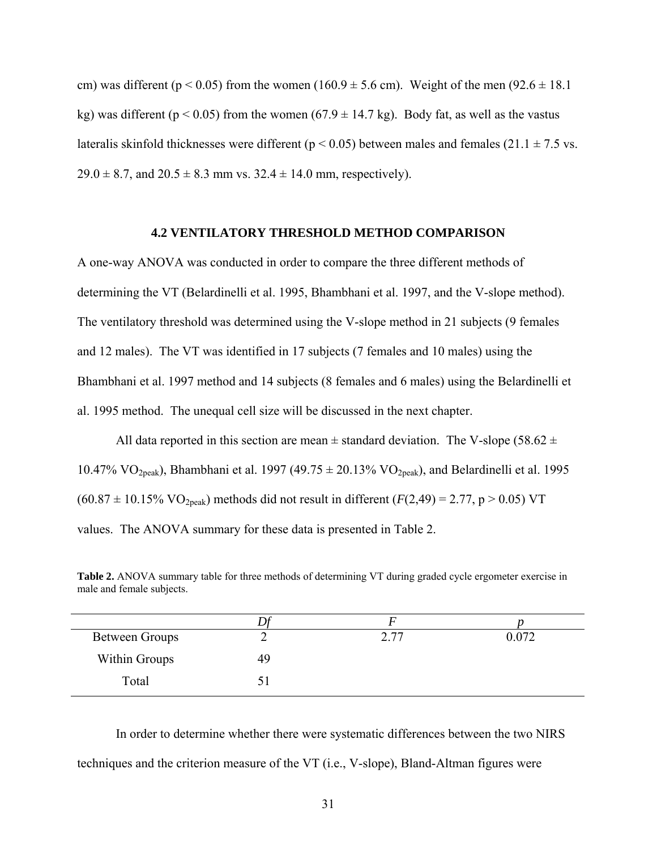cm) was different ( $p < 0.05$ ) from the women (160.9  $\pm$  5.6 cm). Weight of the men (92.6  $\pm$  18.1 kg) was different ( $p < 0.05$ ) from the women (67.9  $\pm$  14.7 kg). Body fat, as well as the vastus lateralis skinfold thicknesses were different ( $p < 0.05$ ) between males and females (21.1  $\pm$  7.5 vs.  $29.0 \pm 8.7$ , and  $20.5 \pm 8.3$  mm vs.  $32.4 \pm 14.0$  mm, respectively).

### **4.2 VENTILATORY THRESHOLD METHOD COMPARISON**

A one-way ANOVA was conducted in order to compare the three different methods of determining the VT (Belardinelli et al. 1995, Bhambhani et al. 1997, and the V-slope method). The ventilatory threshold was determined using the V-slope method in 21 subjects (9 females and 12 males). The VT was identified in 17 subjects (7 females and 10 males) using the Bhambhani et al. 1997 method and 14 subjects (8 females and 6 males) using the Belardinelli et al. 1995 method. The unequal cell size will be discussed in the next chapter.

All data reported in this section are mean  $\pm$  standard deviation. The V-slope (58.62  $\pm$ 10.47% VO<sub>2peak</sub>), Bhambhani et al. 1997 (49.75  $\pm$  20.13% VO<sub>2peak</sub>), and Belardinelli et al. 1995  $(60.87 \pm 10.15\% \text{ VO}_{2\text{peak}})$  methods did not result in different  $(F(2,49) = 2.77, p > 0.05) \text{ VT}$ values. The ANOVA summary for these data is presented in Table 2.

**Table 2.** ANOVA summary table for three methods of determining VT during graded cycle ergometer exercise in male and female subjects.

| <b>Between Groups</b> | ∸  | 2.77 | 0.072 |
|-----------------------|----|------|-------|
| Within Groups         | 49 |      |       |
| Total                 |    |      |       |

In order to determine whether there were systematic differences between the two NIRS techniques and the criterion measure of the VT (i.e., V-slope), Bland-Altman figures were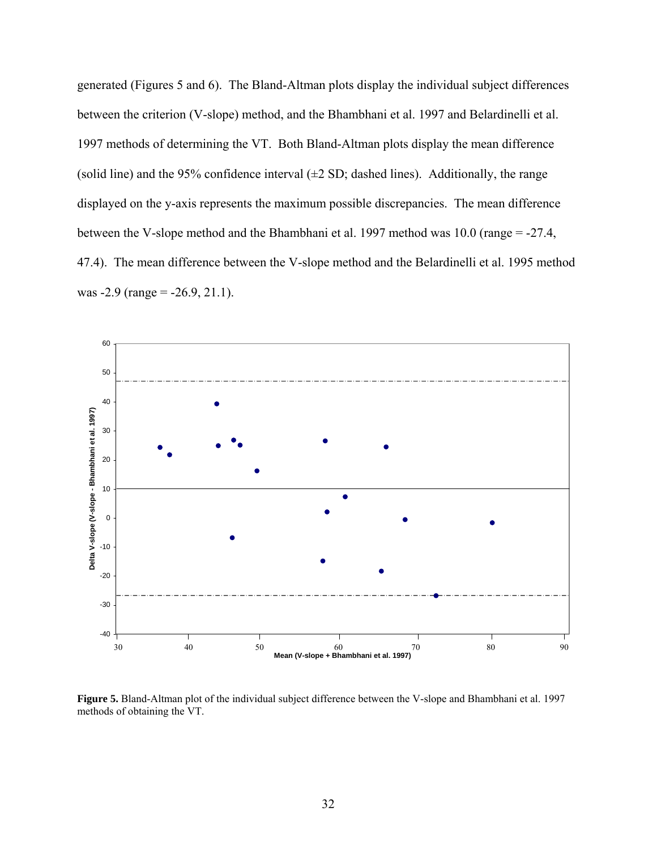generated (Figures 5 and 6). The Bland-Altman plots display the individual subject differences between the criterion (V-slope) method, and the Bhambhani et al. 1997 and Belardinelli et al. 1997 methods of determining the VT. Both Bland-Altman plots display the mean difference (solid line) and the 95% confidence interval  $(\pm 2 \text{ SD})$ ; dashed lines). Additionally, the range displayed on the y-axis represents the maximum possible discrepancies. The mean difference between the V-slope method and the Bhambhani et al. 1997 method was 10.0 (range = -27.4, 47.4). The mean difference between the V-slope method and the Belardinelli et al. 1995 method was  $-2.9$  (range =  $-26.9$ , 21.1).



**Figure 5.** Bland-Altman plot of the individual subject difference between the V-slope and Bhambhani et al. 1997 methods of obtaining the VT.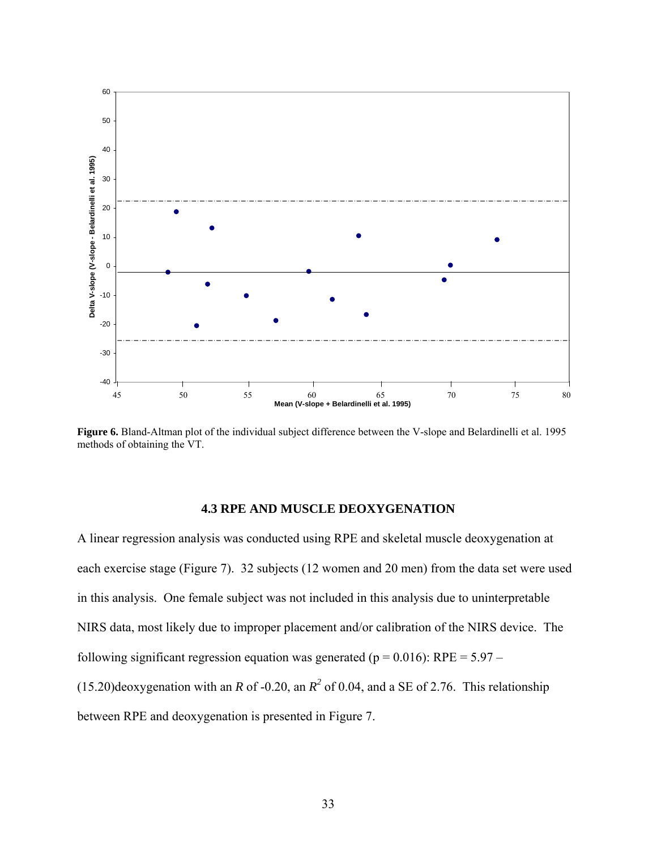

**Figure 6.** Bland-Altman plot of the individual subject difference between the V-slope and Belardinelli et al. 1995 methods of obtaining the VT.

## **4.3 RPE AND MUSCLE DEOXYGENATION**

A linear regression analysis was conducted using RPE and skeletal muscle deoxygenation at each exercise stage (Figure 7). 32 subjects (12 women and 20 men) from the data set were used in this analysis. One female subject was not included in this analysis due to uninterpretable NIRS data, most likely due to improper placement and/or calibration of the NIRS device. The following significant regression equation was generated ( $p = 0.016$ ): RPE = 5.97 –  $(15.20)$ deoxygenation with an *R* of -0.20, an  $R^2$  of 0.04, and a SE of 2.76. This relationship between RPE and deoxygenation is presented in Figure 7.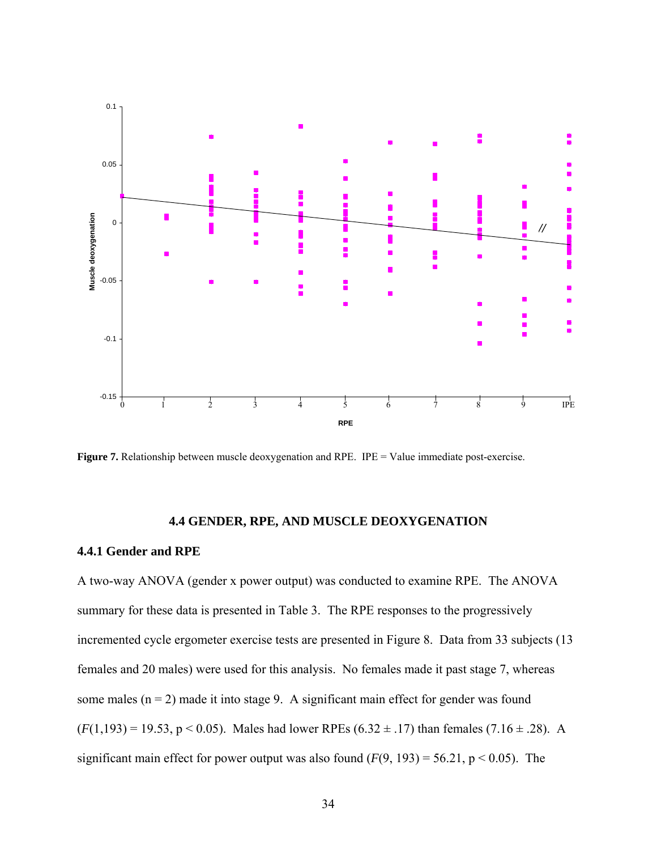

Figure 7. Relationship between muscle deoxygenation and RPE. IPE = Value immediate post-exercise.

# **4.4 GENDER, RPE, AND MUSCLE DEOXYGENATION**

## **4.4.1 Gender and RPE**

A two-way ANOVA (gender x power output) was conducted to examine RPE. The ANOVA summary for these data is presented in Table 3. The RPE responses to the progressively incremented cycle ergometer exercise tests are presented in Figure 8. Data from 33 subjects (13 females and 20 males) were used for this analysis. No females made it past stage 7, whereas some males  $(n = 2)$  made it into stage 9. A significant main effect for gender was found  $(F(1,193) = 19.53, p < 0.05)$ . Males had lower RPEs  $(6.32 \pm .17)$  than females  $(7.16 \pm .28)$ . A significant main effect for power output was also found  $(F(9, 193) = 56.21, p < 0.05)$ . The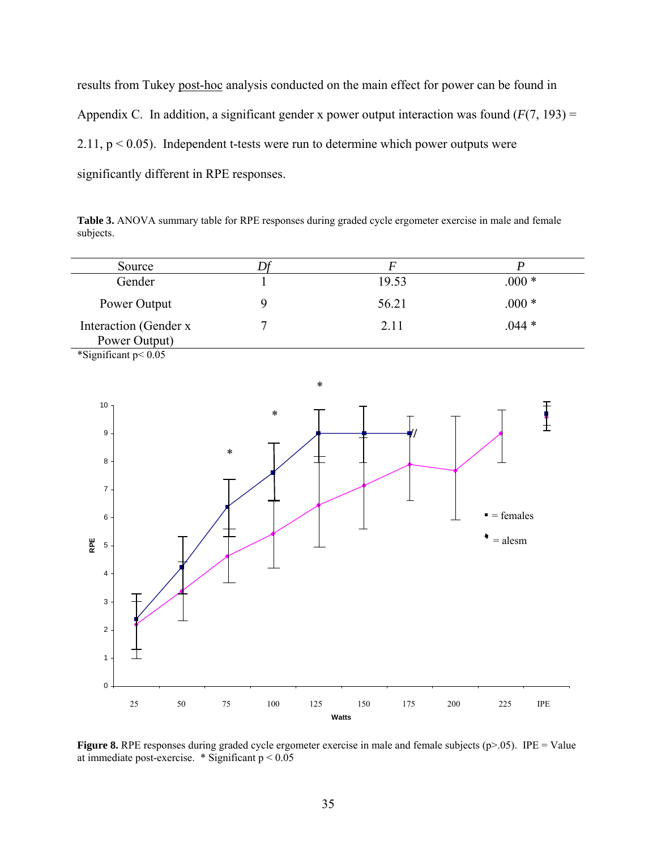results from Tukey post-hoc analysis conducted on the main effect for power can be found in Appendix C. In addition, a significant gender x power output interaction was found  $(F(7, 193) =$ 2.11,  $p < 0.05$ ). Independent t-tests were run to determine which power outputs were significantly different in RPE responses.

Table 3. ANOVA summary table for RPE responses during graded cycle ergometer exercise in male and female subjects.

| Source                                  |       |         |
|-----------------------------------------|-------|---------|
| Gender                                  | 19.53 | $000 *$ |
| Power Output                            | 56.21 | $.000*$ |
| Interaction (Gender x)<br>Power Output) | 2.11  | $.044*$ |

\*Significant p< 0.05



**Figure 8.** RPE responses during graded cycle ergometer exercise in male and female subjects (p>.05). IPE = Value at immediate post-exercise.  $*$  Significant  $p < 0.05$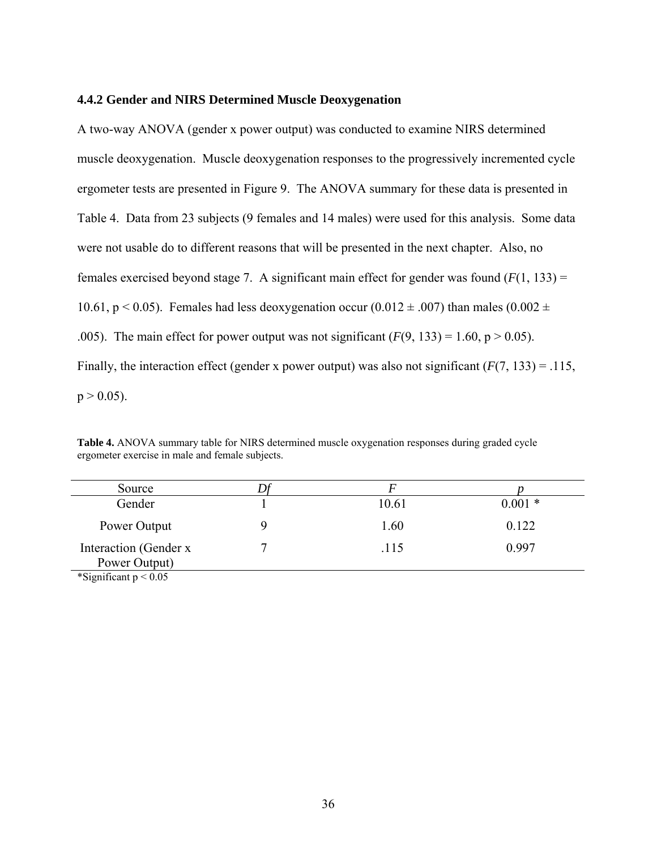#### **4.4.2 Gender and NIRS Determined Muscle Deoxygenation**

A two-way ANOVA (gender x power output) was conducted to examine NIRS determined muscle deoxygenation. Muscle deoxygenation responses to the progressively incremented cycle ergometer tests are presented in Figure 9. The ANOVA summary for these data is presented in Table 4. Data from 23 subjects (9 females and 14 males) were used for this analysis. Some data were not usable do to different reasons that will be presented in the next chapter. Also, no females exercised beyond stage 7. A significant main effect for gender was found  $(F(1, 133))$  = 10.61, p < 0.05). Females had less deoxygenation occur (0.012  $\pm$  .007) than males (0.002  $\pm$ .005). The main effect for power output was not significant  $(F(9, 133) = 1.60, p > 0.05)$ . Finally, the interaction effect (gender x power output) was also not significant  $(F(7, 133) = .115$ ,  $p > 0.05$ ).

| <b>Table 4.</b> ANOVA summary table for NIRS determined muscle oxygenation responses during graded cycle |
|----------------------------------------------------------------------------------------------------------|
| ergometer exercise in male and female subjects.                                                          |
|                                                                                                          |

| Source                                 |       |          |
|----------------------------------------|-------|----------|
| Gender                                 | 10.61 | $0.001*$ |
| Power Output                           | 1.60  | 0.122    |
| Interaction (Gender x<br>Power Output) | .115  | 0.997    |
| $*0:C \longrightarrow 0$               |       |          |

\*Significant  $p < 0.05$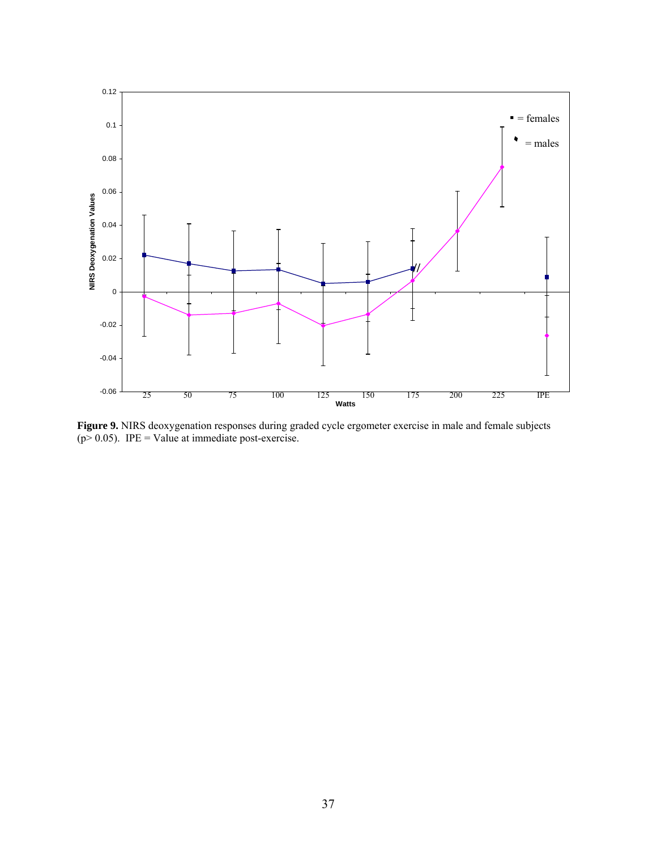

**Figure 9.** NIRS deoxygenation responses during graded cycle ergometer exercise in male and female subjects  $(p > 0.05)$ . IPE = Value at immediate post-exercise.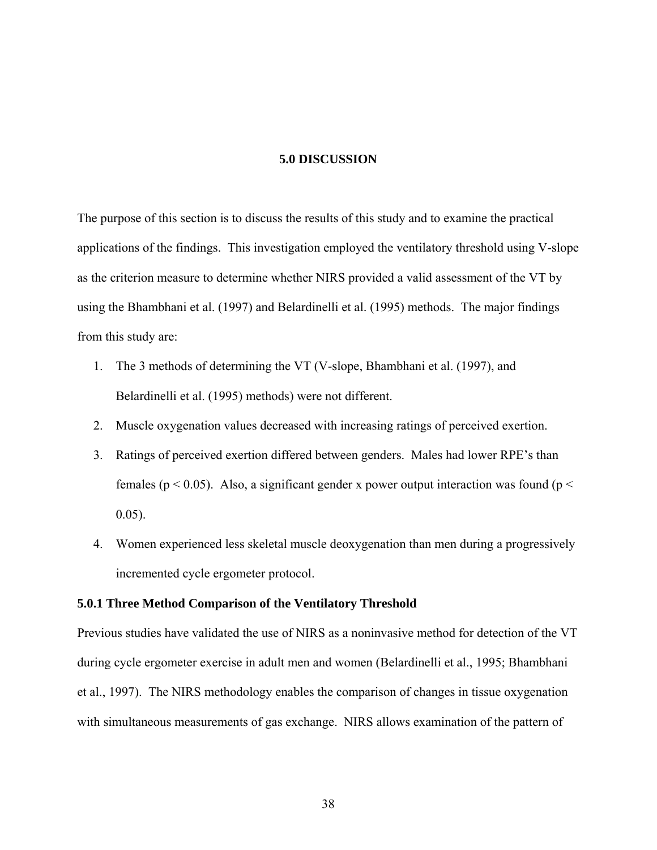## **5.0 DISCUSSION**

The purpose of this section is to discuss the results of this study and to examine the practical applications of the findings. This investigation employed the ventilatory threshold using V-slope as the criterion measure to determine whether NIRS provided a valid assessment of the VT by using the Bhambhani et al. (1997) and Belardinelli et al. (1995) methods. The major findings from this study are:

- 1. The 3 methods of determining the VT (V-slope, Bhambhani et al. (1997), and Belardinelli et al. (1995) methods) were not different.
- 2. Muscle oxygenation values decreased with increasing ratings of perceived exertion.
- 3. Ratings of perceived exertion differed between genders. Males had lower RPE's than females ( $p < 0.05$ ). Also, a significant gender x power output interaction was found ( $p <$ 0.05).
- 4. Women experienced less skeletal muscle deoxygenation than men during a progressively incremented cycle ergometer protocol.

#### **5.0.1 Three Method Comparison of the Ventilatory Threshold**

Previous studies have validated the use of NIRS as a noninvasive method for detection of the VT during cycle ergometer exercise in adult men and women (Belardinelli et al., 1995; Bhambhani et al., 1997). The NIRS methodology enables the comparison of changes in tissue oxygenation with simultaneous measurements of gas exchange. NIRS allows examination of the pattern of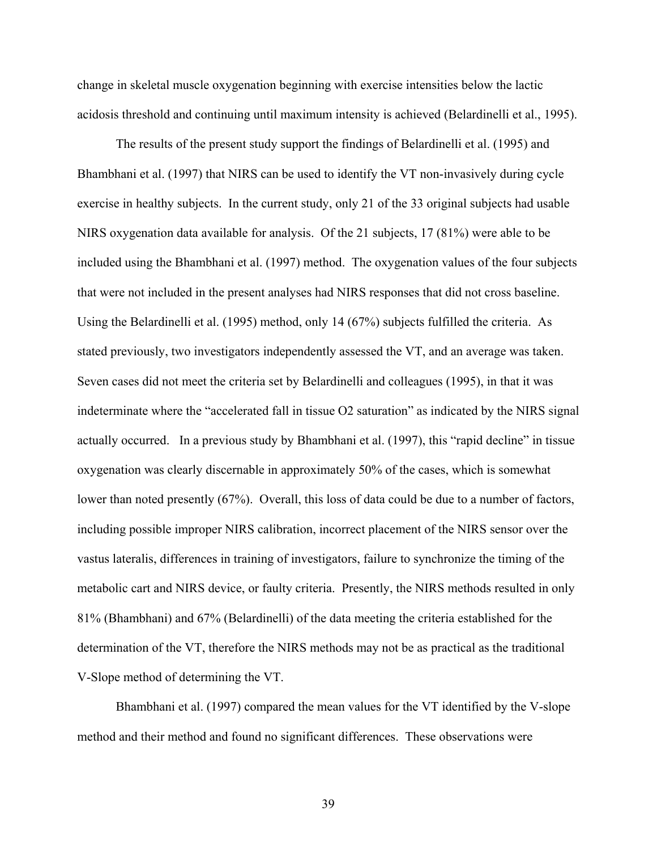change in skeletal muscle oxygenation beginning with exercise intensities below the lactic acidosis threshold and continuing until maximum intensity is achieved (Belardinelli et al., 1995).

 The results of the present study support the findings of Belardinelli et al. (1995) and Bhambhani et al. (1997) that NIRS can be used to identify the VT non-invasively during cycle exercise in healthy subjects. In the current study, only 21 of the 33 original subjects had usable NIRS oxygenation data available for analysis. Of the 21 subjects, 17 (81%) were able to be included using the Bhambhani et al. (1997) method. The oxygenation values of the four subjects that were not included in the present analyses had NIRS responses that did not cross baseline. Using the Belardinelli et al. (1995) method, only 14 (67%) subjects fulfilled the criteria. As stated previously, two investigators independently assessed the VT, and an average was taken. Seven cases did not meet the criteria set by Belardinelli and colleagues (1995), in that it was indeterminate where the "accelerated fall in tissue O2 saturation" as indicated by the NIRS signal actually occurred. In a previous study by Bhambhani et al. (1997), this "rapid decline" in tissue oxygenation was clearly discernable in approximately 50% of the cases, which is somewhat lower than noted presently (67%). Overall, this loss of data could be due to a number of factors, including possible improper NIRS calibration, incorrect placement of the NIRS sensor over the vastus lateralis, differences in training of investigators, failure to synchronize the timing of the metabolic cart and NIRS device, or faulty criteria. Presently, the NIRS methods resulted in only 81% (Bhambhani) and 67% (Belardinelli) of the data meeting the criteria established for the determination of the VT, therefore the NIRS methods may not be as practical as the traditional V-Slope method of determining the VT.

 Bhambhani et al. (1997) compared the mean values for the VT identified by the V-slope method and their method and found no significant differences. These observations were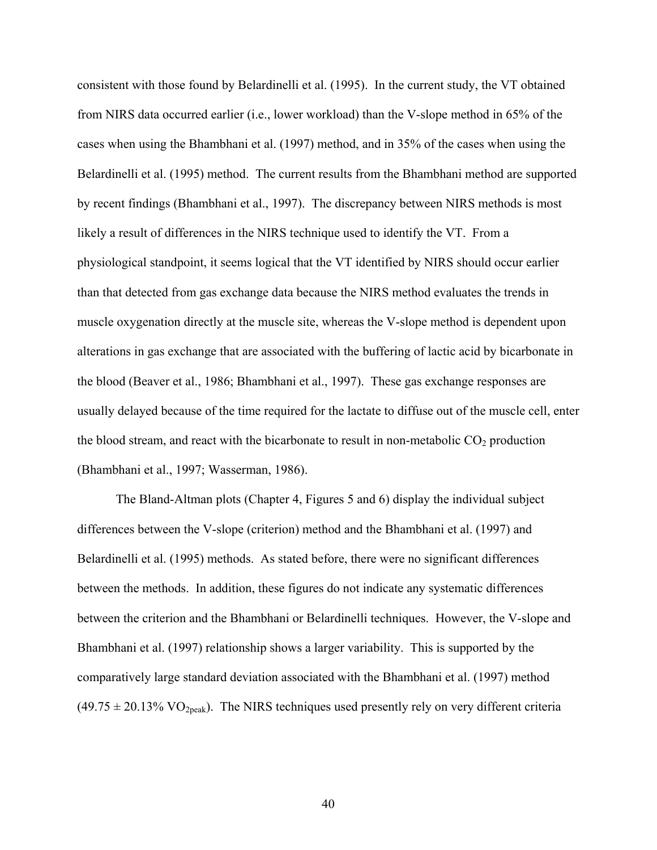consistent with those found by Belardinelli et al. (1995). In the current study, the VT obtained from NIRS data occurred earlier (i.e., lower workload) than the V-slope method in 65% of the cases when using the Bhambhani et al. (1997) method, and in 35% of the cases when using the Belardinelli et al. (1995) method. The current results from the Bhambhani method are supported by recent findings (Bhambhani et al., 1997). The discrepancy between NIRS methods is most likely a result of differences in the NIRS technique used to identify the VT. From a physiological standpoint, it seems logical that the VT identified by NIRS should occur earlier than that detected from gas exchange data because the NIRS method evaluates the trends in muscle oxygenation directly at the muscle site, whereas the V-slope method is dependent upon alterations in gas exchange that are associated with the buffering of lactic acid by bicarbonate in the blood (Beaver et al., 1986; Bhambhani et al., 1997). These gas exchange responses are usually delayed because of the time required for the lactate to diffuse out of the muscle cell, enter the blood stream, and react with the bicarbonate to result in non-metabolic  $CO<sub>2</sub>$  production (Bhambhani et al., 1997; Wasserman, 1986).

The Bland-Altman plots (Chapter 4, Figures 5 and 6) display the individual subject differences between the V-slope (criterion) method and the Bhambhani et al. (1997) and Belardinelli et al. (1995) methods. As stated before, there were no significant differences between the methods. In addition, these figures do not indicate any systematic differences between the criterion and the Bhambhani or Belardinelli techniques. However, the V-slope and Bhambhani et al. (1997) relationship shows a larger variability. This is supported by the comparatively large standard deviation associated with the Bhambhani et al. (1997) method  $(49.75 \pm 20.13\% \text{ VO}_{2\text{peak}})$ . The NIRS techniques used presently rely on very different criteria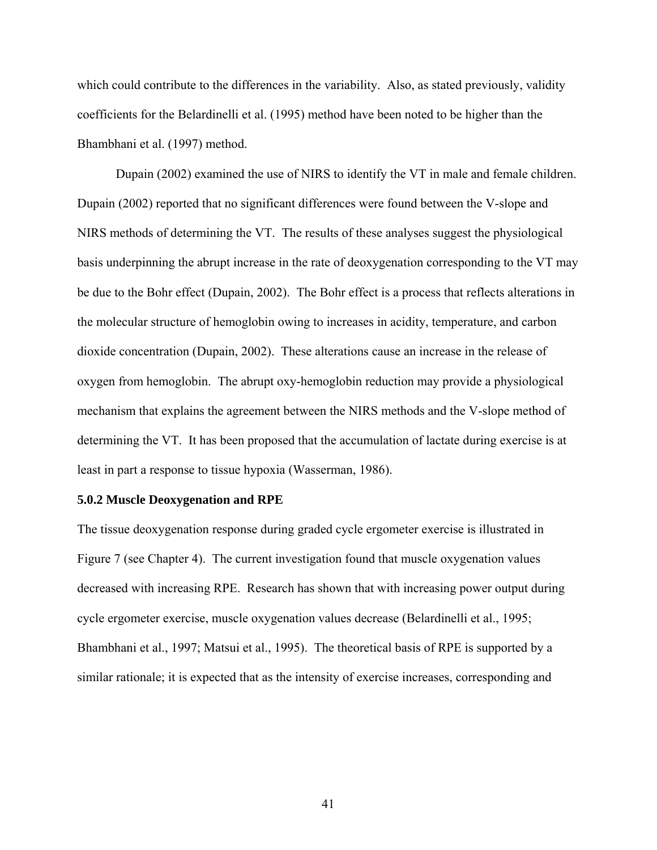which could contribute to the differences in the variability. Also, as stated previously, validity coefficients for the Belardinelli et al. (1995) method have been noted to be higher than the Bhambhani et al. (1997) method.

Dupain (2002) examined the use of NIRS to identify the VT in male and female children. Dupain (2002) reported that no significant differences were found between the V-slope and NIRS methods of determining the VT. The results of these analyses suggest the physiological basis underpinning the abrupt increase in the rate of deoxygenation corresponding to the VT may be due to the Bohr effect (Dupain, 2002). The Bohr effect is a process that reflects alterations in the molecular structure of hemoglobin owing to increases in acidity, temperature, and carbon dioxide concentration (Dupain, 2002). These alterations cause an increase in the release of oxygen from hemoglobin. The abrupt oxy-hemoglobin reduction may provide a physiological mechanism that explains the agreement between the NIRS methods and the V-slope method of determining the VT. It has been proposed that the accumulation of lactate during exercise is at least in part a response to tissue hypoxia (Wasserman, 1986).

#### **5.0.2 Muscle Deoxygenation and RPE**

The tissue deoxygenation response during graded cycle ergometer exercise is illustrated in Figure 7 (see Chapter 4). The current investigation found that muscle oxygenation values decreased with increasing RPE. Research has shown that with increasing power output during cycle ergometer exercise, muscle oxygenation values decrease (Belardinelli et al., 1995; Bhambhani et al., 1997; Matsui et al., 1995). The theoretical basis of RPE is supported by a similar rationale; it is expected that as the intensity of exercise increases, corresponding and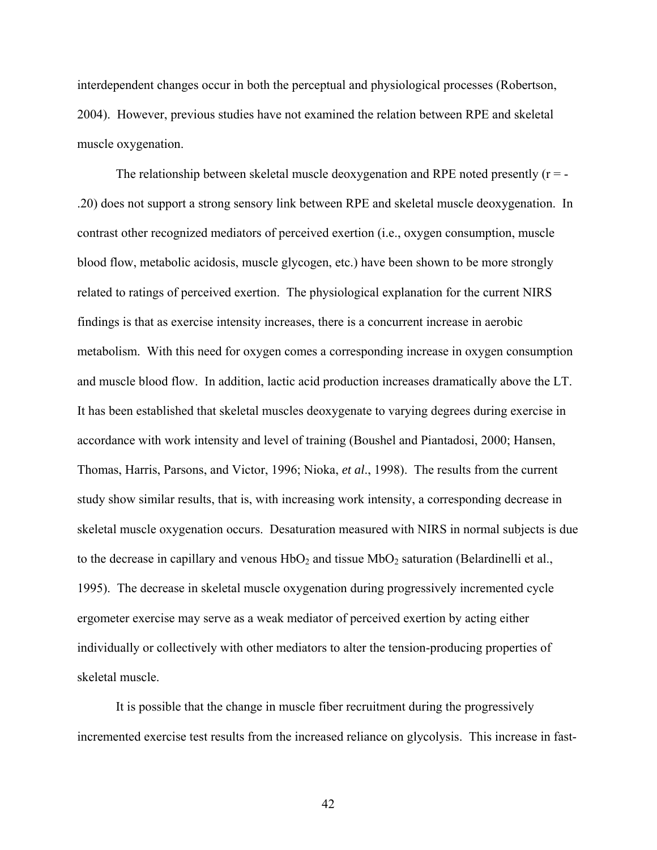interdependent changes occur in both the perceptual and physiological processes (Robertson, 2004). However, previous studies have not examined the relation between RPE and skeletal muscle oxygenation.

The relationship between skeletal muscle deoxygenation and RPE noted presently  $(r = -1)$ .20) does not support a strong sensory link between RPE and skeletal muscle deoxygenation. In contrast other recognized mediators of perceived exertion (i.e., oxygen consumption, muscle blood flow, metabolic acidosis, muscle glycogen, etc.) have been shown to be more strongly related to ratings of perceived exertion. The physiological explanation for the current NIRS findings is that as exercise intensity increases, there is a concurrent increase in aerobic metabolism. With this need for oxygen comes a corresponding increase in oxygen consumption and muscle blood flow. In addition, lactic acid production increases dramatically above the LT. It has been established that skeletal muscles deoxygenate to varying degrees during exercise in accordance with work intensity and level of training (Boushel and Piantadosi, 2000; Hansen, Thomas, Harris, Parsons, and Victor, 1996; Nioka, *et al*., 1998). The results from the current study show similar results, that is, with increasing work intensity, a corresponding decrease in skeletal muscle oxygenation occurs. Desaturation measured with NIRS in normal subjects is due to the decrease in capillary and venous  $HbO_2$  and tissue  $MbO_2$  saturation (Belardinelli et al., 1995). The decrease in skeletal muscle oxygenation during progressively incremented cycle ergometer exercise may serve as a weak mediator of perceived exertion by acting either individually or collectively with other mediators to alter the tension-producing properties of skeletal muscle.

It is possible that the change in muscle fiber recruitment during the progressively incremented exercise test results from the increased reliance on glycolysis. This increase in fast-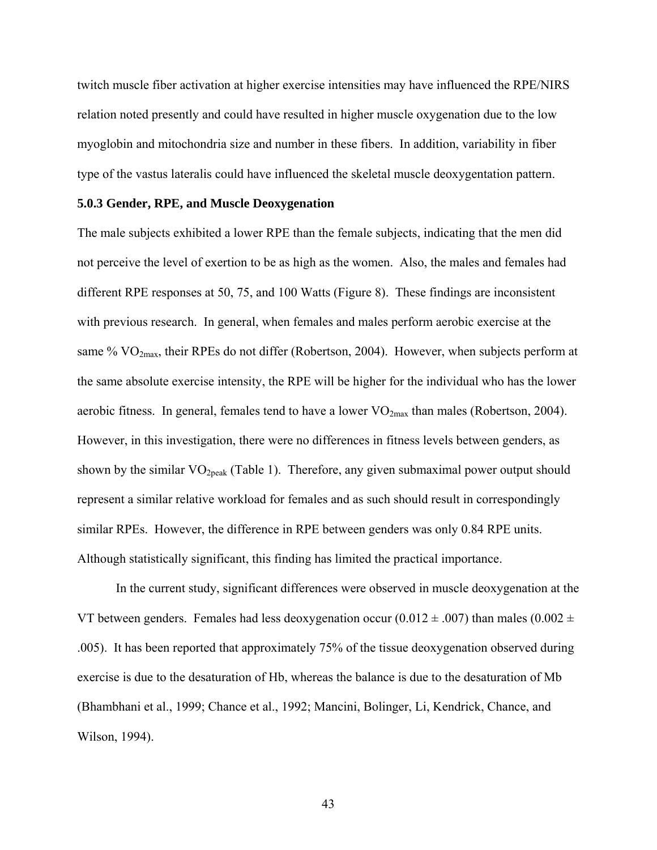twitch muscle fiber activation at higher exercise intensities may have influenced the RPE/NIRS relation noted presently and could have resulted in higher muscle oxygenation due to the low myoglobin and mitochondria size and number in these fibers. In addition, variability in fiber type of the vastus lateralis could have influenced the skeletal muscle deoxygentation pattern.

### **5.0.3 Gender, RPE, and Muscle Deoxygenation**

The male subjects exhibited a lower RPE than the female subjects, indicating that the men did not perceive the level of exertion to be as high as the women. Also, the males and females had different RPE responses at 50, 75, and 100 Watts (Figure 8). These findings are inconsistent with previous research. In general, when females and males perform aerobic exercise at the same %  $VO<sub>2max</sub>$ , their RPEs do not differ (Robertson, 2004). However, when subjects perform at the same absolute exercise intensity, the RPE will be higher for the individual who has the lower aerobic fitness. In general, females tend to have a lower  $VO_{2max}$  than males (Robertson, 2004). However, in this investigation, there were no differences in fitness levels between genders, as shown by the similar  $VO<sub>2peak</sub>$  (Table 1). Therefore, any given submaximal power output should represent a similar relative workload for females and as such should result in correspondingly similar RPEs. However, the difference in RPE between genders was only 0.84 RPE units. Although statistically significant, this finding has limited the practical importance.

In the current study, significant differences were observed in muscle deoxygenation at the VT between genders. Females had less deoxygenation occur (0.012  $\pm$  .007) than males (0.002  $\pm$ .005). It has been reported that approximately 75% of the tissue deoxygenation observed during exercise is due to the desaturation of Hb, whereas the balance is due to the desaturation of Mb (Bhambhani et al., 1999; Chance et al., 1992; Mancini, Bolinger, Li, Kendrick, Chance, and Wilson, 1994).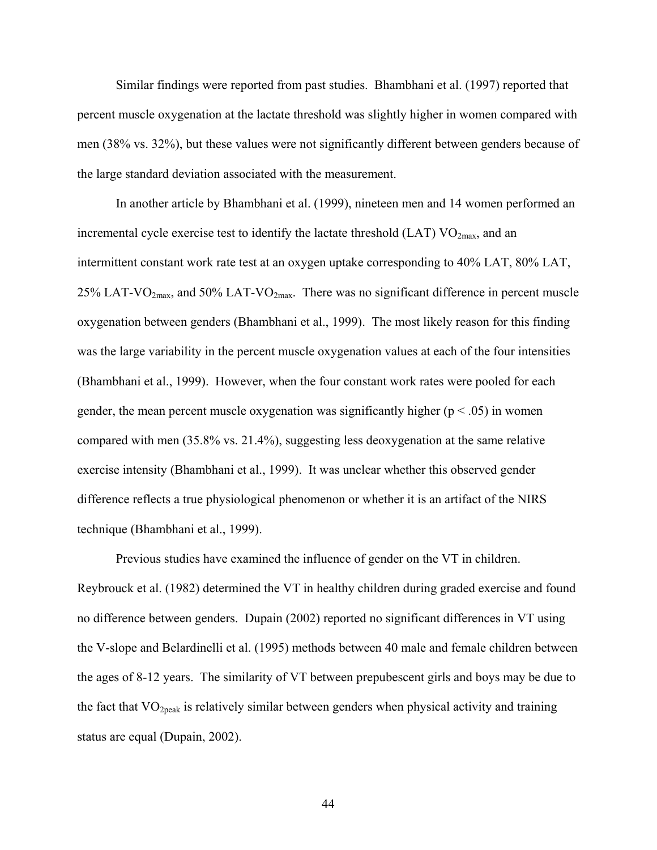Similar findings were reported from past studies. Bhambhani et al. (1997) reported that percent muscle oxygenation at the lactate threshold was slightly higher in women compared with men (38% vs. 32%), but these values were not significantly different between genders because of the large standard deviation associated with the measurement.

In another article by Bhambhani et al. (1999), nineteen men and 14 women performed an incremental cycle exercise test to identify the lactate threshold  $(LAT)$   $VO<sub>2max</sub>$ , and an intermittent constant work rate test at an oxygen uptake corresponding to 40% LAT, 80% LAT, 25% LAT-VO<sub>2max</sub>, and 50% LAT-VO<sub>2max</sub>. There was no significant difference in percent muscle oxygenation between genders (Bhambhani et al., 1999). The most likely reason for this finding was the large variability in the percent muscle oxygenation values at each of the four intensities (Bhambhani et al., 1999). However, when the four constant work rates were pooled for each gender, the mean percent muscle oxygenation was significantly higher ( $p < .05$ ) in women compared with men (35.8% vs. 21.4%), suggesting less deoxygenation at the same relative exercise intensity (Bhambhani et al., 1999). It was unclear whether this observed gender difference reflects a true physiological phenomenon or whether it is an artifact of the NIRS technique (Bhambhani et al., 1999).

Previous studies have examined the influence of gender on the VT in children. Reybrouck et al. (1982) determined the VT in healthy children during graded exercise and found no difference between genders. Dupain (2002) reported no significant differences in VT using the V-slope and Belardinelli et al. (1995) methods between 40 male and female children between the ages of 8-12 years. The similarity of VT between prepubescent girls and boys may be due to the fact that  $VO<sub>2peak</sub>$  is relatively similar between genders when physical activity and training status are equal (Dupain, 2002).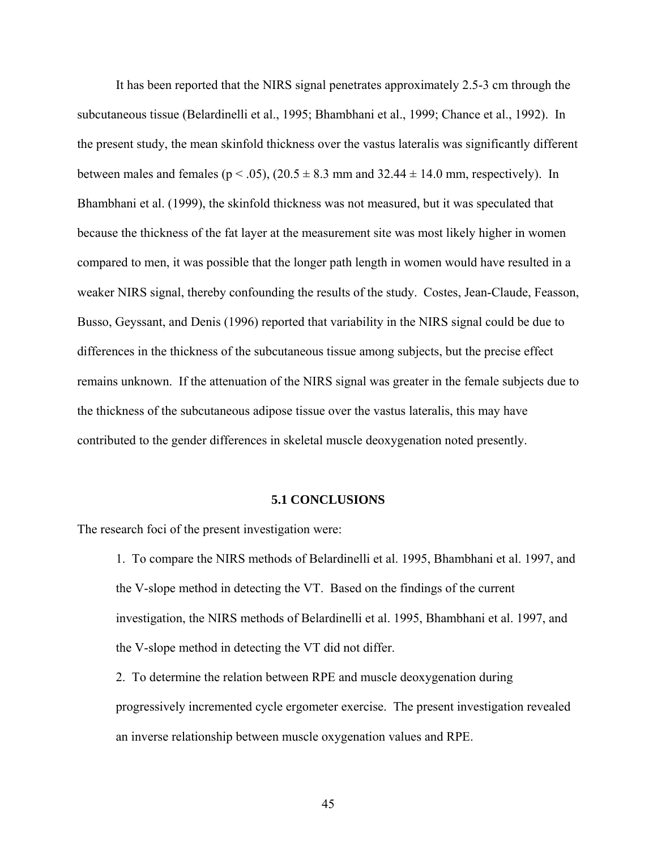It has been reported that the NIRS signal penetrates approximately 2.5-3 cm through the subcutaneous tissue (Belardinelli et al., 1995; Bhambhani et al., 1999; Chance et al., 1992). In the present study, the mean skinfold thickness over the vastus lateralis was significantly different between males and females ( $p < .05$ ), ( $20.5 \pm 8.3$  mm and  $32.44 \pm 14.0$  mm, respectively). In Bhambhani et al. (1999), the skinfold thickness was not measured, but it was speculated that because the thickness of the fat layer at the measurement site was most likely higher in women compared to men, it was possible that the longer path length in women would have resulted in a weaker NIRS signal, thereby confounding the results of the study. Costes, Jean-Claude, Feasson, Busso, Geyssant, and Denis (1996) reported that variability in the NIRS signal could be due to differences in the thickness of the subcutaneous tissue among subjects, but the precise effect remains unknown. If the attenuation of the NIRS signal was greater in the female subjects due to the thickness of the subcutaneous adipose tissue over the vastus lateralis, this may have contributed to the gender differences in skeletal muscle deoxygenation noted presently.

### **5.1 CONCLUSIONS**

The research foci of the present investigation were:

- 1. To compare the NIRS methods of Belardinelli et al. 1995, Bhambhani et al. 1997, and the V-slope method in detecting the VT. Based on the findings of the current investigation, the NIRS methods of Belardinelli et al. 1995, Bhambhani et al. 1997, and the V-slope method in detecting the VT did not differ.
- 2. To determine the relation between RPE and muscle deoxygenation during progressively incremented cycle ergometer exercise. The present investigation revealed an inverse relationship between muscle oxygenation values and RPE.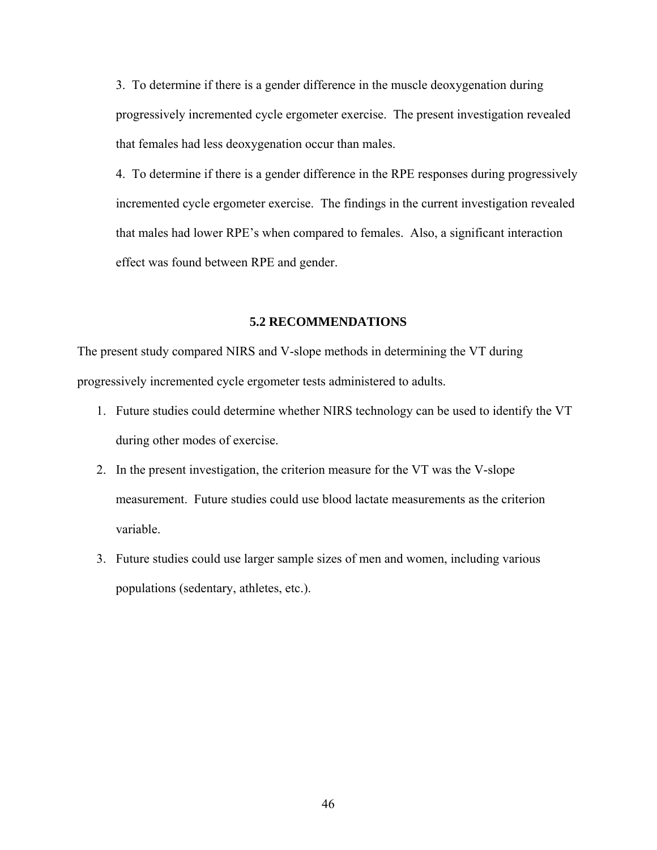3. To determine if there is a gender difference in the muscle deoxygenation during progressively incremented cycle ergometer exercise. The present investigation revealed that females had less deoxygenation occur than males.

4. To determine if there is a gender difference in the RPE responses during progressively incremented cycle ergometer exercise. The findings in the current investigation revealed that males had lower RPE's when compared to females. Also, a significant interaction effect was found between RPE and gender.

## **5.2 RECOMMENDATIONS**

The present study compared NIRS and V-slope methods in determining the VT during progressively incremented cycle ergometer tests administered to adults.

- 1. Future studies could determine whether NIRS technology can be used to identify the VT during other modes of exercise.
- 2. In the present investigation, the criterion measure for the VT was the V-slope measurement. Future studies could use blood lactate measurements as the criterion variable.
- 3. Future studies could use larger sample sizes of men and women, including various populations (sedentary, athletes, etc.).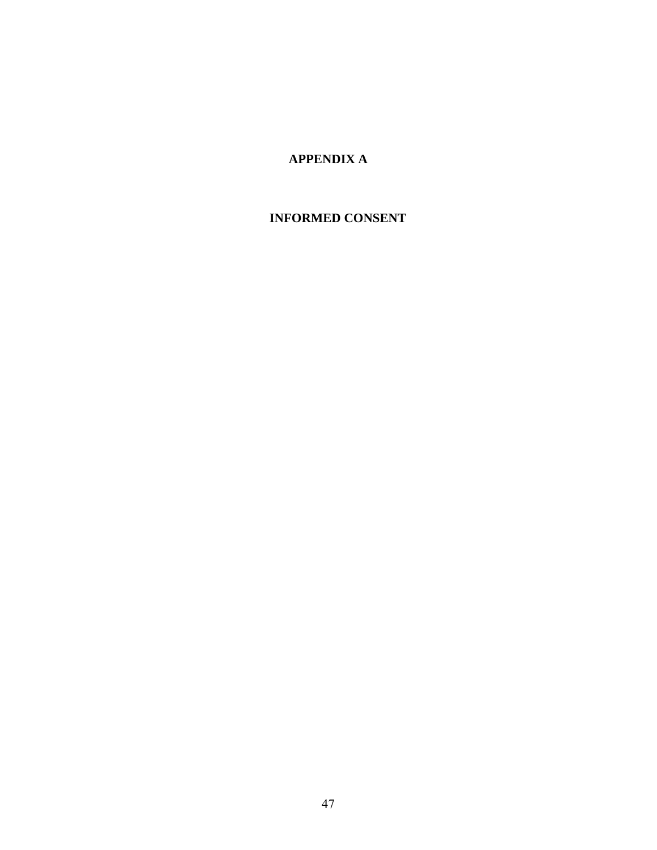# **APPENDIX A**

# **INFORMED CONSENT**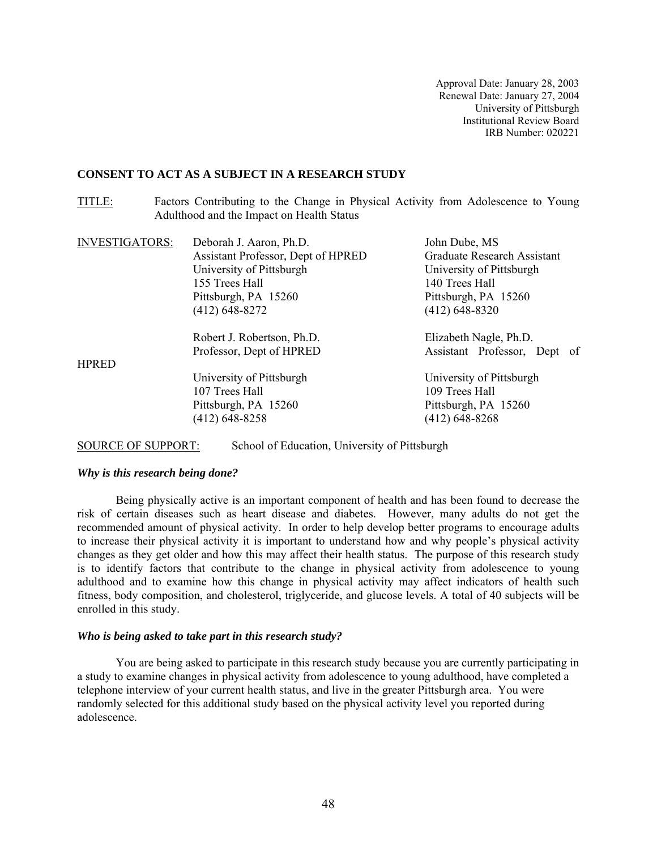#### **CONSENT TO ACT AS A SUBJECT IN A RESEARCH STUDY**

TITLE: Factors Contributing to the Change in Physical Activity from Adolescence to Young Adulthood and the Impact on Health Status

| <b>INVESTIGATORS:</b> | Deborah J. Aaron, Ph.D.<br>Assistant Professor, Dept of HPRED<br>University of Pittsburgh | John Dube, MS<br><b>Graduate Research Assistant</b><br>University of Pittsburgh |
|-----------------------|-------------------------------------------------------------------------------------------|---------------------------------------------------------------------------------|
|                       | 155 Trees Hall                                                                            | 140 Trees Hall                                                                  |
|                       | Pittsburgh, PA 15260                                                                      | Pittsburgh, PA 15260                                                            |
|                       | $(412)$ 648-8272                                                                          | $(412)$ 648-8320                                                                |
|                       | Robert J. Robertson, Ph.D.                                                                | Elizabeth Nagle, Ph.D.                                                          |
|                       | Professor, Dept of HPRED                                                                  | Assistant Professor, Dept of                                                    |
| <b>HPRED</b>          |                                                                                           |                                                                                 |
|                       | University of Pittsburgh                                                                  | University of Pittsburgh                                                        |
|                       | 107 Trees Hall                                                                            | 109 Trees Hall                                                                  |
|                       | Pittsburgh, PA 15260                                                                      | Pittsburgh, PA 15260                                                            |
|                       | $(412)$ 648-8258                                                                          | $(412)$ 648-8268                                                                |

SOURCE OF SUPPORT: School of Education, University of Pittsburgh

#### *Why is this research being done?*

 Being physically active is an important component of health and has been found to decrease the risk of certain diseases such as heart disease and diabetes. However, many adults do not get the recommended amount of physical activity. In order to help develop better programs to encourage adults to increase their physical activity it is important to understand how and why people's physical activity changes as they get older and how this may affect their health status. The purpose of this research study is to identify factors that contribute to the change in physical activity from adolescence to young adulthood and to examine how this change in physical activity may affect indicators of health such fitness, body composition, and cholesterol, triglyceride, and glucose levels. A total of 40 subjects will be enrolled in this study.

#### *Who is being asked to take part in this research study?*

 You are being asked to participate in this research study because you are currently participating in a study to examine changes in physical activity from adolescence to young adulthood, have completed a telephone interview of your current health status, and live in the greater Pittsburgh area. You were randomly selected for this additional study based on the physical activity level you reported during adolescence.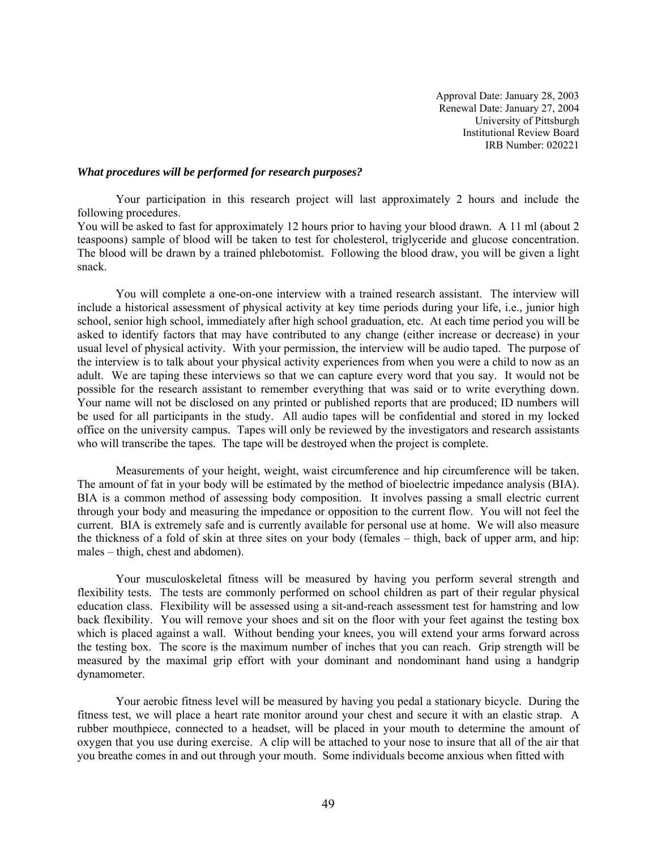#### *What procedures will be performed for research purposes?*

 Your participation in this research project will last approximately 2 hours and include the following procedures.

You will be asked to fast for approximately 12 hours prior to having your blood drawn. A 11 ml (about 2 teaspoons) sample of blood will be taken to test for cholesterol, triglyceride and glucose concentration. The blood will be drawn by a trained phlebotomist. Following the blood draw, you will be given a light snack.

You will complete a one-on-one interview with a trained research assistant. The interview will include a historical assessment of physical activity at key time periods during your life, i.e., junior high school, senior high school, immediately after high school graduation, etc. At each time period you will be asked to identify factors that may have contributed to any change (either increase or decrease) in your usual level of physical activity. With your permission, the interview will be audio taped. The purpose of the interview is to talk about your physical activity experiences from when you were a child to now as an adult. We are taping these interviews so that we can capture every word that you say. It would not be possible for the research assistant to remember everything that was said or to write everything down. Your name will not be disclosed on any printed or published reports that are produced; ID numbers will be used for all participants in the study. All audio tapes will be confidential and stored in my locked office on the university campus. Tapes will only be reviewed by the investigators and research assistants who will transcribe the tapes. The tape will be destroyed when the project is complete.

 Measurements of your height, weight, waist circumference and hip circumference will be taken. The amount of fat in your body will be estimated by the method of bioelectric impedance analysis (BIA). BIA is a common method of assessing body composition. It involves passing a small electric current through your body and measuring the impedance or opposition to the current flow. You will not feel the current. BIA is extremely safe and is currently available for personal use at home. We will also measure the thickness of a fold of skin at three sites on your body (females – thigh, back of upper arm, and hip: males – thigh, chest and abdomen).

Your musculoskeletal fitness will be measured by having you perform several strength and flexibility tests. The tests are commonly performed on school children as part of their regular physical education class. Flexibility will be assessed using a sit-and-reach assessment test for hamstring and low back flexibility. You will remove your shoes and sit on the floor with your feet against the testing box which is placed against a wall. Without bending your knees, you will extend your arms forward across the testing box. The score is the maximum number of inches that you can reach. Grip strength will be measured by the maximal grip effort with your dominant and nondominant hand using a handgrip dynamometer.

Your aerobic fitness level will be measured by having you pedal a stationary bicycle. During the fitness test, we will place a heart rate monitor around your chest and secure it with an elastic strap. A rubber mouthpiece, connected to a headset, will be placed in your mouth to determine the amount of oxygen that you use during exercise. A clip will be attached to your nose to insure that all of the air that you breathe comes in and out through your mouth. Some individuals become anxious when fitted with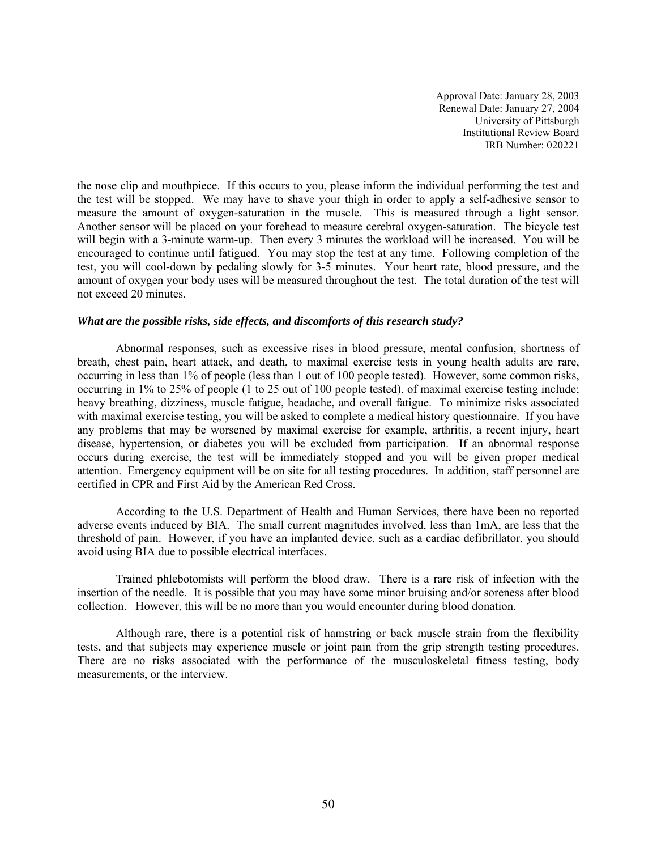the nose clip and mouthpiece. If this occurs to you, please inform the individual performing the test and the test will be stopped. We may have to shave your thigh in order to apply a self-adhesive sensor to measure the amount of oxygen-saturation in the muscle. This is measured through a light sensor. Another sensor will be placed on your forehead to measure cerebral oxygen-saturation. The bicycle test will begin with a 3-minute warm-up. Then every 3 minutes the workload will be increased. You will be encouraged to continue until fatigued. You may stop the test at any time. Following completion of the test, you will cool-down by pedaling slowly for 3-5 minutes. Your heart rate, blood pressure, and the amount of oxygen your body uses will be measured throughout the test. The total duration of the test will not exceed 20 minutes.

### *What are the possible risks, side effects, and discomforts of this research study?*

 Abnormal responses, such as excessive rises in blood pressure, mental confusion, shortness of breath, chest pain, heart attack, and death, to maximal exercise tests in young health adults are rare, occurring in less than 1% of people (less than 1 out of 100 people tested). However, some common risks, occurring in 1% to 25% of people (1 to 25 out of 100 people tested), of maximal exercise testing include; heavy breathing, dizziness, muscle fatigue, headache, and overall fatigue. To minimize risks associated with maximal exercise testing, you will be asked to complete a medical history questionnaire. If you have any problems that may be worsened by maximal exercise for example, arthritis, a recent injury, heart disease, hypertension, or diabetes you will be excluded from participation. If an abnormal response occurs during exercise, the test will be immediately stopped and you will be given proper medical attention. Emergency equipment will be on site for all testing procedures. In addition, staff personnel are certified in CPR and First Aid by the American Red Cross.

According to the U.S. Department of Health and Human Services, there have been no reported adverse events induced by BIA. The small current magnitudes involved, less than 1mA, are less that the threshold of pain. However, if you have an implanted device, such as a cardiac defibrillator, you should avoid using BIA due to possible electrical interfaces.

Trained phlebotomists will perform the blood draw. There is a rare risk of infection with the insertion of the needle. It is possible that you may have some minor bruising and/or soreness after blood collection. However, this will be no more than you would encounter during blood donation.

Although rare, there is a potential risk of hamstring or back muscle strain from the flexibility tests, and that subjects may experience muscle or joint pain from the grip strength testing procedures. There are no risks associated with the performance of the musculoskeletal fitness testing, body measurements, or the interview.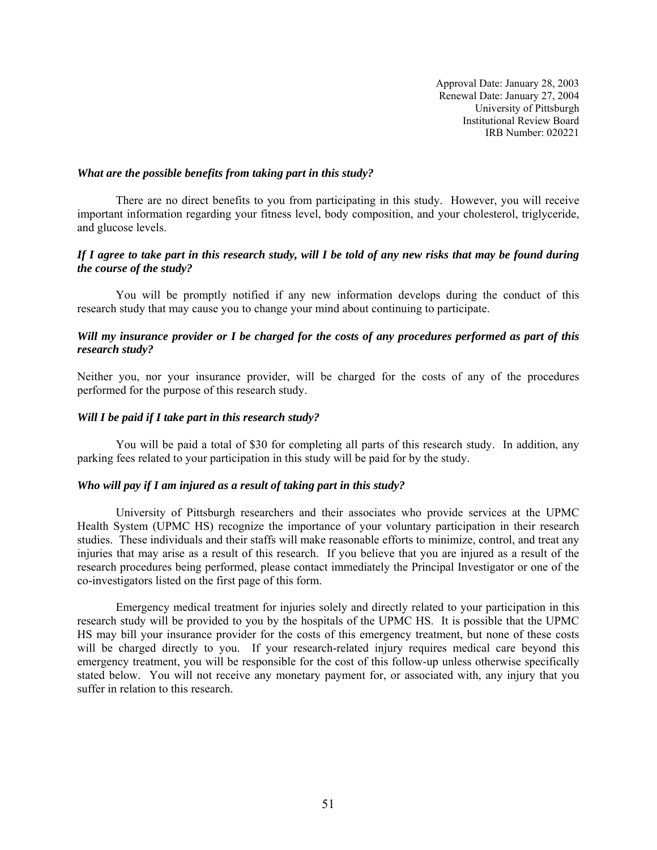#### *What are the possible benefits from taking part in this study?*

 There are no direct benefits to you from participating in this study. However, you will receive important information regarding your fitness level, body composition, and your cholesterol, triglyceride, and glucose levels.

### *If I agree to take part in this research study, will I be told of any new risks that may be found during the course of the study?*

 You will be promptly notified if any new information develops during the conduct of this research study that may cause you to change your mind about continuing to participate.

## *Will my insurance provider or I be charged for the costs of any procedures performed as part of this research study?*

Neither you, nor your insurance provider, will be charged for the costs of any of the procedures performed for the purpose of this research study.

#### *Will I be paid if I take part in this research study?*

 You will be paid a total of \$30 for completing all parts of this research study. In addition, any parking fees related to your participation in this study will be paid for by the study.

#### *Who will pay if I am injured as a result of taking part in this study?*

 University of Pittsburgh researchers and their associates who provide services at the UPMC Health System (UPMC HS) recognize the importance of your voluntary participation in their research studies. These individuals and their staffs will make reasonable efforts to minimize, control, and treat any injuries that may arise as a result of this research. If you believe that you are injured as a result of the research procedures being performed, please contact immediately the Principal Investigator or one of the co-investigators listed on the first page of this form.

 Emergency medical treatment for injuries solely and directly related to your participation in this research study will be provided to you by the hospitals of the UPMC HS. It is possible that the UPMC HS may bill your insurance provider for the costs of this emergency treatment, but none of these costs will be charged directly to you. If your research-related injury requires medical care beyond this emergency treatment, you will be responsible for the cost of this follow-up unless otherwise specifically stated below. You will not receive any monetary payment for, or associated with, any injury that you suffer in relation to this research.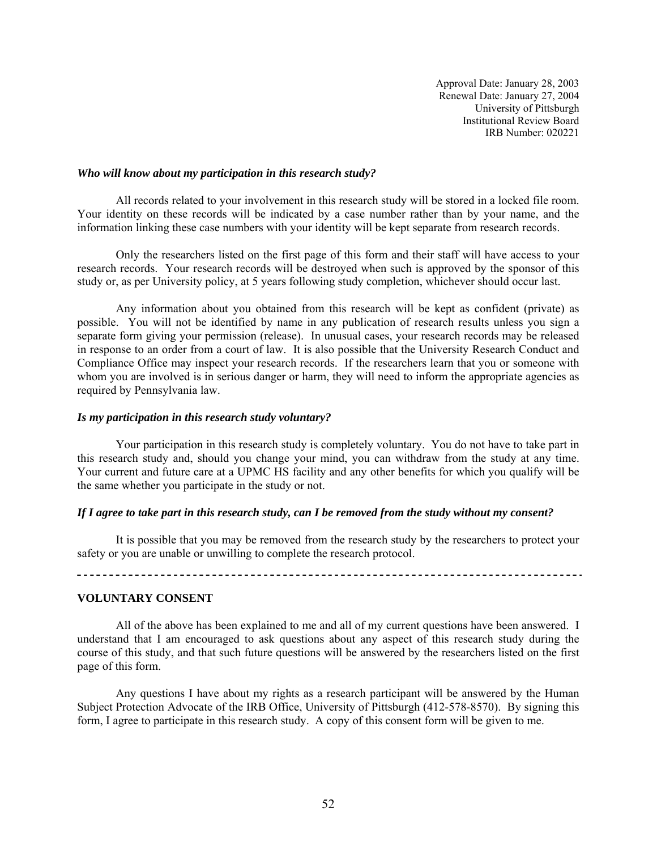#### *Who will know about my participation in this research study?*

 All records related to your involvement in this research study will be stored in a locked file room. Your identity on these records will be indicated by a case number rather than by your name, and the information linking these case numbers with your identity will be kept separate from research records.

Only the researchers listed on the first page of this form and their staff will have access to your research records. Your research records will be destroyed when such is approved by the sponsor of this study or, as per University policy, at 5 years following study completion, whichever should occur last.

Any information about you obtained from this research will be kept as confident (private) as possible. You will not be identified by name in any publication of research results unless you sign a separate form giving your permission (release). In unusual cases, your research records may be released in response to an order from a court of law. It is also possible that the University Research Conduct and Compliance Office may inspect your research records. If the researchers learn that you or someone with whom you are involved is in serious danger or harm, they will need to inform the appropriate agencies as required by Pennsylvania law.

#### *Is my participation in this research study voluntary?*

 Your participation in this research study is completely voluntary. You do not have to take part in this research study and, should you change your mind, you can withdraw from the study at any time. Your current and future care at a UPMC HS facility and any other benefits for which you qualify will be the same whether you participate in the study or not.

#### *If I agree to take part in this research study, can I be removed from the study without my consent?*

 It is possible that you may be removed from the research study by the researchers to protect your safety or you are unable or unwilling to complete the research protocol.

## **VOLUNTARY CONSENT**

 All of the above has been explained to me and all of my current questions have been answered. I understand that I am encouraged to ask questions about any aspect of this research study during the course of this study, and that such future questions will be answered by the researchers listed on the first page of this form.

 Any questions I have about my rights as a research participant will be answered by the Human Subject Protection Advocate of the IRB Office, University of Pittsburgh (412-578-8570). By signing this form, I agree to participate in this research study. A copy of this consent form will be given to me.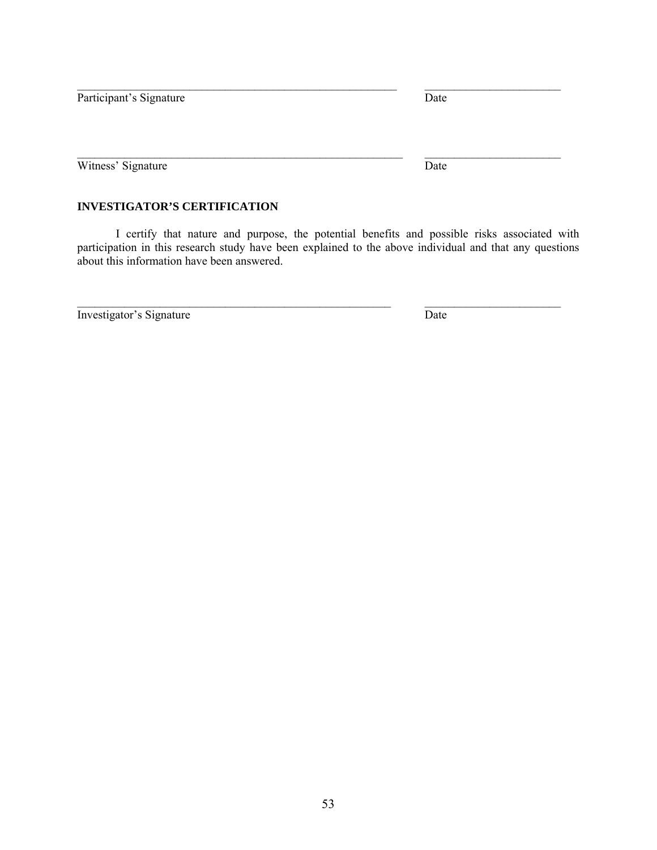Participant's Signature Date

Witness' Signature Date

## **INVESTIGATOR'S CERTIFICATION**

I certify that nature and purpose, the potential benefits and possible risks associated with participation in this research study have been explained to the above individual and that any questions about this information have been answered.

 $\mathcal{L}_\mathcal{L} = \{ \mathcal{L}_\mathcal{L} = \{ \mathcal{L}_\mathcal{L} = \{ \mathcal{L}_\mathcal{L} = \{ \mathcal{L}_\mathcal{L} = \{ \mathcal{L}_\mathcal{L} = \{ \mathcal{L}_\mathcal{L} = \{ \mathcal{L}_\mathcal{L} = \{ \mathcal{L}_\mathcal{L} = \{ \mathcal{L}_\mathcal{L} = \{ \mathcal{L}_\mathcal{L} = \{ \mathcal{L}_\mathcal{L} = \{ \mathcal{L}_\mathcal{L} = \{ \mathcal{L}_\mathcal{L} = \{ \mathcal{L}_\mathcal{$ 

 $\mathcal{L}_\mathcal{L} = \{ \mathcal{L}_\mathcal{L} = \{ \mathcal{L}_\mathcal{L} = \{ \mathcal{L}_\mathcal{L} = \{ \mathcal{L}_\mathcal{L} = \{ \mathcal{L}_\mathcal{L} = \{ \mathcal{L}_\mathcal{L} = \{ \mathcal{L}_\mathcal{L} = \{ \mathcal{L}_\mathcal{L} = \{ \mathcal{L}_\mathcal{L} = \{ \mathcal{L}_\mathcal{L} = \{ \mathcal{L}_\mathcal{L} = \{ \mathcal{L}_\mathcal{L} = \{ \mathcal{L}_\mathcal{L} = \{ \mathcal{L}_\mathcal{$ 

Investigator's Signature Date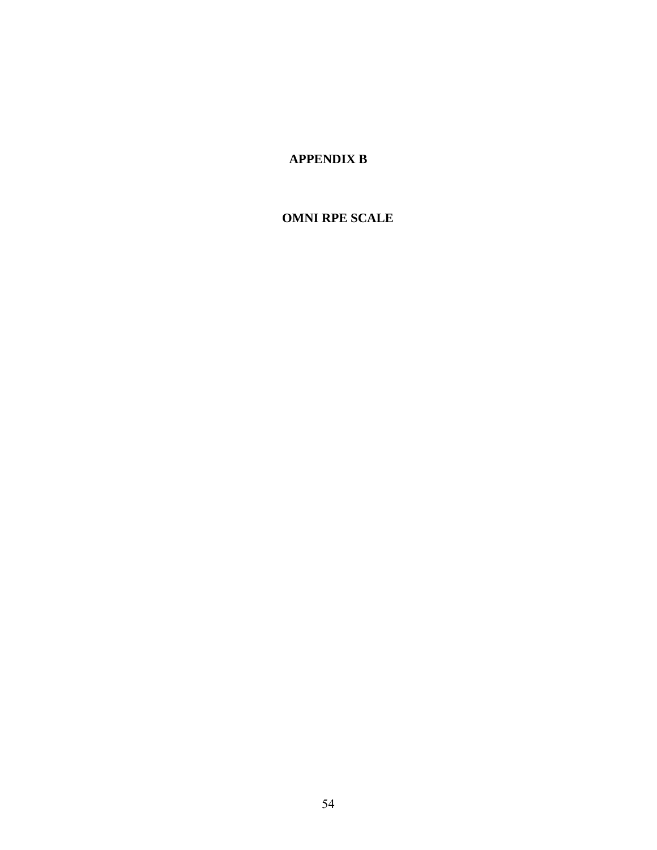# **APPENDIX B**

# **OMNI RPE SCALE**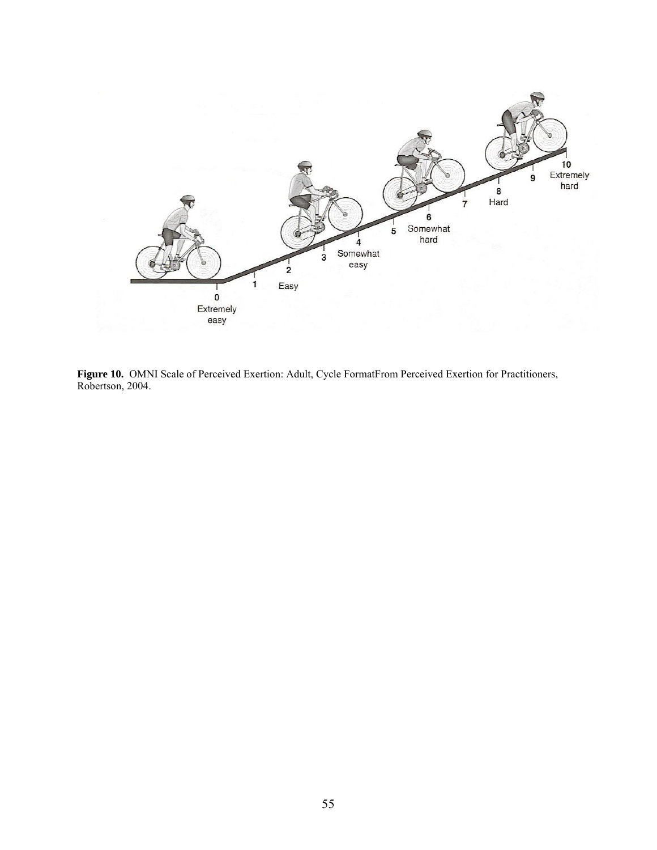

**Figure 10.** OMNI Scale of Perceived Exertion: Adult, Cycle FormatFrom Perceived Exertion for Practitioners, Robertson, 2004.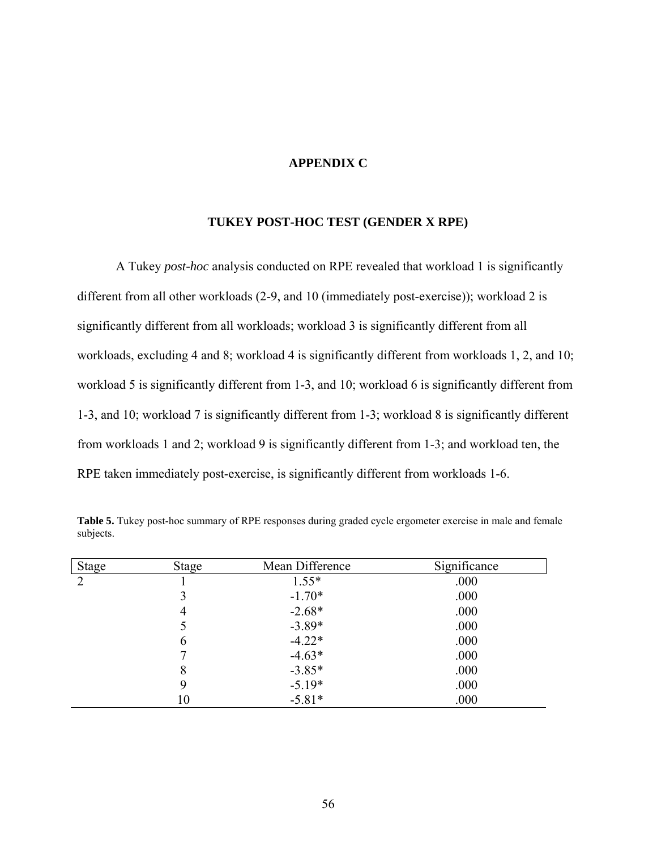## **APPENDIX C**

### **TUKEY POST-HOC TEST (GENDER X RPE)**

A Tukey *post-hoc* analysis conducted on RPE revealed that workload 1 is significantly different from all other workloads (2-9, and 10 (immediately post-exercise)); workload 2 is significantly different from all workloads; workload 3 is significantly different from all workloads, excluding 4 and 8; workload 4 is significantly different from workloads 1, 2, and 10; workload 5 is significantly different from 1-3, and 10; workload 6 is significantly different from 1-3, and 10; workload 7 is significantly different from 1-3; workload 8 is significantly different from workloads 1 and 2; workload 9 is significantly different from 1-3; and workload ten, the RPE taken immediately post-exercise, is significantly different from workloads 1-6.

| <b>Stage</b> | <b>Stage</b> | Mean Difference | Significance |
|--------------|--------------|-----------------|--------------|
| 2            |              | $1.55*$         | .000         |
|              |              | $-1.70*$        | .000         |
|              | 4            | $-2.68*$        | .000         |
|              |              | $-3.89*$        | .000         |
|              | 6            | $-4.22*$        | .000         |
|              |              | $-4.63*$        | .000         |
|              | 8            | $-3.85*$        | .000         |
|              | 9            | $-5.19*$        | .000         |
|              | 10           | $-5.81*$        | .000         |

**Table 5.** Tukey post-hoc summary of RPE responses during graded cycle ergometer exercise in male and female subjects.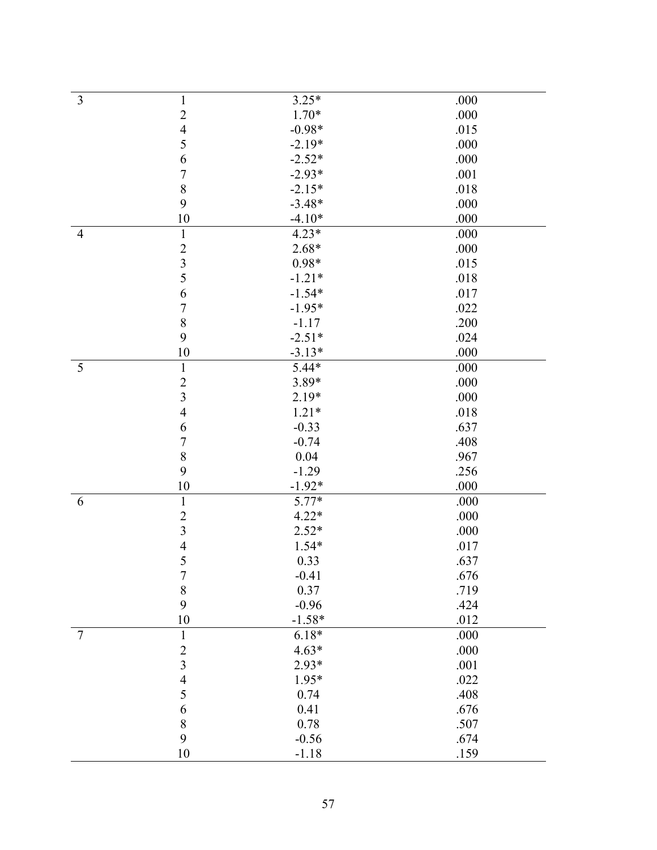| 3              | $\mathbf{1}$            | $3.25*$  | .000 |
|----------------|-------------------------|----------|------|
|                | $\overline{2}$          | $1.70*$  | .000 |
|                | $\overline{4}$          | $-0.98*$ | .015 |
|                | 5                       | $-2.19*$ | .000 |
|                | 6                       | $-2.52*$ | .000 |
|                | $\overline{7}$          | $-2.93*$ | .001 |
|                | 8                       | $-2.15*$ | .018 |
|                | 9                       | $-3.48*$ | .000 |
|                | $10\,$                  | $-4.10*$ | .000 |
| $\overline{4}$ | $\mathbf{1}$            | $4.23*$  | .000 |
|                | $\overline{c}$          | $2.68*$  | .000 |
|                | $\overline{\mathbf{3}}$ | $0.98*$  | .015 |
|                | 5                       | $-1.21*$ | .018 |
|                | 6                       | $-1.54*$ | .017 |
|                | $\boldsymbol{7}$        | $-1.95*$ | .022 |
|                | 8                       |          |      |
|                |                         | $-1.17$  | .200 |
|                | 9                       | $-2.51*$ | .024 |
|                | 10                      | $-3.13*$ | .000 |
| 5              | $\mathbf{1}$            | $5.44*$  | .000 |
|                | $\overline{2}$          | 3.89*    | .000 |
|                | $\overline{3}$          | $2.19*$  | .000 |
|                | $\overline{4}$          | $1.21*$  | .018 |
|                | 6                       | $-0.33$  | .637 |
|                | $\overline{7}$          | $-0.74$  | .408 |
|                | 8                       | 0.04     | .967 |
|                | 9                       | $-1.29$  | .256 |
|                | 10                      | $-1.92*$ | .000 |
| 6              | $\mathbf{1}$            | 5.77*    | .000 |
|                | $\overline{2}$          | $4.22*$  | .000 |
|                | $\overline{\mathbf{3}}$ | $2.52*$  | .000 |
|                | $\overline{4}$          | 1.54*    | .017 |
|                | 5                       | 0.33     | .637 |
|                | $\boldsymbol{7}$        | $-0.41$  | .676 |
|                | $\,$ $\,$               | 0.37     | .719 |
|                | 9                       | $-0.96$  | .424 |
|                | 10                      | $-1.58*$ | .012 |
| $\overline{7}$ | $\mathbf{1}$            | $6.18*$  | .000 |
|                | $\overline{2}$          | $4.63*$  | .000 |
|                | $\overline{\mathbf{3}}$ | $2.93*$  | .001 |
|                | $\overline{4}$          | 1.95*    | .022 |
|                | 5                       | 0.74     | .408 |
|                | 6                       | 0.41     | .676 |
|                | 8                       | 0.78     | .507 |
|                | 9                       | $-0.56$  | .674 |
|                | 10                      | $-1.18$  | .159 |
|                |                         |          |      |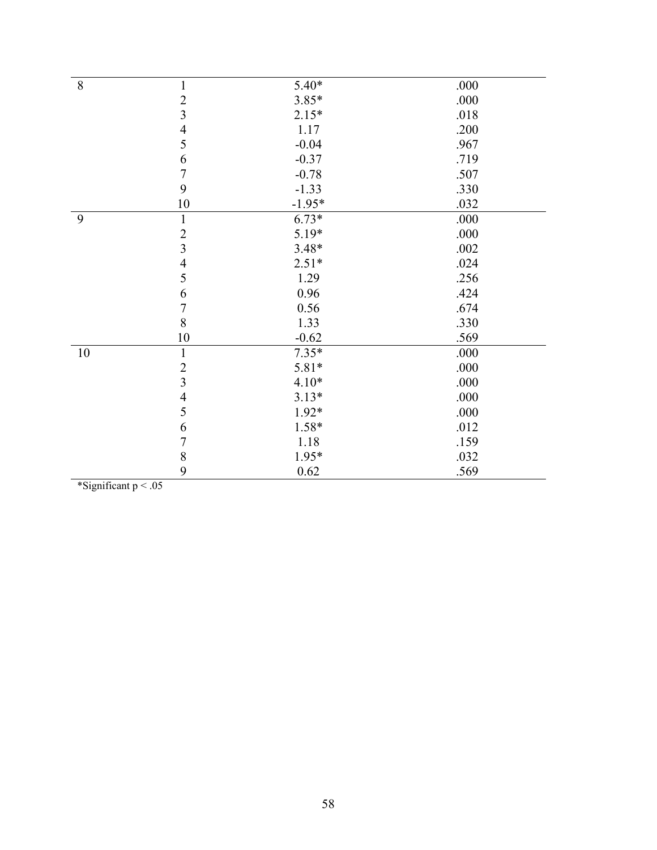| 8  | $\mathbf{1}$            | $5.40*$  | .000 |
|----|-------------------------|----------|------|
|    |                         | $3.85*$  | .000 |
|    | $\frac{2}{3}$           | $2.15*$  | .018 |
|    | $\overline{4}$          | 1.17     | .200 |
|    | 5                       | $-0.04$  | .967 |
|    | 6                       | $-0.37$  | .719 |
|    | $\overline{7}$          | $-0.78$  | .507 |
|    | 9                       | $-1.33$  | .330 |
|    | 10                      | $-1.95*$ | .032 |
| 9  | $\mathbf{1}$            | $6.73*$  | .000 |
|    | $\overline{2}$          | 5.19*    | .000 |
|    | $\overline{\mathbf{3}}$ | $3.48*$  | .002 |
|    | $\overline{4}$          | $2.51*$  | .024 |
|    | 5                       | 1.29     | .256 |
|    | 6                       | 0.96     | .424 |
|    | $\overline{7}$          | 0.56     | .674 |
|    | 8                       | 1.33     | .330 |
|    | 10                      | $-0.62$  | .569 |
| 10 | $\mathbf{1}$            | $7.35*$  | .000 |
|    | $\sqrt{2}$              | 5.81*    | .000 |
|    | $\overline{3}$          | $4.10*$  | .000 |
|    | $\overline{4}$          | $3.13*$  | .000 |
|    | 5                       | $1.92*$  | .000 |
|    | 6                       | 1.58*    | .012 |
|    | $\overline{7}$          | 1.18     | .159 |
|    | 8                       | 1.95*    | .032 |
|    | 9                       | 0.62     | .569 |

\*Significant p < .05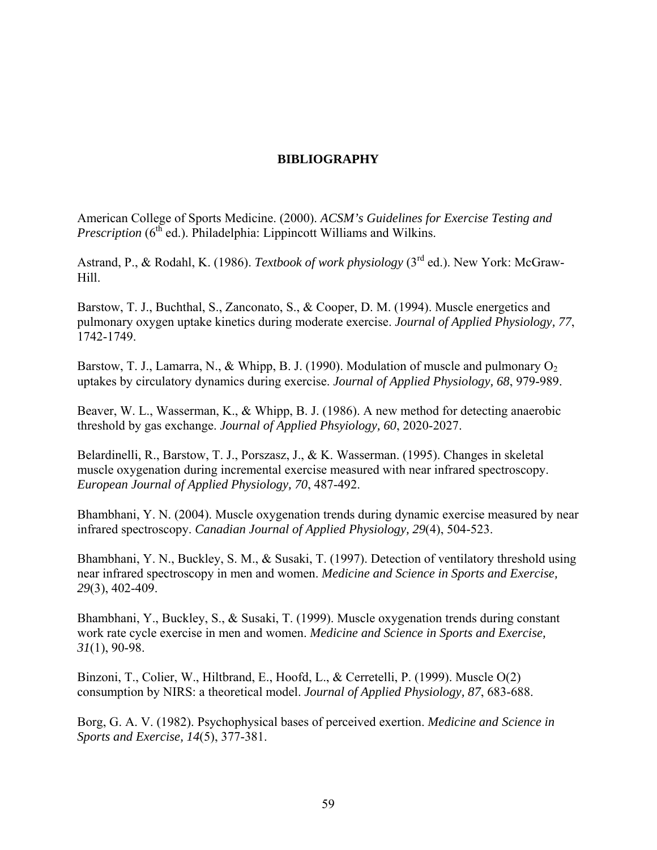## **BIBLIOGRAPHY**

American College of Sports Medicine. (2000). *ACSM's Guidelines for Exercise Testing and Prescription* (6<sup>th</sup> ed.). Philadelphia: Lippincott Williams and Wilkins.

Astrand, P., & Rodahl, K. (1986). *Textbook of work physiology* (3rd ed.). New York: McGraw-Hill.

Barstow, T. J., Buchthal, S., Zanconato, S., & Cooper, D. M. (1994). Muscle energetics and pulmonary oxygen uptake kinetics during moderate exercise. *Journal of Applied Physiology, 77*, 1742-1749.

Barstow, T. J., Lamarra, N., & Whipp, B. J. (1990). Modulation of muscle and pulmonary  $O_2$ uptakes by circulatory dynamics during exercise. *Journal of Applied Physiology, 68*, 979-989.

Beaver, W. L., Wasserman, K., & Whipp, B. J. (1986). A new method for detecting anaerobic threshold by gas exchange. *Journal of Applied Phsyiology, 60*, 2020-2027.

Belardinelli, R., Barstow, T. J., Porszasz, J., & K. Wasserman. (1995). Changes in skeletal muscle oxygenation during incremental exercise measured with near infrared spectroscopy. *European Journal of Applied Physiology, 70*, 487-492.

Bhambhani, Y. N. (2004). Muscle oxygenation trends during dynamic exercise measured by near infrared spectroscopy. *Canadian Journal of Applied Physiology, 29*(4), 504-523.

Bhambhani, Y. N., Buckley, S. M., & Susaki, T. (1997). Detection of ventilatory threshold using near infrared spectroscopy in men and women. *Medicine and Science in Sports and Exercise, 29*(3), 402-409.

Bhambhani, Y., Buckley, S., & Susaki, T. (1999). Muscle oxygenation trends during constant work rate cycle exercise in men and women. *Medicine and Science in Sports and Exercise, 31*(1), 90-98.

Binzoni, T., Colier, W., Hiltbrand, E., Hoofd, L., & Cerretelli, P. (1999). Muscle O(2) consumption by NIRS: a theoretical model. *Journal of Applied Physiology, 87*, 683-688.

Borg, G. A. V. (1982). Psychophysical bases of perceived exertion. *Medicine and Science in Sports and Exercise, 14*(5), 377-381.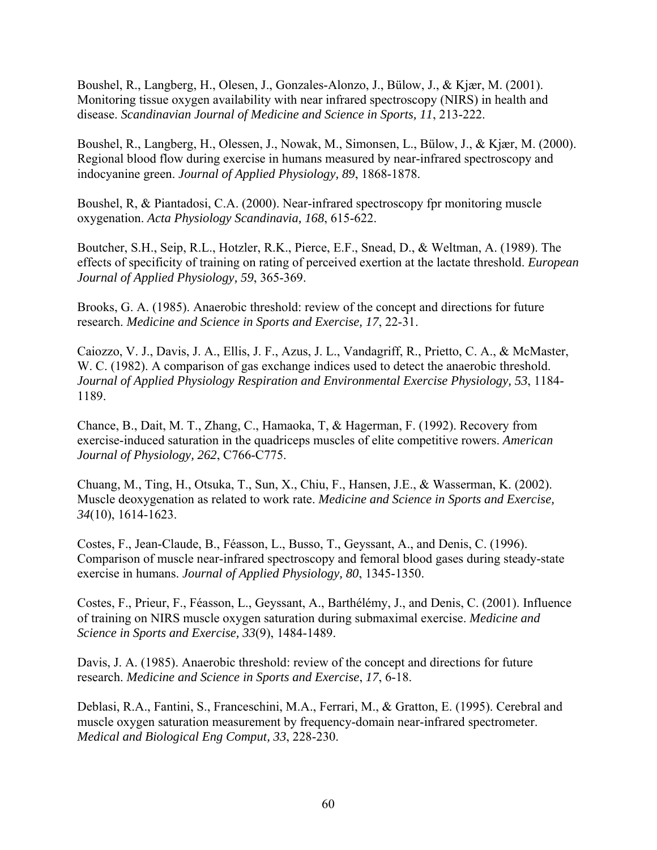Boushel, R., Langberg, H., Olesen, J., Gonzales-Alonzo, J., Bülow, J., & Kjær, M. (2001). Monitoring tissue oxygen availability with near infrared spectroscopy (NIRS) in health and disease. *Scandinavian Journal of Medicine and Science in Sports, 11*, 213-222.

Boushel, R., Langberg, H., Olessen, J., Nowak, M., Simonsen, L., Bülow, J., & Kjær, M. (2000). Regional blood flow during exercise in humans measured by near-infrared spectroscopy and indocyanine green. *Journal of Applied Physiology, 89*, 1868-1878.

Boushel, R, & Piantadosi, C.A. (2000). Near-infrared spectroscopy fpr monitoring muscle oxygenation. *Acta Physiology Scandinavia, 168*, 615-622.

Boutcher, S.H., Seip, R.L., Hotzler, R.K., Pierce, E.F., Snead, D., & Weltman, A. (1989). The effects of specificity of training on rating of perceived exertion at the lactate threshold. *European Journal of Applied Physiology, 59*, 365-369.

Brooks, G. A. (1985). Anaerobic threshold: review of the concept and directions for future research. *Medicine and Science in Sports and Exercise, 17*, 22-31.

Caiozzo, V. J., Davis, J. A., Ellis, J. F., Azus, J. L., Vandagriff, R., Prietto, C. A., & McMaster, W. C. (1982). A comparison of gas exchange indices used to detect the anaerobic threshold. *Journal of Applied Physiology Respiration and Environmental Exercise Physiology, 53*, 1184- 1189.

Chance, B., Dait, M. T., Zhang, C., Hamaoka, T, & Hagerman, F. (1992). Recovery from exercise-induced saturation in the quadriceps muscles of elite competitive rowers. *American Journal of Physiology, 262*, C766-C775.

Chuang, M., Ting, H., Otsuka, T., Sun, X., Chiu, F., Hansen, J.E., & Wasserman, K. (2002). Muscle deoxygenation as related to work rate. *Medicine and Science in Sports and Exercise, 34*(10), 1614-1623.

Costes, F., Jean-Claude, B., Féasson, L., Busso, T., Geyssant, A., and Denis, C. (1996). Comparison of muscle near-infrared spectroscopy and femoral blood gases during steady-state exercise in humans. *Journal of Applied Physiology, 80*, 1345-1350.

Costes, F., Prieur, F., Féasson, L., Geyssant, A., Barthélémy, J., and Denis, C. (2001). Influence of training on NIRS muscle oxygen saturation during submaximal exercise. *Medicine and Science in Sports and Exercise, 33*(9), 1484-1489.

Davis, J. A. (1985). Anaerobic threshold: review of the concept and directions for future research. *Medicine and Science in Sports and Exercise*, *17*, 6-18.

Deblasi, R.A., Fantini, S., Franceschini, M.A., Ferrari, M., & Gratton, E. (1995). Cerebral and muscle oxygen saturation measurement by frequency-domain near-infrared spectrometer. *Medical and Biological Eng Comput, 33*, 228-230.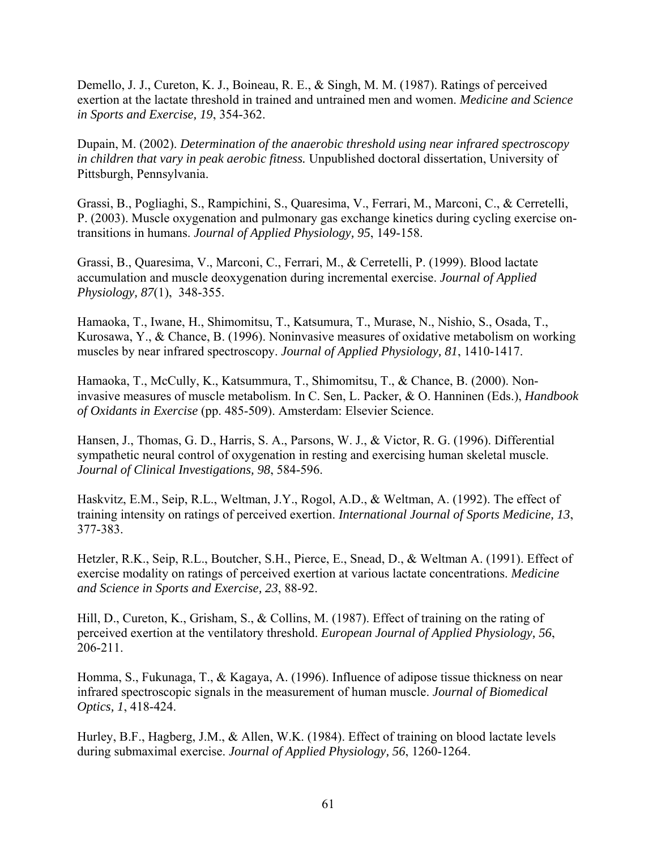Demello, J. J., Cureton, K. J., Boineau, R. E., & Singh, M. M. (1987). Ratings of perceived exertion at the lactate threshold in trained and untrained men and women. *Medicine and Science in Sports and Exercise, 19*, 354-362.

Dupain, M. (2002). *Determination of the anaerobic threshold using near infrared spectroscopy in children that vary in peak aerobic fitness.* Unpublished doctoral dissertation, University of Pittsburgh, Pennsylvania.

Grassi, B., Pogliaghi, S., Rampichini, S., Quaresima, V., Ferrari, M., Marconi, C., & Cerretelli, P. (2003). Muscle oxygenation and pulmonary gas exchange kinetics during cycling exercise ontransitions in humans. *Journal of Applied Physiology, 95*, 149-158.

Grassi, B., Quaresima, V., Marconi, C., Ferrari, M., & Cerretelli, P. (1999). Blood lactate accumulation and muscle deoxygenation during incremental exercise. *Journal of Applied Physiology, 87*(1), 348-355.

Hamaoka, T., Iwane, H., Shimomitsu, T., Katsumura, T., Murase, N., Nishio, S., Osada, T., Kurosawa, Y., & Chance, B. (1996). Noninvasive measures of oxidative metabolism on working muscles by near infrared spectroscopy. *Journal of Applied Physiology, 81*, 1410-1417.

Hamaoka, T., McCully, K., Katsummura, T., Shimomitsu, T., & Chance, B. (2000). Noninvasive measures of muscle metabolism. In C. Sen, L. Packer, & O. Hanninen (Eds.), *Handbook of Oxidants in Exercise* (pp. 485-509). Amsterdam: Elsevier Science.

Hansen, J., Thomas, G. D., Harris, S. A., Parsons, W. J., & Victor, R. G. (1996). Differential sympathetic neural control of oxygenation in resting and exercising human skeletal muscle. *Journal of Clinical Investigations, 98*, 584-596.

Haskvitz, E.M., Seip, R.L., Weltman, J.Y., Rogol, A.D., & Weltman, A. (1992). The effect of training intensity on ratings of perceived exertion. *International Journal of Sports Medicine, 13*, 377-383.

Hetzler, R.K., Seip, R.L., Boutcher, S.H., Pierce, E., Snead, D., & Weltman A. (1991). Effect of exercise modality on ratings of perceived exertion at various lactate concentrations. *Medicine and Science in Sports and Exercise, 23*, 88-92.

Hill, D., Cureton, K., Grisham, S., & Collins, M. (1987). Effect of training on the rating of perceived exertion at the ventilatory threshold. *European Journal of Applied Physiology, 56*, 206-211.

Homma, S., Fukunaga, T., & Kagaya, A. (1996). Influence of adipose tissue thickness on near infrared spectroscopic signals in the measurement of human muscle. *Journal of Biomedical Optics, 1*, 418-424.

Hurley, B.F., Hagberg, J.M., & Allen, W.K. (1984). Effect of training on blood lactate levels during submaximal exercise. *Journal of Applied Physiology, 56*, 1260-1264.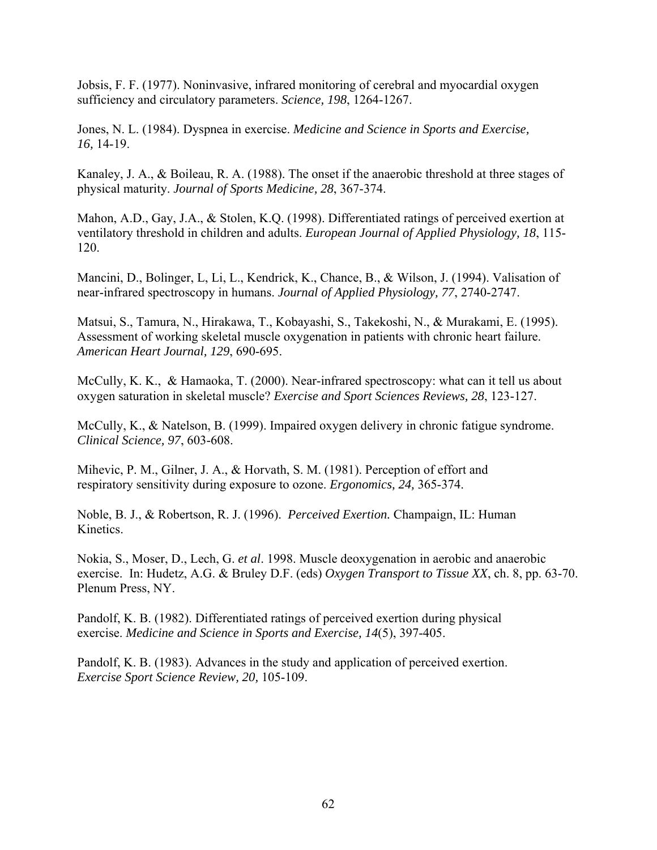Jobsis, F. F. (1977). Noninvasive, infrared monitoring of cerebral and myocardial oxygen sufficiency and circulatory parameters. *Science, 198*, 1264-1267.

Jones, N. L. (1984). Dyspnea in exercise. *Medicine and Science in Sports and Exercise, 16,* 14-19.

Kanaley, J. A., & Boileau, R. A. (1988). The onset if the anaerobic threshold at three stages of physical maturity. *Journal of Sports Medicine, 28*, 367-374.

Mahon, A.D., Gay, J.A., & Stolen, K.Q. (1998). Differentiated ratings of perceived exertion at ventilatory threshold in children and adults. *European Journal of Applied Physiology, 18*, 115- 120.

Mancini, D., Bolinger, L, Li, L., Kendrick, K., Chance, B., & Wilson, J. (1994). Valisation of near-infrared spectroscopy in humans. *Journal of Applied Physiology, 77*, 2740-2747.

Matsui, S., Tamura, N., Hirakawa, T., Kobayashi, S., Takekoshi, N., & Murakami, E. (1995). Assessment of working skeletal muscle oxygenation in patients with chronic heart failure. *American Heart Journal, 129*, 690-695.

McCully, K. K., & Hamaoka, T. (2000). Near-infrared spectroscopy: what can it tell us about oxygen saturation in skeletal muscle? *Exercise and Sport Sciences Reviews, 28*, 123-127.

McCully, K., & Natelson, B. (1999). Impaired oxygen delivery in chronic fatigue syndrome. *Clinical Science, 97*, 603-608.

Mihevic, P. M., Gilner, J. A., & Horvath, S. M. (1981). Perception of effort and respiratory sensitivity during exposure to ozone. *Ergonomics, 24,* 365-374.

Noble, B. J., & Robertson, R. J. (1996). *Perceived Exertion.* Champaign, IL: Human Kinetics.

Nokia, S., Moser, D., Lech, G. *et al*. 1998. Muscle deoxygenation in aerobic and anaerobic exercise. In: Hudetz, A.G. & Bruley D.F. (eds) *Oxygen Transport to Tissue XX*, ch. 8, pp. 63-70. Plenum Press, NY.

Pandolf, K. B. (1982). Differentiated ratings of perceived exertion during physical exercise. *Medicine and Science in Sports and Exercise, 14*(5), 397-405.

Pandolf, K. B. (1983). Advances in the study and application of perceived exertion. *Exercise Sport Science Review, 20,* 105-109.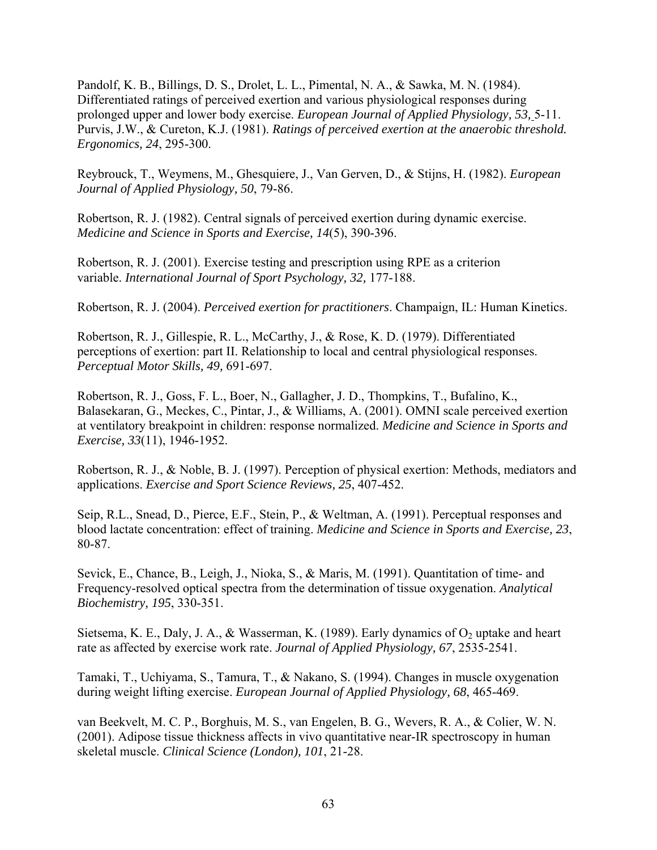Pandolf, K. B., Billings, D. S., Drolet, L. L., Pimental, N. A., & Sawka, M. N. (1984). Differentiated ratings of perceived exertion and various physiological responses during prolonged upper and lower body exercise. *European Journal of Applied Physiology, 53,* 5-11. Purvis, J.W., & Cureton, K.J. (1981). *Ratings of perceived exertion at the anaerobic threshold. Ergonomics, 24*, 295-300.

Reybrouck, T., Weymens, M., Ghesquiere, J., Van Gerven, D., & Stijns, H. (1982). *European Journal of Applied Physiology, 50*, 79-86.

Robertson, R. J. (1982). Central signals of perceived exertion during dynamic exercise. *Medicine and Science in Sports and Exercise, 14*(5), 390-396.

Robertson, R. J. (2001). Exercise testing and prescription using RPE as a criterion variable. *International Journal of Sport Psychology, 32,* 177-188.

Robertson, R. J. (2004). *Perceived exertion for practitioners*. Champaign, IL: Human Kinetics.

Robertson, R. J., Gillespie, R. L., McCarthy, J., & Rose, K. D. (1979). Differentiated perceptions of exertion: part II. Relationship to local and central physiological responses. *Perceptual Motor Skills, 49,* 691-697.

Robertson, R. J., Goss, F. L., Boer, N., Gallagher, J. D., Thompkins, T., Bufalino, K., Balasekaran, G., Meckes, C., Pintar, J., & Williams, A. (2001). OMNI scale perceived exertion at ventilatory breakpoint in children: response normalized. *Medicine and Science in Sports and Exercise, 33*(11), 1946-1952.

Robertson, R. J., & Noble, B. J. (1997). Perception of physical exertion: Methods, mediators and applications. *Exercise and Sport Science Reviews, 25*, 407-452.

Seip, R.L., Snead, D., Pierce, E.F., Stein, P., & Weltman, A. (1991). Perceptual responses and blood lactate concentration: effect of training. *Medicine and Science in Sports and Exercise, 23*, 80-87.

Sevick, E., Chance, B., Leigh, J., Nioka, S., & Maris, M. (1991). Quantitation of time- and Frequency-resolved optical spectra from the determination of tissue oxygenation. *Analytical Biochemistry, 195*, 330-351.

Sietsema, K. E., Daly, J. A., & Wasserman, K. (1989). Early dynamics of  $O_2$  uptake and heart rate as affected by exercise work rate. *Journal of Applied Physiology, 67*, 2535-2541.

Tamaki, T., Uchiyama, S., Tamura, T., & Nakano, S. (1994). Changes in muscle oxygenation during weight lifting exercise. *European Journal of Applied Physiology, 68*, 465-469.

van Beekvelt, M. C. P., Borghuis, M. S., van Engelen, B. G., Wevers, R. A., & Colier, W. N. (2001). Adipose tissue thickness affects in vivo quantitative near-IR spectroscopy in human skeletal muscle. *Clinical Science (London), 101*, 21-28.